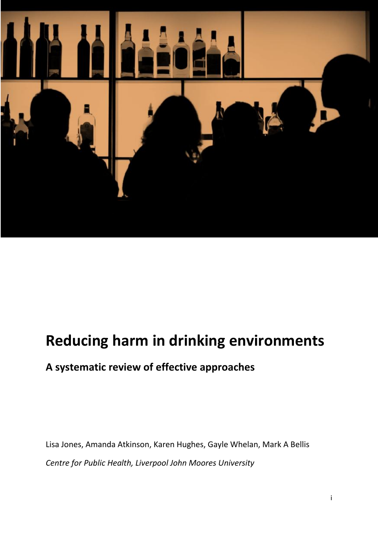

# **Reducing harm in drinking environments**

# **A systematic review of effective approaches**

Lisa Jones, Amanda Atkinson, Karen Hughes, Gayle Whelan, Mark A Bellis *Centre for Public Health, Liverpool John Moores University*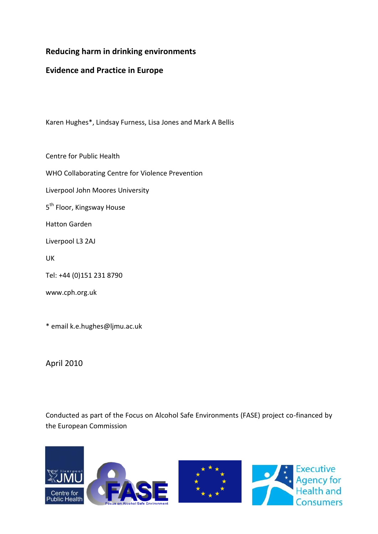### **Reducing harm in drinking environments**

### **Evidence and Practice in Europe**

Karen Hughes\*, Lindsay Furness, Lisa Jones and Mark A Bellis

Centre for Public Health

WHO Collaborating Centre for Violence Prevention

Liverpool John Moores University

5<sup>th</sup> Floor, Kingsway House

Hatton Garden

Liverpool L3 2AJ

UK

Tel: +44 (0)151 231 8790

www.cph.org.uk

\* email k.e.hughes@ljmu.ac.uk

April 2010

Conducted as part of the Focus on Alcohol Safe Environments (FASE) project co-financed by the European Commission

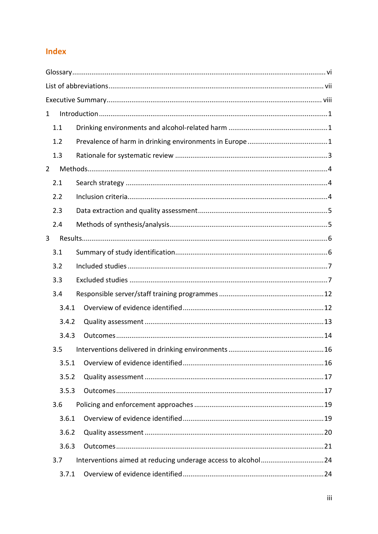## Index

| 1              |       |  |  |  |  |  |  |  |
|----------------|-------|--|--|--|--|--|--|--|
|                | 1.1   |  |  |  |  |  |  |  |
|                | 1.2   |  |  |  |  |  |  |  |
|                | 1.3   |  |  |  |  |  |  |  |
| $\overline{2}$ |       |  |  |  |  |  |  |  |
|                | 2.1   |  |  |  |  |  |  |  |
|                | 2.2   |  |  |  |  |  |  |  |
|                | 2.3   |  |  |  |  |  |  |  |
|                | 2.4   |  |  |  |  |  |  |  |
| 3              |       |  |  |  |  |  |  |  |
|                | 3.1   |  |  |  |  |  |  |  |
|                | 3.2   |  |  |  |  |  |  |  |
|                | 3.3   |  |  |  |  |  |  |  |
|                | 3.4   |  |  |  |  |  |  |  |
|                | 3.4.1 |  |  |  |  |  |  |  |
|                | 3.4.2 |  |  |  |  |  |  |  |
|                | 3.4.3 |  |  |  |  |  |  |  |
|                | 3.5   |  |  |  |  |  |  |  |
|                | 3.5.1 |  |  |  |  |  |  |  |
|                | 3.5.2 |  |  |  |  |  |  |  |
|                | 3.5.3 |  |  |  |  |  |  |  |
|                | 3.6   |  |  |  |  |  |  |  |
|                | 3.6.1 |  |  |  |  |  |  |  |
|                | 3.6.2 |  |  |  |  |  |  |  |
|                | 3.6.3 |  |  |  |  |  |  |  |
|                | 3.7   |  |  |  |  |  |  |  |
|                | 3.7.1 |  |  |  |  |  |  |  |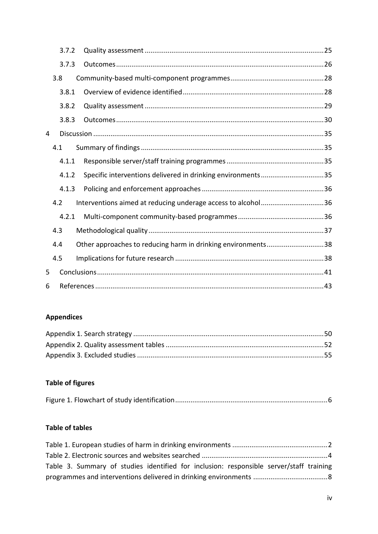|   |     | 3.7.2 |  |                                                              |  |
|---|-----|-------|--|--------------------------------------------------------------|--|
|   |     | 3.7.3 |  |                                                              |  |
|   |     | 3.8   |  |                                                              |  |
|   |     | 3.8.1 |  |                                                              |  |
|   |     | 3.8.2 |  |                                                              |  |
|   |     | 3.8.3 |  |                                                              |  |
| 4 |     |       |  |                                                              |  |
|   |     | 4.1   |  |                                                              |  |
|   |     | 4.1.1 |  |                                                              |  |
|   |     | 4.1.2 |  | Specific interventions delivered in drinking environments35  |  |
|   |     | 4.1.3 |  |                                                              |  |
|   |     | 4.2   |  | Interventions aimed at reducing underage access to alcohol36 |  |
|   |     | 4.2.1 |  |                                                              |  |
|   | 4.3 |       |  |                                                              |  |
|   | 4.4 |       |  | Other approaches to reducing harm in drinking environments38 |  |
|   | 4.5 |       |  |                                                              |  |
| 5 |     |       |  |                                                              |  |
| 6 |     |       |  |                                                              |  |

### **Appendices**

# **Table of figures**

|--|

### **Table of tables**

| Table 3. Summary of studies identified for inclusion: responsible server/staff training |  |
|-----------------------------------------------------------------------------------------|--|
|                                                                                         |  |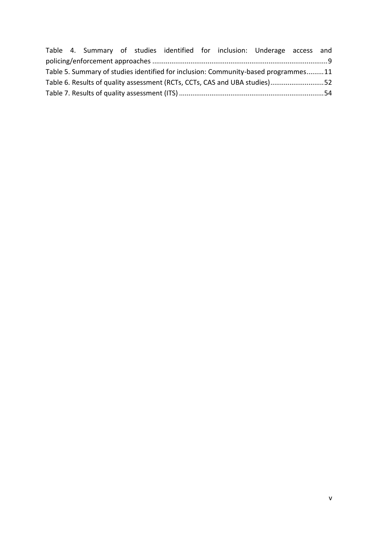|                                                                                    |  |  |  |  |  |  | Table 4. Summary of studies identified for inclusion: Underage access and |  |
|------------------------------------------------------------------------------------|--|--|--|--|--|--|---------------------------------------------------------------------------|--|
|                                                                                    |  |  |  |  |  |  |                                                                           |  |
| Table 5. Summary of studies identified for inclusion: Community-based programmes11 |  |  |  |  |  |  |                                                                           |  |
| Table 6. Results of quality assessment (RCTs, CCTs, CAS and UBA studies)52         |  |  |  |  |  |  |                                                                           |  |
|                                                                                    |  |  |  |  |  |  |                                                                           |  |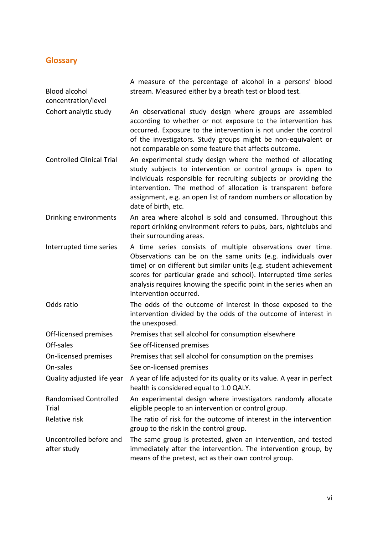# <span id="page-5-0"></span>**Glossary**

| <b>Blood alcohol</b><br>concentration/level | A measure of the percentage of alcohol in a persons' blood<br>stream. Measured either by a breath test or blood test.                                                                                                                                                                                                                                               |
|---------------------------------------------|---------------------------------------------------------------------------------------------------------------------------------------------------------------------------------------------------------------------------------------------------------------------------------------------------------------------------------------------------------------------|
| Cohort analytic study                       | An observational study design where groups are assembled<br>according to whether or not exposure to the intervention has<br>occurred. Exposure to the intervention is not under the control<br>of the investigators. Study groups might be non-equivalent or<br>not comparable on some feature that affects outcome.                                                |
| <b>Controlled Clinical Trial</b>            | An experimental study design where the method of allocating<br>study subjects to intervention or control groups is open to<br>individuals responsible for recruiting subjects or providing the<br>intervention. The method of allocation is transparent before<br>assignment, e.g. an open list of random numbers or allocation by<br>date of birth, etc.           |
| Drinking environments                       | An area where alcohol is sold and consumed. Throughout this<br>report drinking environment refers to pubs, bars, nightclubs and<br>their surrounding areas.                                                                                                                                                                                                         |
| Interrupted time series                     | A time series consists of multiple observations over time.<br>Observations can be on the same units (e.g. individuals over<br>time) or on different but similar units (e.g. student achievement<br>scores for particular grade and school). Interrupted time series<br>analysis requires knowing the specific point in the series when an<br>intervention occurred. |
| Odds ratio                                  | The odds of the outcome of interest in those exposed to the<br>intervention divided by the odds of the outcome of interest in<br>the unexposed.                                                                                                                                                                                                                     |
| Off-licensed premises                       | Premises that sell alcohol for consumption elsewhere                                                                                                                                                                                                                                                                                                                |
| Off-sales                                   | See off-licensed premises                                                                                                                                                                                                                                                                                                                                           |
| On-licensed premises                        | Premises that sell alcohol for consumption on the premises                                                                                                                                                                                                                                                                                                          |
| On-sales                                    | See on-licensed premises                                                                                                                                                                                                                                                                                                                                            |
| Quality adjusted life year                  | A year of life adjusted for its quality or its value. A year in perfect<br>health is considered equal to 1.0 QALY.                                                                                                                                                                                                                                                  |
| <b>Randomised Controlled</b><br>Trial       | An experimental design where investigators randomly allocate<br>eligible people to an intervention or control group.                                                                                                                                                                                                                                                |
| Relative risk                               | The ratio of risk for the outcome of interest in the intervention<br>group to the risk in the control group.                                                                                                                                                                                                                                                        |
| Uncontrolled before and<br>after study      | The same group is pretested, given an intervention, and tested<br>immediately after the intervention. The intervention group, by<br>means of the pretest, act as their own control group.                                                                                                                                                                           |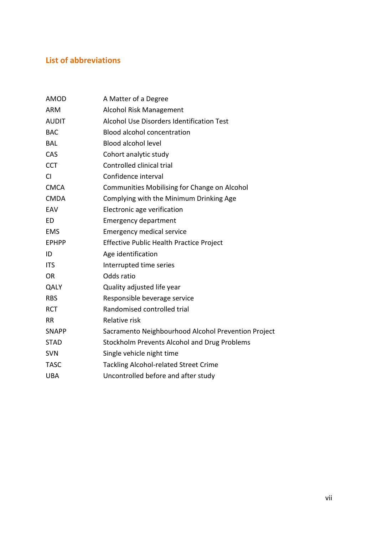### <span id="page-6-0"></span>**List of abbreviations**

| <b>AMOD</b>  | A Matter of a Degree                                |
|--------------|-----------------------------------------------------|
| <b>ARM</b>   | Alcohol Risk Management                             |
| <b>AUDIT</b> | Alcohol Use Disorders Identification Test           |
| <b>BAC</b>   | <b>Blood alcohol concentration</b>                  |
| <b>BAL</b>   | <b>Blood alcohol level</b>                          |
| CAS          | Cohort analytic study                               |
| <b>CCT</b>   | Controlled clinical trial                           |
| <b>CI</b>    | Confidence interval                                 |
| <b>CMCA</b>  | Communities Mobilising for Change on Alcohol        |
| <b>CMDA</b>  | Complying with the Minimum Drinking Age             |
| EAV          | Electronic age verification                         |
| ED           | <b>Emergency department</b>                         |
| <b>EMS</b>   | <b>Emergency medical service</b>                    |
| <b>EPHPP</b> | <b>Effective Public Health Practice Project</b>     |
| ID           | Age identification                                  |
| <b>ITS</b>   | Interrupted time series                             |
| <b>OR</b>    | Odds ratio                                          |
| QALY         | Quality adjusted life year                          |
| <b>RBS</b>   | Responsible beverage service                        |
| <b>RCT</b>   | Randomised controlled trial                         |
| <b>RR</b>    | Relative risk                                       |
| <b>SNAPP</b> | Sacramento Neighbourhood Alcohol Prevention Project |
| <b>STAD</b>  | <b>Stockholm Prevents Alcohol and Drug Problems</b> |
| <b>SVN</b>   | Single vehicle night time                           |
| <b>TASC</b>  | <b>Tackling Alcohol-related Street Crime</b>        |
| <b>UBA</b>   | Uncontrolled before and after study                 |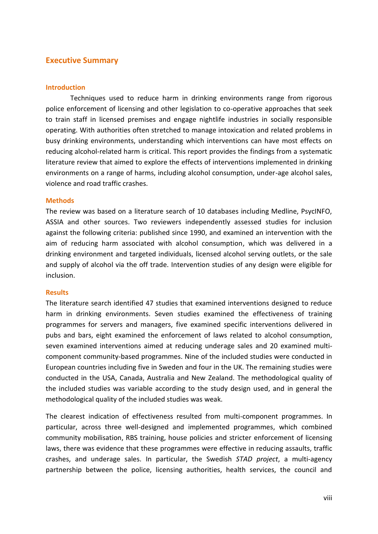### <span id="page-7-0"></span>**Executive Summary**

### **Introduction**

Techniques used to reduce harm in drinking environments range from rigorous police enforcement of licensing and other legislation to co-operative approaches that seek to train staff in licensed premises and engage nightlife industries in socially responsible operating. With authorities often stretched to manage intoxication and related problems in busy drinking environments, understanding which interventions can have most effects on reducing alcohol-related harm is critical. This report provides the findings from a systematic literature review that aimed to explore the effects of interventions implemented in drinking environments on a range of harms, including alcohol consumption, under-age alcohol sales, violence and road traffic crashes.

### **Methods**

The review was based on a literature search of 10 databases including Medline, PsycINFO, ASSIA and other sources. Two reviewers independently assessed studies for inclusion against the following criteria: published since 1990, and examined an intervention with the aim of reducing harm associated with alcohol consumption, which was delivered in a drinking environment and targeted individuals, licensed alcohol serving outlets, or the sale and supply of alcohol via the off trade. Intervention studies of any design were eligible for inclusion.

### **Results**

The literature search identified 47 studies that examined interventions designed to reduce harm in drinking environments. Seven studies examined the effectiveness of training programmes for servers and managers, five examined specific interventions delivered in pubs and bars, eight examined the enforcement of laws related to alcohol consumption, seven examined interventions aimed at reducing underage sales and 20 examined multicomponent community-based programmes. Nine of the included studies were conducted in European countries including five in Sweden and four in the UK. The remaining studies were conducted in the USA, Canada, Australia and New Zealand. The methodological quality of the included studies was variable according to the study design used, and in general the methodological quality of the included studies was weak.

The clearest indication of effectiveness resulted from multi-component programmes. In particular, across three well-designed and implemented programmes, which combined community mobilisation, RBS training, house policies and stricter enforcement of licensing laws, there was evidence that these programmes were effective in reducing assaults, traffic crashes, and underage sales. In particular, the Swedish *STAD project*, a multi-agency partnership between the police, licensing authorities, health services, the council and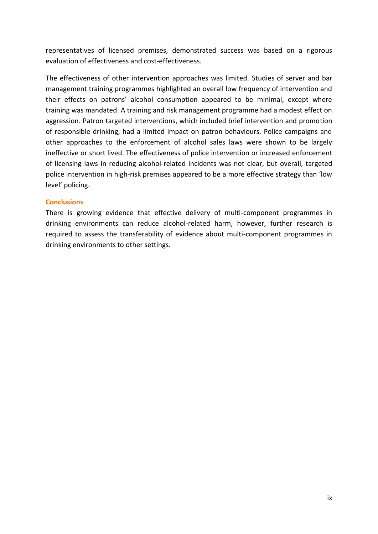representatives of licensed premises, demonstrated success was based on a rigorous evaluation of effectiveness and cost-effectiveness.

The effectiveness of other intervention approaches was limited. Studies of server and bar management training programmes highlighted an overall low frequency of intervention and their effects on patrons' alcohol consumption appeared to be minimal, except where training was mandated. A training and risk management programme had a modest effect on aggression. Patron targeted interventions, which included brief intervention and promotion of responsible drinking, had a limited impact on patron behaviours. Police campaigns and other approaches to the enforcement of alcohol sales laws were shown to be largely ineffective or short lived. The effectiveness of police intervention or increased enforcement of licensing laws in reducing alcohol-related incidents was not clear, but overall, targeted police intervention in high-risk premises appeared to be a more effective strategy than 'low level' policing.

### **Conclusions**

There is growing evidence that effective delivery of multi-component programmes in drinking environments can reduce alcohol-related harm, however, further research is required to assess the transferability of evidence about multi-component programmes in drinking environments to other settings.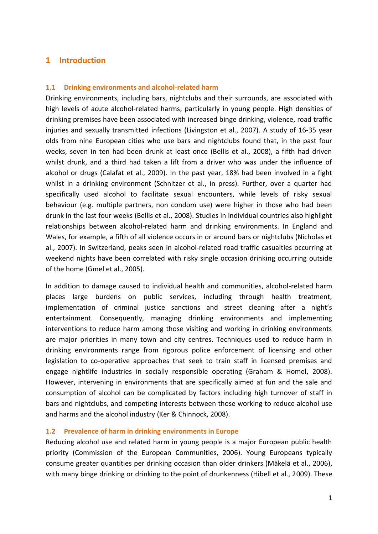### <span id="page-9-0"></span>**1 Introduction**

### <span id="page-9-1"></span>**1.1 Drinking environments and alcohol-related harm**

Drinking environments, including bars, nightclubs and their surrounds, are associated with high levels of acute alcohol-related harms, particularly in young people. High densities of drinking premises have been associated with increased binge drinking, violence, road traffic injuries and sexually transmitted infections (Livingston et al., 2007). A study of 16-35 year olds from nine European cities who use bars and nightclubs found that, in the past four weeks, seven in ten had been drunk at least once (Bellis et al., 2008), a fifth had driven whilst drunk, and a third had taken a lift from a driver who was under the influence of alcohol or drugs (Calafat et al., 2009). In the past year, 18% had been involved in a fight whilst in a drinking environment (Schnitzer et al., in press). Further, over a quarter had specifically used alcohol to facilitate sexual encounters, while levels of risky sexual behaviour (e.g. multiple partners, non condom use) were higher in those who had been drunk in the last four weeks (Bellis et al., 2008). Studies in individual countries also highlight relationships between alcohol-related harm and drinking environments. In England and Wales, for example, a fifth of all violence occurs in or around bars or nightclubs (Nicholas et al., 2007). In Switzerland, peaks seen in alcohol-related road traffic casualties occurring at weekend nights have been correlated with risky single occasion drinking occurring outside of the home (Gmel et al., 2005).

In addition to damage caused to individual health and communities, alcohol-related harm places large burdens on public services, including through health treatment, implementation of criminal justice sanctions and street cleaning after a night's entertainment. Consequently, managing drinking environments and implementing interventions to reduce harm among those visiting and working in drinking environments are major priorities in many town and city centres. Techniques used to reduce harm in drinking environments range from rigorous police enforcement of licensing and other legislation to co-operative approaches that seek to train staff in licensed premises and engage nightlife industries in socially responsible operating (Graham & Homel, 2008). However, intervening in environments that are specifically aimed at fun and the sale and consumption of alcohol can be complicated by factors including high turnover of staff in bars and nightclubs, and competing interests between those working to reduce alcohol use and harms and the alcohol industry (Ker & Chinnock, 2008).

### <span id="page-9-2"></span>**1.2 Prevalence of harm in drinking environments in Europe**

Reducing alcohol use and related harm in young people is a major European public health priority (Commission of the European Communities, 2006). Young Europeans typically consume greater quantities per drinking occasion than older drinkers (Mäkelä et al., 2006), with many binge drinking or drinking to the point of drunkenness (Hibell et al., 2009). These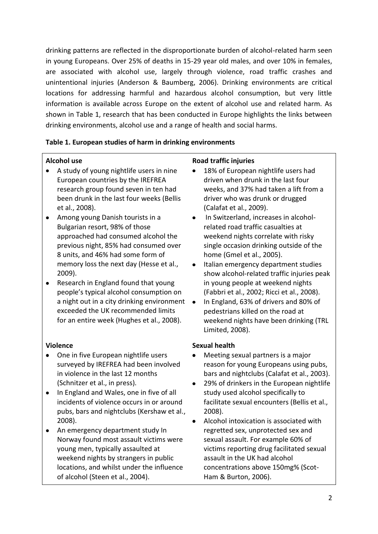drinking patterns are reflected in the disproportionate burden of alcohol-related harm seen in young Europeans. Over 25% of deaths in 15-29 year old males, and over 10% in females, are associated with alcohol use, largely through violence, road traffic crashes and unintentional injuries (Anderson & Baumberg, 2006). Drinking environments are critical locations for addressing harmful and hazardous alcohol consumption, but very little information is available across Europe on the extent of alcohol use and related harm. As shown in Table 1, research that has been conducted in Europe highlights the links between drinking environments, alcohol use and a range of health and social harms.

### <span id="page-10-0"></span>**Table 1. European studies of harm in drinking environments**

### **Alcohol use**

- A study of young nightlife users in nine European countries by the IREFREA research group found seven in ten had been drunk in the last four weeks (Bellis et al., 2008).
- Among young Danish tourists in a Bulgarian resort, 98% of those approached had consumed alcohol the previous night, 85% had consumed over 8 units, and 46% had some form of memory loss the next day (Hesse et al., 2009).
- Research in England found that young people's typical alcohol consumption on a night out in a city drinking environment • exceeded the UK recommended limits for an entire week (Hughes et al., 2008).

### **Violence**

- One in five European nightlife users surveyed by IREFREA had been involved in violence in the last 12 months (Schnitzer et al., in press).
- In England and Wales, one in five of all incidents of violence occurs in or around pubs, bars and nightclubs (Kershaw et al., 2008).
- An emergency department study In Norway found most assault victims were young men, typically assaulted at weekend nights by strangers in public locations, and whilst under the influence of alcohol (Steen et al., 2004).

### **Road traffic injuries**

- 18% of European nightlife users had driven when drunk in the last four weeks, and 37% had taken a lift from a driver who was drunk or drugged (Calafat et al., 2009).
- In Switzerland, increases in alcoholrelated road traffic casualties at weekend nights correlate with risky single occasion drinking outside of the home (Gmel et al., 2005).
- Italian emergency department studies  $\bullet$ show alcohol-related traffic injuries peak in young people at weekend nights (Fabbri et al., 2002; Ricci et al., 2008).
- In England, 63% of drivers and 80% of pedestrians killed on the road at weekend nights have been drinking (TRL Limited, 2008).

### **Sexual health**

- Meeting sexual partners is a major reason for young Europeans using pubs, bars and nightclubs (Calafat et al., 2003).
- 29% of drinkers in the European nightlife study used alcohol specifically to facilitate sexual encounters (Bellis et al., 2008).
- Alcohol intoxication is associated with  $\bullet$ regretted sex, unprotected sex and sexual assault. For example 60% of victims reporting drug facilitated sexual assault in the UK had alcohol concentrations above 150mg% (Scot-Ham & Burton, 2006).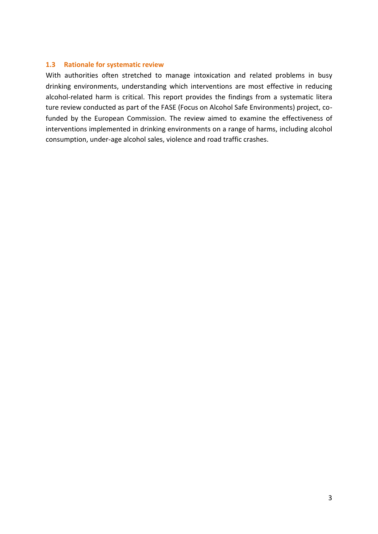### <span id="page-11-0"></span>**1.3 Rationale for systematic review**

With authorities often stretched to manage intoxication and related problems in busy drinking environments, understanding which interventions are most effective in reducing alcohol-related harm is critical. This report provides the findings from a systematic litera ture review conducted as part of the FASE (Focus on Alcohol Safe Environments) project, cofunded by the European Commission. The review aimed to examine the effectiveness of interventions implemented in drinking environments on a range of harms, including alcohol consumption, under-age alcohol sales, violence and road traffic crashes.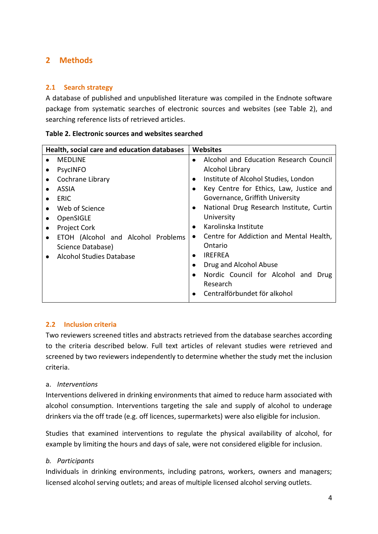### <span id="page-12-0"></span>**2 Methods**

### <span id="page-12-1"></span>**2.1 Search strategy**

A database of published and unpublished literature was compiled in the Endnote software package from systematic searches of electronic sources and websites (see Table 2), and searching reference lists of retrieved articles.

<span id="page-12-3"></span>

| Table 2. Electronic sources and websites searched |  |
|---------------------------------------------------|--|
|---------------------------------------------------|--|

| Health, social care and education databases | <b>Websites</b>                                       |
|---------------------------------------------|-------------------------------------------------------|
| <b>MEDLINE</b>                              | Alcohol and Education Research Council<br>$\bullet$   |
| <b>PsycINFO</b>                             | Alcohol Library                                       |
| Cochrane Library<br>٠                       | Institute of Alcohol Studies, London<br>$\bullet$     |
| ASSIA                                       | Key Centre for Ethics, Law, Justice and<br>$\bullet$  |
| <b>ERIC</b>                                 | Governance, Griffith University                       |
| Web of Science                              | National Drug Research Institute, Curtin<br>$\bullet$ |
| OpenSIGLE                                   | University                                            |
| <b>Project Cork</b>                         | Karolinska Institute<br>$\bullet$                     |
| ETOH (Alcohol and Alcohol Problems          | Centre for Addiction and Mental Health,<br>$\bullet$  |
| Science Database)                           | Ontario                                               |
| <b>Alcohol Studies Database</b>             | <b>IRFFRFA</b><br>٠                                   |
|                                             | Drug and Alcohol Abuse<br>٠                           |
|                                             | Nordic Council for Alcohol and Drug<br>$\bullet$      |
|                                             | Research                                              |
|                                             | Centralförbundet för alkohol<br>$\bullet$             |

### <span id="page-12-2"></span>**2.2 Inclusion criteria**

Two reviewers screened titles and abstracts retrieved from the database searches according to the criteria described below. Full text articles of relevant studies were retrieved and screened by two reviewers independently to determine whether the study met the inclusion criteria.

### a. *Interventions*

Interventions delivered in drinking environments that aimed to reduce harm associated with alcohol consumption. Interventions targeting the sale and supply of alcohol to underage drinkers via the off trade (e.g. off licences, supermarkets) were also eligible for inclusion.

Studies that examined interventions to regulate the physical availability of alcohol, for example by limiting the hours and days of sale, were not considered eligible for inclusion.

### *b. Participants*

Individuals in drinking environments, including patrons, workers, owners and managers; licensed alcohol serving outlets; and areas of multiple licensed alcohol serving outlets.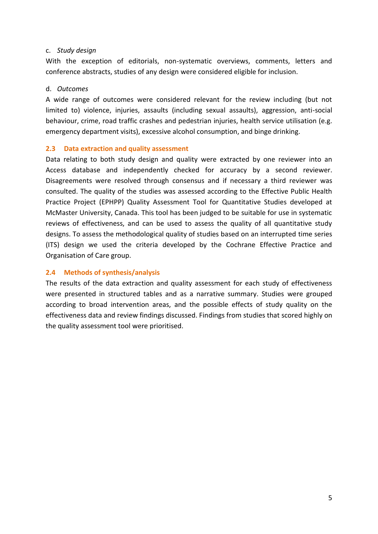### c. *Study design*

With the exception of editorials, non-systematic overviews, comments, letters and conference abstracts, studies of any design were considered eligible for inclusion.

### d. *Outcomes*

A wide range of outcomes were considered relevant for the review including (but not limited to) violence, injuries, assaults (including sexual assaults), aggression, anti-social behaviour, crime, road traffic crashes and pedestrian injuries, health service utilisation (e.g. emergency department visits), excessive alcohol consumption, and binge drinking.

### <span id="page-13-0"></span>**2.3 Data extraction and quality assessment**

Data relating to both study design and quality were extracted by one reviewer into an Access database and independently checked for accuracy by a second reviewer. Disagreements were resolved through consensus and if necessary a third reviewer was consulted. The quality of the studies was assessed according to the Effective Public Health Practice Project (EPHPP) Quality Assessment Tool for Quantitative Studies developed at McMaster University, Canada. This tool has been judged to be suitable for use in systematic reviews of effectiveness, and can be used to assess the quality of all quantitative study designs. To assess the methodological quality of studies based on an interrupted time series (ITS) design we used the criteria developed by the Cochrane Effective Practice and Organisation of Care group.

### <span id="page-13-1"></span>**2.4 Methods of synthesis/analysis**

The results of the data extraction and quality assessment for each study of effectiveness were presented in structured tables and as a narrative summary. Studies were grouped according to broad intervention areas, and the possible effects of study quality on the effectiveness data and review findings discussed. Findings from studies that scored highly on the quality assessment tool were prioritised.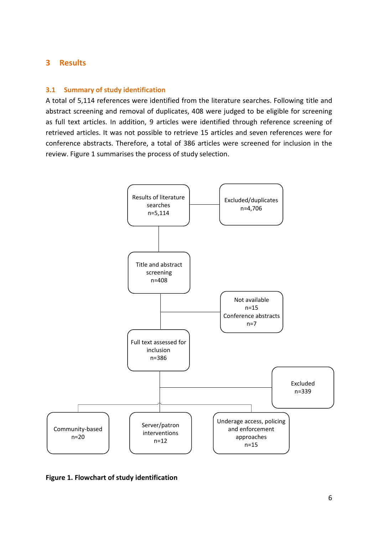### <span id="page-14-0"></span>**3 Results**

### <span id="page-14-1"></span>**3.1 Summary of study identification**

A total of 5,114 references were identified from the literature searches. Following title and abstract screening and removal of duplicates, 408 were judged to be eligible for screening as full text articles. In addition, 9 articles were identified through reference screening of retrieved articles. It was not possible to retrieve 15 articles and seven references were for conference abstracts. Therefore, a total of 386 articles were screened for inclusion in the review. Figure 1 summarises the process of study selection.



<span id="page-14-2"></span>**Figure 1. Flowchart of study identification**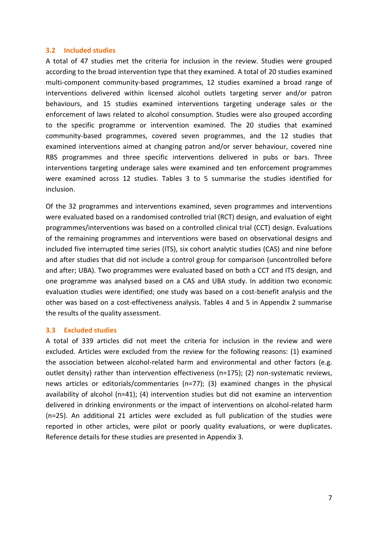### <span id="page-15-0"></span>**3.2 Included studies**

A total of 47 studies met the criteria for inclusion in the review. Studies were grouped according to the broad intervention type that they examined. A total of 20 studies examined multi-component community-based programmes, 12 studies examined a broad range of interventions delivered within licensed alcohol outlets targeting server and/or patron behaviours, and 15 studies examined interventions targeting underage sales or the enforcement of laws related to alcohol consumption. Studies were also grouped according to the specific programme or intervention examined. The 20 studies that examined community-based programmes, covered seven programmes, and the 12 studies that examined interventions aimed at changing patron and/or server behaviour, covered nine RBS programmes and three specific interventions delivered in pubs or bars. Three interventions targeting underage sales were examined and ten enforcement programmes were examined across 12 studies. Tables 3 to 5 summarise the studies identified for inclusion.

Of the 32 programmes and interventions examined, seven programmes and interventions were evaluated based on a randomised controlled trial (RCT) design, and evaluation of eight programmes/interventions was based on a controlled clinical trial (CCT) design. Evaluations of the remaining programmes and interventions were based on observational designs and included five interrupted time series (ITS), six cohort analytic studies (CAS) and nine before and after studies that did not include a control group for comparison (uncontrolled before and after; UBA). Two programmes were evaluated based on both a CCT and ITS design, and one programme was analysed based on a CAS and UBA study. In addition two economic evaluation studies were identified; one study was based on a cost-benefit analysis and the other was based on a cost-effectiveness analysis. Tables 4 and 5 in Appendix 2 summarise the results of the quality assessment.

### <span id="page-15-1"></span>**3.3 Excluded studies**

A total of 339 articles did not meet the criteria for inclusion in the review and were excluded. Articles were excluded from the review for the following reasons: (1) examined the association between alcohol-related harm and environmental and other factors (e.g. outlet density) rather than intervention effectiveness (n=175); (2) non-systematic reviews, news articles or editorials/commentaries (n=77); (3) examined changes in the physical availability of alcohol (n=41); (4) intervention studies but did not examine an intervention delivered in drinking environments or the impact of interventions on alcohol-related harm (n=25). An additional 21 articles were excluded as full publication of the studies were reported in other articles, were pilot or poorly quality evaluations, or were duplicates. Reference details for these studies are presented in Appendix 3.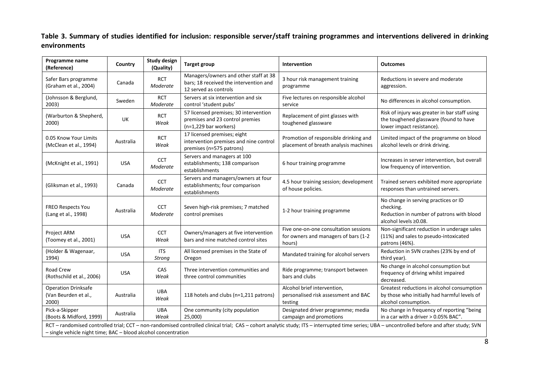### **Table 3. Summary of studies identified for inclusion: responsible server/staff training programmes and interventions delivered in drinking environments**

<span id="page-16-0"></span>

| Programme name<br>(Reference)                                                                                                                                                                                                                                   | Country    | <b>Study design</b><br>(Quality) | <b>Target group</b>                                                                                      | Intervention                                                                            | <b>Outcomes</b>                                                                                                         |
|-----------------------------------------------------------------------------------------------------------------------------------------------------------------------------------------------------------------------------------------------------------------|------------|----------------------------------|----------------------------------------------------------------------------------------------------------|-----------------------------------------------------------------------------------------|-------------------------------------------------------------------------------------------------------------------------|
| Safer Bars programme<br>(Graham et al., 2004)                                                                                                                                                                                                                   | Canada     | <b>RCT</b><br>Moderate           | Managers/owners and other staff at 38<br>bars; 18 received the intervention and<br>12 served as controls | 3 hour risk management training<br>programme                                            | Reductions in severe and moderate<br>aggression.                                                                        |
| (Johnsson & Berglund,<br>2003)                                                                                                                                                                                                                                  | Sweden     | <b>RCT</b><br>Moderate           | Servers at six intervention and six<br>control 'student pubs'                                            | Five lectures on responsible alcohol<br>service                                         | No differences in alcohol consumption.                                                                                  |
| (Warburton & Shepherd,<br>2000)                                                                                                                                                                                                                                 | UK         | <b>RCT</b><br>Weak               | 57 licensed premises; 30 intervention<br>premises and 23 control premies<br>(n=1,229 bar workers)        | Replacement of pint glasses with<br>toughened glassware                                 | Risk of injury was greater in bar staff using<br>the toughened glassware (found to have<br>lower impact resistance).    |
| 0.05 Know Your Limits<br>(McClean et al., 1994)                                                                                                                                                                                                                 | Australia  | <b>RCT</b><br>Weak               | 17 licensed premises; eight<br>intervention premises and nine control<br>premises (n=575 patrons)        | Promotion of responsible drinking and<br>placement of breath analysis machines          | Limited impact of the programme on blood<br>alcohol levels or drink driving.                                            |
| (McKnight et al., 1991)                                                                                                                                                                                                                                         | <b>USA</b> | CCT<br>Moderate                  | Servers and managers at 100<br>establishments; 138 comparison<br>establishments                          | 6 hour training programme                                                               | Increases in server intervention, but overall<br>low frequency of intervention.                                         |
| (Gliksman et al., 1993)                                                                                                                                                                                                                                         | Canada     | CCT<br>Moderate                  | Servers and managers/owners at four<br>establishments; four comparison<br>establishments                 | 4.5 hour training session; development<br>of house policies.                            | Trained servers exhibited more appropriate<br>responses than untrained servers.                                         |
| <b>FREO Respects You</b><br>(Lang et al., 1998)                                                                                                                                                                                                                 | Australia  | CCT<br>Moderate                  | Seven high-risk premises; 7 matched<br>control premises                                                  | 1-2 hour training programme                                                             | No change in serving practices or ID<br>checking.<br>Reduction in number of patrons with blood<br>alcohol levels ≥0.08. |
| Project ARM<br>(Toomey et al., 2001)                                                                                                                                                                                                                            | <b>USA</b> | <b>CCT</b><br>Weak               | Owners/managers at five intervention<br>bars and nine matched control sites                              | Five one-on-one consultation sessions<br>for owners and managers of bars (1-2<br>hours) | Non-significant reduction in underage sales<br>(11%) and sales to pseudo-intoxicated<br>patrons (46%).                  |
| (Holder & Wagenaar,<br>1994)                                                                                                                                                                                                                                    | <b>USA</b> | <b>ITS</b><br>Strong             | All licensed premises in the State of<br>Oregon                                                          | Mandated training for alcohol servers                                                   | Reduction in SVN crashes (23% by end of<br>third year).                                                                 |
| Road Crew<br>(Rothschild et al., 2006)                                                                                                                                                                                                                          | <b>USA</b> | CAS<br>Weak                      | Three intervention communities and<br>three control communities                                          | Ride programme; transport between<br>bars and clubs                                     | No change in alcohol consumption but<br>frequency of driving whilst impaired<br>decreased.                              |
| <b>Operation Drinksafe</b><br>(Van Beurden et al.,<br>2000)                                                                                                                                                                                                     | Australia  | <b>UBA</b><br>Weak               | 118 hotels and clubs (n=1,211 patrons)                                                                   | Alcohol brief intervention,<br>personalised risk assessment and BAC<br>testing          | Greatest reductions in alcohol consumption<br>by those who initially had harmful levels of<br>alcohol consumption.      |
| Pick-a-Skipper<br>(Boots & Midford, 1999)                                                                                                                                                                                                                       | Australia  | <b>UBA</b><br>Weak               | One community (city population<br>25,000)                                                                | Designated driver programme; media<br>campaign and promotions                           | No change in frequency of reporting "being<br>in a car with a driver $> 0.05\%$ BAC".                                   |
| RCT - randomised controlled trial; CCT - non-randomised controlled clinical trial; CAS - cohort analytic study; ITS - interrupted time series; UBA - uncontrolled before and after study; SVN<br>- single vehicle night time; BAC - blood alcohol concentration |            |                                  |                                                                                                          |                                                                                         |                                                                                                                         |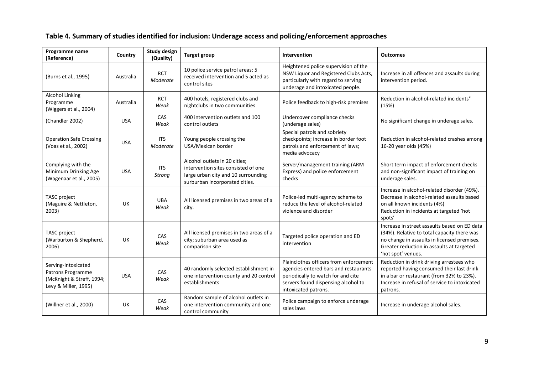<span id="page-17-0"></span>

| Programme name<br>(Reference)                                                                 | Country    | <b>Study design</b><br>(Quality) | <b>Target group</b>                                                                                                                           | <b>Intervention</b>                                                                                                                                                                  | <b>Outcomes</b>                                                                                                                                                                                               |
|-----------------------------------------------------------------------------------------------|------------|----------------------------------|-----------------------------------------------------------------------------------------------------------------------------------------------|--------------------------------------------------------------------------------------------------------------------------------------------------------------------------------------|---------------------------------------------------------------------------------------------------------------------------------------------------------------------------------------------------------------|
| (Burns et al., 1995)                                                                          | Australia  | <b>RCT</b><br>Moderate           | 10 police service patrol areas; 5<br>received intervention and 5 acted as<br>control sites                                                    | Heightened police supervision of the<br>NSW Liquor and Registered Clubs Acts,<br>particularly with regard to serving<br>underage and intoxicated people.                             | Increase in all offences and assaults during<br>intervention period.                                                                                                                                          |
| <b>Alcohol Linking</b><br>Programme<br>(Wiggers et al., 2004)                                 | Australia  | <b>RCT</b><br>Weak               | 400 hotels, registered clubs and<br>nightclubs in two communities                                                                             | Police feedback to high-risk premises                                                                                                                                                | Reduction in alcohol-related incidents <sup>a</sup><br>(15%)                                                                                                                                                  |
| (Chandler 2002)                                                                               | <b>USA</b> | CAS<br>Weak                      | 400 intervention outlets and 100<br>control outlets                                                                                           | Undercover compliance checks<br>(underage sales)                                                                                                                                     | No significant change in underage sales.                                                                                                                                                                      |
| <b>Operation Safe Crossing</b><br>(Voas et al., 2002)                                         | <b>USA</b> | <b>ITS</b><br>Moderate           | Young people crossing the<br>USA/Mexican border                                                                                               | Special patrols and sobriety<br>checkpoints; increase in border foot<br>patrols and enforcement of laws;<br>media advocacy                                                           | Reduction in alcohol-related crashes among<br>16-20 year olds (45%)                                                                                                                                           |
| Complying with the<br>Minimum Drinking Age<br>(Wagenaar et al., 2005)                         | <b>USA</b> | <b>ITS</b><br><b>Strong</b>      | Alcohol outlets in 20 cities;<br>intervention sites consisted of one<br>large urban city and 10 surrounding<br>surburban incorporated cities. | Server/management training (ARM<br>Express) and police enforcement<br>checks                                                                                                         | Short term impact of enforcement checks<br>and non-significant impact of training on<br>underage sales.                                                                                                       |
| TASC project<br>(Maguire & Nettleton,<br>2003)                                                | UK         | <b>UBA</b><br>Weak               | All licensed premises in two areas of a<br>city.                                                                                              | Police-led multi-agency scheme to<br>reduce the level of alcohol-related<br>violence and disorder                                                                                    | Increase in alcohol-related disorder (49%).<br>Decrease in alcohol-related assaults based<br>on all known incidents (4%)<br>Reduction in incidents at targeted 'hot<br>spots'                                 |
| TASC project<br>(Warburton & Shepherd,<br>2006)                                               | <b>UK</b>  | CAS<br>Weak                      | All licensed premises in two areas of a<br>city; suburban area used as<br>comparison site                                                     | Targeted police operation and ED<br>intervention                                                                                                                                     | Increase in street assaults based on ED data<br>(34%). Relative to total capacity there was<br>no change in assaults in licensed premises.<br>Greater reduction in assaults at targeted<br>'hot spot' venues. |
| Serving-Intoxicated<br>Patrons Programme<br>(McKnight & Streff, 1994;<br>Levy & Miller, 1995) | <b>USA</b> | CAS<br>Weak                      | 40 randomly selected establishment in<br>one intervention county and 20 control<br>establishments                                             | Plainclothes officers from enforcement<br>agencies entered bars and restaurants<br>periodically to watch for and cite<br>servers found dispensing alcohol to<br>intoxicated patrons. | Reduction in drink driving arrestees who<br>reported having consumed their last drink<br>in a bar or restaurant (from 32% to 23%).<br>Increase in refusal of service to intoxicated<br>patrons.               |
| (Willner et al., 2000)                                                                        | UK.        | CAS<br>Weak                      | Random sample of alcohol outlets in<br>one intervention community and one<br>control community                                                | Police campaign to enforce underage<br>sales laws                                                                                                                                    | Increase in underage alcohol sales.                                                                                                                                                                           |

### **Table 4. Summary of studies identified for inclusion: Underage access and policing/enforcement approaches**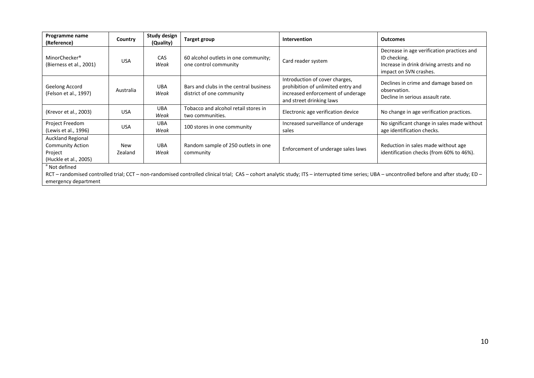| Programme name<br>(Reference)                                                                                       | Country        | Study design<br>(Quality) | <b>Target group</b>                                                 | <b>Intervention</b>                                                                                                                   | <b>Outcomes</b>                                                                                                                  |
|---------------------------------------------------------------------------------------------------------------------|----------------|---------------------------|---------------------------------------------------------------------|---------------------------------------------------------------------------------------------------------------------------------------|----------------------------------------------------------------------------------------------------------------------------------|
| MinorChecker <sup>®</sup><br>(Bierness et al., 2001)                                                                | <b>USA</b>     | CAS<br>Weak               | 60 alcohol outlets in one community;<br>one control community       | Card reader system                                                                                                                    | Decrease in age verification practices and<br>ID checking.<br>Increase in drink driving arrests and no<br>impact on SVN crashes. |
| Geelong Accord<br>(Felson et al., 1997)                                                                             | Australia      | <b>UBA</b><br>Weak        | Bars and clubs in the central business<br>district of one community | Introduction of cover charges,<br>prohibition of unlimited entry and<br>increased enforcement of underage<br>and street drinking laws | Declines in crime and damage based on<br>observation.<br>Decline in serious assault rate.                                        |
| (Krevor et al., 2003)                                                                                               | <b>USA</b>     | <b>UBA</b><br>Weak        | Tobacco and alcohol retail stores in<br>two communities.            | Electronic age verification device                                                                                                    | No change in age verification practices.                                                                                         |
| Project Freedom<br>(Lewis et al., 1996)                                                                             | <b>USA</b>     | <b>UBA</b><br>Weak        | 100 stores in one community                                         | Increased surveillance of underage<br>sales                                                                                           | No significant change in sales made without<br>age identification checks.                                                        |
| <b>Auckland Regional</b><br><b>Community Action</b><br>Project<br>(Huckle et al., 2005)<br><sup>d</sup> Not defined | New<br>Zealand | <b>UBA</b><br>Weak        | Random sample of 250 outlets in one<br>community                    | Enforcement of underage sales laws                                                                                                    | Reduction in sales made without age<br>identification checks (from 60% to 46%).                                                  |

Not lefined

RCT – randomised controlled trial; CCT – non-randomised controlled clinical trial; CAS – cohort analytic study; ITS – interrupted time series; UBA – uncontrolled before and after study; ED – emergency department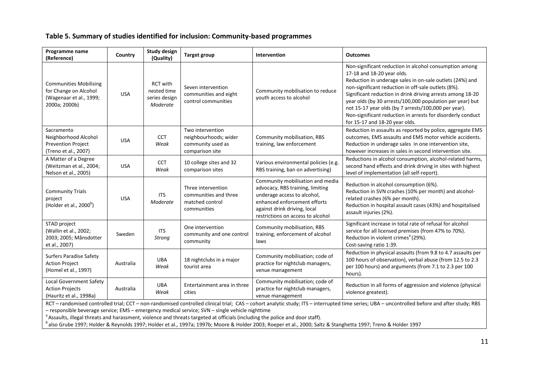### **Table 5. Summary of studies identified for inclusion: Community-based programmes**

| Programme name<br>(Reference)                                                                                                                                                                                                                                                                                                                                                                                                       | Country    | <b>Study design</b><br>(Quality)                            | <b>Target group</b>                                                               | Intervention                                                                                                                                                                                             | <b>Outcomes</b>                                                                                                                                                                                                                                                                                                                                                                                                                                                                             |  |  |  |
|-------------------------------------------------------------------------------------------------------------------------------------------------------------------------------------------------------------------------------------------------------------------------------------------------------------------------------------------------------------------------------------------------------------------------------------|------------|-------------------------------------------------------------|-----------------------------------------------------------------------------------|----------------------------------------------------------------------------------------------------------------------------------------------------------------------------------------------------------|---------------------------------------------------------------------------------------------------------------------------------------------------------------------------------------------------------------------------------------------------------------------------------------------------------------------------------------------------------------------------------------------------------------------------------------------------------------------------------------------|--|--|--|
| <b>Communities Mobilising</b><br>for Change on Alcohol<br>(Wagenaar et al., 1999;<br>2000a; 2000b)                                                                                                                                                                                                                                                                                                                                  | <b>USA</b> | <b>RCT with</b><br>nested time<br>series design<br>Moderate | Seven intervention<br>communities and eight<br>control communities                | Community mobilisation to reduce<br>youth access to alcohol                                                                                                                                              | Non-significant reduction in alcohol consumption among<br>17-18 and 18-20 year olds.<br>Reduction in underage sales in on-sale outlets (24%) and<br>non-significant reduction in off-sale outlets (8%).<br>Significant reduction in drink driving arrests among 18-20<br>year olds (by 30 arrests/100,000 population per year) but<br>not 15-17 year olds (by 7 arrests/100,000 per year).<br>Non-significant reduction in arrests for disorderly conduct<br>for 15-17 and 18-20 year olds. |  |  |  |
| Sacramento<br>Neighborhood Alcohol<br>Prevention Project<br>(Treno et al., 2007)                                                                                                                                                                                                                                                                                                                                                    | <b>USA</b> | <b>CCT</b><br>Weak                                          | Two intervention<br>neighbourhoods; wider<br>community used as<br>comparison site | Community mobilisation, RBS<br>training, law enforcement                                                                                                                                                 | Reduction in assaults as reported by police, aggregate EMS<br>outcomes, EMS assaults and EMS motor vehicle accidents.<br>Reduction in underage sales in one intervention site,<br>however increases in sales in second intervention site.                                                                                                                                                                                                                                                   |  |  |  |
| A Matter of a Degree<br>(Weitzman et al., 2004;<br>Nelson et al., 2005)                                                                                                                                                                                                                                                                                                                                                             | <b>USA</b> | <b>CCT</b><br>Weak                                          | 10 college sites and 32<br>comparison sites                                       | Various environmental policies (e.g.<br>RBS training, ban on advertising)                                                                                                                                | Reductions in alcohol consumption, alcohol-related harms,<br>second hand effects and drink driving in sites with highest<br>level of implementation (all self-report).                                                                                                                                                                                                                                                                                                                      |  |  |  |
| <b>Community Trials</b><br>project<br>(Holder et al., $2000^b$ )                                                                                                                                                                                                                                                                                                                                                                    | <b>USA</b> | <b>ITS</b><br>Moderate                                      | Three intervention<br>communities and three<br>matched control<br>communities     | Community mobilisation and media<br>advocacy, RBS training, limiting<br>underage access to alcohol,<br>enhanced enforcement efforts<br>against drink driving, local<br>restrictions on access to alcohol | Reduction in alcohol consumption (6%).<br>Reduction in SVN crashes (10% per month) and alcohol-<br>related crashes (6% per month).<br>Reduction in hospital assault cases (43%) and hospitalised<br>assault injuries (2%).                                                                                                                                                                                                                                                                  |  |  |  |
| STAD project<br>(Wallin et al., 2002;<br>2003; 2005; Månsdotter<br>et al., 2007)                                                                                                                                                                                                                                                                                                                                                    | Sweden     | <b>ITS</b><br>Strong                                        | One intervention<br>community and one control<br>community                        | Community mobilisation, RBS<br>training, enforcement of alcohol<br>laws                                                                                                                                  | Significant increase in total rate of refusal for alcohol<br>service for all licensed premises (from 47% to 70%).<br>Reduction in violent crimes <sup>a</sup> (29%).<br>Cost-saving ratio 1:39.                                                                                                                                                                                                                                                                                             |  |  |  |
| <b>Surfers Paradise Safety</b><br><b>Action Project</b><br>(Homel et al., 1997)                                                                                                                                                                                                                                                                                                                                                     | Australia  | UBA<br>Weak                                                 | 18 nightclubs in a major<br>tourist area                                          | Community mobilisation; code of<br>practice for nightclub managers,<br>venue management                                                                                                                  | Reduction in physical assaults (from 9.8 to 4.7 assaults per<br>100 hours of observation), verbal abuse (from 12.5 to 2.3<br>per 100 hours) and arguments (from 7.1 to 2.3 per 100<br>hours).                                                                                                                                                                                                                                                                                               |  |  |  |
| <b>Local Government Safety</b><br><b>Action Projects</b><br>(Hauritz et al., 1998a)                                                                                                                                                                                                                                                                                                                                                 | Australia  | UBA<br>Weak                                                 | Entertainment area in three<br>cities                                             | Community mobilisation; code of<br>practice for nightclub managers,<br>venue management                                                                                                                  | Reduction in all forms of aggression and violence (physical<br>violence greatest).                                                                                                                                                                                                                                                                                                                                                                                                          |  |  |  |
| RCT - randomised controlled trial; CCT - non-randomised controlled clinical trial; CAS - cohort analytic study; ITS - interrupted time series; UBA - uncontrolled before and after study; RBS<br>- responsible beverage service; EMS - emergency medical service; SVN - single vehicle nighttime<br>$^6$ Accounts illoged threats and horsecoment, violence and threats torreted at efficiels (including the police and deep staff) |            |                                                             |                                                                                   |                                                                                                                                                                                                          |                                                                                                                                                                                                                                                                                                                                                                                                                                                                                             |  |  |  |

<span id="page-19-0"></span>Assaults, illegal threats and harassment, violence and threats targeted at officials (including the police and door staff).

b<br>balso Grube 1997; Holder & Reynolds 1997; Holder et al., 1997a; 1997b; Moore & Holder 2003; Roeper et al., 2000; Saltz & Stanghetta 1997; Treno & Holder 1997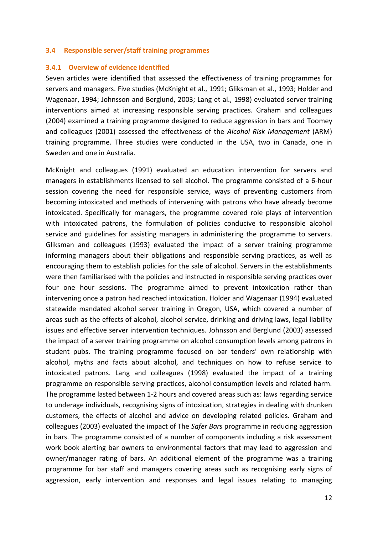### <span id="page-20-0"></span>**3.4 Responsible server/staff training programmes**

#### <span id="page-20-1"></span>**3.4.1 Overview of evidence identified**

Seven articles were identified that assessed the effectiveness of training programmes for servers and managers. Five studies (McKnight et al., 1991; Gliksman et al., 1993; Holder and Wagenaar, 1994; Johnsson and Berglund, 2003; Lang et al., 1998) evaluated server training interventions aimed at increasing responsible serving practices. Graham and colleagues (2004) examined a training programme designed to reduce aggression in bars and Toomey and colleagues (2001) assessed the effectiveness of the *Alcohol Risk Management* (ARM) training programme. Three studies were conducted in the USA, two in Canada, one in Sweden and one in Australia.

McKnight and colleagues (1991) evaluated an education intervention for servers and managers in establishments licensed to sell alcohol. The programme consisted of a 6-hour session covering the need for responsible service, ways of preventing customers from becoming intoxicated and methods of intervening with patrons who have already become intoxicated. Specifically for managers, the programme covered role plays of intervention with intoxicated patrons, the formulation of policies conducive to responsible alcohol service and guidelines for assisting managers in administering the programme to servers. Gliksman and colleagues (1993) evaluated the impact of a server training programme informing managers about their obligations and responsible serving practices, as well as encouraging them to establish policies for the sale of alcohol. Servers in the establishments were then familiarised with the policies and instructed in responsible serving practices over four one hour sessions. The programme aimed to prevent intoxication rather than intervening once a patron had reached intoxication. Holder and Wagenaar (1994) evaluated statewide mandated alcohol server training in Oregon, USA, which covered a number of areas such as the effects of alcohol, alcohol service, drinking and driving laws, legal liability issues and effective server intervention techniques. Johnsson and Berglund (2003) assessed the impact of a server training programme on alcohol consumption levels among patrons in student pubs. The training programme focused on bar tenders' own relationship with alcohol, myths and facts about alcohol, and techniques on how to refuse service to intoxicated patrons. Lang and colleagues (1998) evaluated the impact of a training programme on responsible serving practices, alcohol consumption levels and related harm. The programme lasted between 1-2 hours and covered areas such as: laws regarding service to underage individuals, recognising signs of intoxication, strategies in dealing with drunken customers, the effects of alcohol and advice on developing related policies. Graham and colleagues (2003) evaluated the impact of The *Safer Bars* programme in reducing aggression in bars. The programme consisted of a number of components including a risk assessment work book alerting bar owners to environmental factors that may lead to aggression and owner/manager rating of bars. An additional element of the programme was a training programme for bar staff and managers covering areas such as recognising early signs of aggression, early intervention and responses and legal issues relating to managing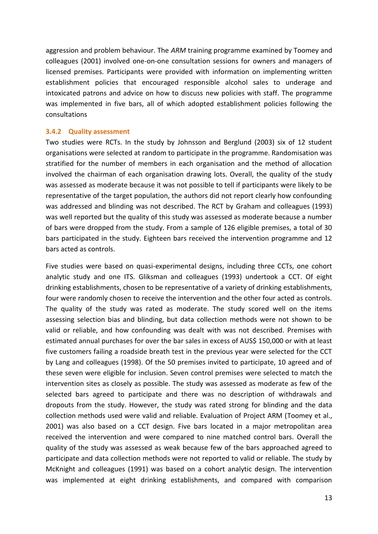aggression and problem behaviour. The *ARM* training programme examined by Toomey and colleagues (2001) involved one-on-one consultation sessions for owners and managers of licensed premises. Participants were provided with information on implementing written establishment policies that encouraged responsible alcohol sales to underage and intoxicated patrons and advice on how to discuss new policies with staff. The programme was implemented in five bars, all of which adopted establishment policies following the consultations

### <span id="page-21-0"></span>**3.4.2 Quality assessment**

Two studies were RCTs. In the study by Johnsson and Berglund (2003) six of 12 student organisations were selected at random to participate in the programme. Randomisation was stratified for the number of members in each organisation and the method of allocation involved the chairman of each organisation drawing lots. Overall, the quality of the study was assessed as moderate because it was not possible to tell if participants were likely to be representative of the target population, the authors did not report clearly how confounding was addressed and blinding was not described. The RCT by Graham and colleagues (1993) was well reported but the quality of this study was assessed as moderate because a number of bars were dropped from the study. From a sample of 126 eligible premises, a total of 30 bars participated in the study. Eighteen bars received the intervention programme and 12 bars acted as controls.

Five studies were based on quasi-experimental designs, including three CCTs, one cohort analytic study and one ITS. Gliksman and colleagues (1993) undertook a CCT. Of eight drinking establishments, chosen to be representative of a variety of drinking establishments, four were randomly chosen to receive the intervention and the other four acted as controls. The quality of the study was rated as moderate. The study scored well on the items assessing selection bias and blinding, but data collection methods were not shown to be valid or reliable, and how confounding was dealt with was not described. Premises with estimated annual purchases for over the bar sales in excess of AUS\$ 150,000 or with at least five customers failing a roadside breath test in the previous year were selected for the CCT by Lang and colleagues (1998). Of the 50 premises invited to participate, 10 agreed and of these seven were eligible for inclusion. Seven control premises were selected to match the intervention sites as closely as possible. The study was assessed as moderate as few of the selected bars agreed to participate and there was no description of withdrawals and dropouts from the study. However, the study was rated strong for blinding and the data collection methods used were valid and reliable. Evaluation of Project ARM (Toomey et al., 2001) was also based on a CCT design. Five bars located in a major metropolitan area received the intervention and were compared to nine matched control bars. Overall the quality of the study was assessed as weak because few of the bars approached agreed to participate and data collection methods were not reported to valid or reliable. The study by McKnight and colleagues (1991) was based on a cohort analytic design. The intervention was implemented at eight drinking establishments, and compared with comparison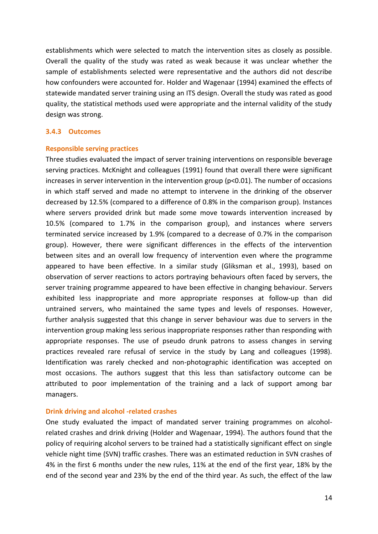establishments which were selected to match the intervention sites as closely as possible. Overall the quality of the study was rated as weak because it was unclear whether the sample of establishments selected were representative and the authors did not describe how confounders were accounted for. Holder and Wagenaar (1994) examined the effects of statewide mandated server training using an ITS design. Overall the study was rated as good quality, the statistical methods used were appropriate and the internal validity of the study design was strong.

### <span id="page-22-0"></span>**3.4.3 Outcomes**

### **Responsible serving practices**

Three studies evaluated the impact of server training interventions on responsible beverage serving practices. McKnight and colleagues (1991) found that overall there were significant increases in server intervention in the intervention group (p<0.01). The number of occasions in which staff served and made no attempt to intervene in the drinking of the observer decreased by 12.5% (compared to a difference of 0.8% in the comparison group). Instances where servers provided drink but made some move towards intervention increased by 10.5% (compared to 1.7% in the comparison group), and instances where servers terminated service increased by 1.9% (compared to a decrease of 0.7% in the comparison group). However, there were significant differences in the effects of the intervention between sites and an overall low frequency of intervention even where the programme appeared to have been effective. In a similar study (Gliksman et al., 1993), based on observation of server reactions to actors portraying behaviours often faced by servers, the server training programme appeared to have been effective in changing behaviour. Servers exhibited less inappropriate and more appropriate responses at follow-up than did untrained servers, who maintained the same types and levels of responses. However, further analysis suggested that this change in server behaviour was due to servers in the intervention group making less serious inappropriate responses rather than responding with appropriate responses. The use of pseudo drunk patrons to assess changes in serving practices revealed rare refusal of service in the study by Lang and colleagues (1998). Identification was rarely checked and non-photographic identification was accepted on most occasions. The authors suggest that this less than satisfactory outcome can be attributed to poor implementation of the training and a lack of support among bar managers.

### **Drink driving and alcohol -related crashes**

One study evaluated the impact of mandated server training programmes on alcoholrelated crashes and drink driving (Holder and Wagenaar, 1994). The authors found that the policy of requiring alcohol servers to be trained had a statistically significant effect on single vehicle night time (SVN) traffic crashes. There was an estimated reduction in SVN crashes of 4% in the first 6 months under the new rules, 11% at the end of the first year, 18% by the end of the second year and 23% by the end of the third year. As such, the effect of the law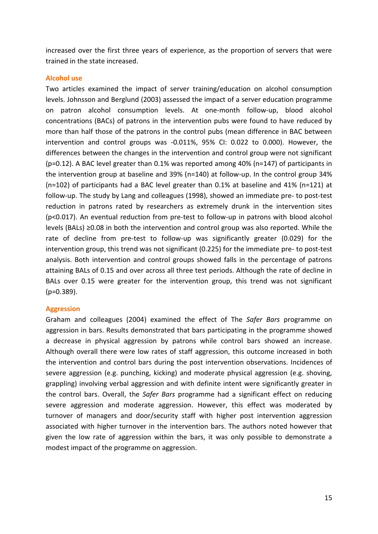increased over the first three years of experience, as the proportion of servers that were trained in the state increased.

### **Alcohol use**

Two articles examined the impact of server training/education on alcohol consumption levels. Johnsson and Berglund (2003) assessed the impact of a server education programme on patron alcohol consumption levels. At one-month follow-up, blood alcohol concentrations (BACs) of patrons in the intervention pubs were found to have reduced by more than half those of the patrons in the control pubs (mean difference in BAC between intervention and control groups was -0.011%, 95% CI: 0.022 to 0.000). However, the differences between the changes in the intervention and control group were not significant (p=0.12). A BAC level greater than 0.1% was reported among 40% (n=147) of participants in the intervention group at baseline and 39% (n=140) at follow-up. In the control group 34% (n=102) of participants had a BAC level greater than 0.1% at baseline and 41% (n=121) at follow-up. The study by Lang and colleagues (1998), showed an immediate pre- to post-test reduction in patrons rated by researchers as extremely drunk in the intervention sites (p<0.017). An eventual reduction from pre-test to follow-up in patrons with blood alcohol levels (BALs) ≥0.08 in both the intervention and control group was also reported. While the rate of decline from pre-test to follow-up was significantly greater (0.029) for the intervention group, this trend was not significant (0.225) for the immediate pre- to post-test analysis. Both intervention and control groups showed falls in the percentage of patrons attaining BALs of 0.15 and over across all three test periods. Although the rate of decline in BALs over 0.15 were greater for the intervention group, this trend was not significant (p=0.389).

### **Aggression**

Graham and colleagues (2004) examined the effect of The *Safer Bars* programme on aggression in bars. Results demonstrated that bars participating in the programme showed a decrease in physical aggression by patrons while control bars showed an increase. Although overall there were low rates of staff aggression, this outcome increased in both the intervention and control bars during the post intervention observations. Incidences of severe aggression (e.g. punching, kicking) and moderate physical aggression (e.g. shoving, grappling) involving verbal aggression and with definite intent were significantly greater in the control bars. Overall, the *Safer Bars* programme had a significant effect on reducing severe aggression and moderate aggression. However, this effect was moderated by turnover of managers and door/security staff with higher post intervention aggression associated with higher turnover in the intervention bars. The authors noted however that given the low rate of aggression within the bars, it was only possible to demonstrate a modest impact of the programme on aggression.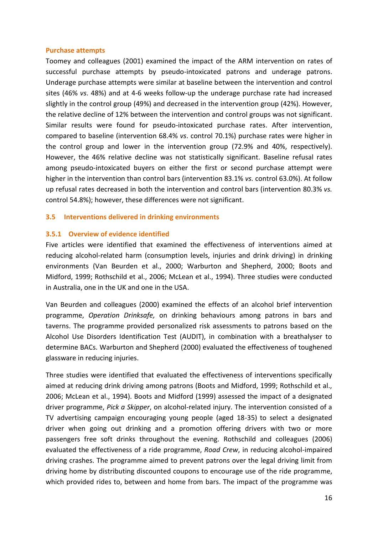### **Purchase attempts**

Toomey and colleagues (2001) examined the impact of the ARM intervention on rates of successful purchase attempts by pseudo-intoxicated patrons and underage patrons. Underage purchase attempts were similar at baseline between the intervention and control sites (46% *vs*. 48%) and at 4-6 weeks follow-up the underage purchase rate had increased slightly in the control group (49%) and decreased in the intervention group (42%). However, the relative decline of 12% between the intervention and control groups was not significant. Similar results were found for pseudo-intoxicated purchase rates. After intervention, compared to baseline (intervention 68.4% *vs*. control 70.1%) purchase rates were higher in the control group and lower in the intervention group (72.9% and 40%, respectively). However, the 46% relative decline was not statistically significant. Baseline refusal rates among pseudo-intoxicated buyers on either the first or second purchase attempt were higher in the intervention than control bars (intervention 83.1% *vs.* control 63.0%). At follow up refusal rates decreased in both the intervention and control bars (intervention 80.3% *vs.* control 54.8%); however, these differences were not significant.

### <span id="page-24-0"></span>**3.5 Interventions delivered in drinking environments**

### <span id="page-24-1"></span>**3.5.1 Overview of evidence identified**

Five articles were identified that examined the effectiveness of interventions aimed at reducing alcohol-related harm (consumption levels, injuries and drink driving) in drinking environments (Van Beurden et al., 2000; Warburton and Shepherd, 2000; Boots and Midford, 1999; Rothschild et al., 2006; McLean et al., 1994). Three studies were conducted in Australia, one in the UK and one in the USA.

Van Beurden and colleagues (2000) examined the effects of an alcohol brief intervention programme, *Operation Drinksafe,* on drinking behaviours among patrons in bars and taverns. The programme provided personalized risk assessments to patrons based on the Alcohol Use Disorders Identification Test (AUDIT), in combination with a breathalyser to determine BACs. Warburton and Shepherd (2000) evaluated the effectiveness of toughened glassware in reducing injuries.

Three studies were identified that evaluated the effectiveness of interventions specifically aimed at reducing drink driving among patrons (Boots and Midford, 1999; Rothschild et al., 2006; McLean et al., 1994). Boots and Midford (1999) assessed the impact of a designated driver programme, *Pick a Skipper*, on alcohol-related injury. The intervention consisted of a TV advertising campaign encouraging young people (aged 18-35) to select a designated driver when going out drinking and a promotion offering drivers with two or more passengers free soft drinks throughout the evening. Rothschild and colleagues (2006) evaluated the effectiveness of a ride programme, *Road Crew*, in reducing alcohol-impaired driving crashes. The programme aimed to prevent patrons over the legal driving limit from driving home by distributing discounted coupons to encourage use of the ride programme, which provided rides to, between and home from bars. The impact of the programme was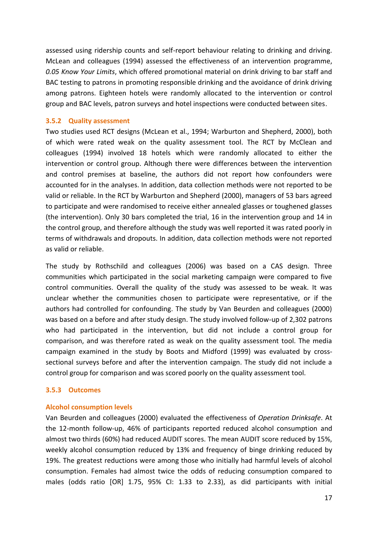assessed using ridership counts and self-report behaviour relating to drinking and driving. McLean and colleagues (1994) assessed the effectiveness of an intervention programme, *0.05 Know Your Limits*, which offered promotional material on drink driving to bar staff and BAC testing to patrons in promoting responsible drinking and the avoidance of drink driving among patrons. Eighteen hotels were randomly allocated to the intervention or control group and BAC levels, patron surveys and hotel inspections were conducted between sites.

### <span id="page-25-0"></span>**3.5.2 Quality assessment**

Two studies used RCT designs (McLean et al., 1994; Warburton and Shepherd, 2000), both of which were rated weak on the quality assessment tool. The RCT by McClean and colleagues (1994) involved 18 hotels which were randomly allocated to either the intervention or control group. Although there were differences between the intervention and control premises at baseline, the authors did not report how confounders were accounted for in the analyses. In addition, data collection methods were not reported to be valid or reliable. In the RCT by Warburton and Shepherd (2000), managers of 53 bars agreed to participate and were randomised to receive either annealed glasses or toughened glasses (the intervention). Only 30 bars completed the trial, 16 in the intervention group and 14 in the control group, and therefore although the study was well reported it was rated poorly in terms of withdrawals and dropouts. In addition, data collection methods were not reported as valid or reliable.

The study by Rothschild and colleagues (2006) was based on a CAS design. Three communities which participated in the social marketing campaign were compared to five control communities. Overall the quality of the study was assessed to be weak. It was unclear whether the communities chosen to participate were representative, or if the authors had controlled for confounding. The study by Van Beurden and colleagues (2000) was based on a before and after study design. The study involved follow-up of 2,302 patrons who had participated in the intervention, but did not include a control group for comparison, and was therefore rated as weak on the quality assessment tool. The media campaign examined in the study by Boots and Midford (1999) was evaluated by crosssectional surveys before and after the intervention campaign. The study did not include a control group for comparison and was scored poorly on the quality assessment tool.

### <span id="page-25-1"></span>**3.5.3 Outcomes**

### **Alcohol consumption levels**

Van Beurden and colleagues (2000) evaluated the effectiveness of *Operation Drinksafe*. At the 12-month follow-up, 46% of participants reported reduced alcohol consumption and almost two thirds (60%) had reduced AUDIT scores. The mean AUDIT score reduced by 15%, weekly alcohol consumption reduced by 13% and frequency of binge drinking reduced by 19%. The greatest reductions were among those who initially had harmful levels of alcohol consumption. Females had almost twice the odds of reducing consumption compared to males (odds ratio [OR] 1.75, 95% CI: 1.33 to 2.33), as did participants with initial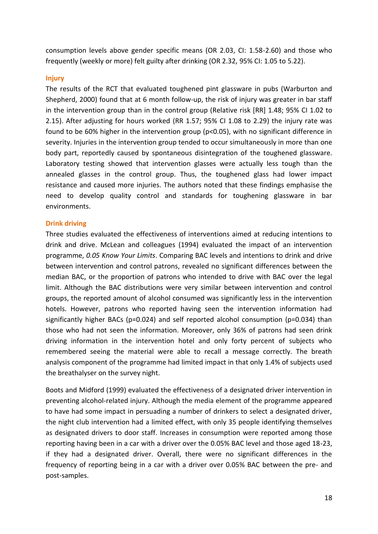consumption levels above gender specific means (OR 2.03, CI: 1.58-2.60) and those who frequently (weekly or more) felt guilty after drinking (OR 2.32, 95% CI: 1.05 to 5.22).

### **Injury**

The results of the RCT that evaluated toughened pint glassware in pubs (Warburton and Shepherd, 2000) found that at 6 month follow-up, the risk of injury was greater in bar staff in the intervention group than in the control group (Relative risk [RR] 1.48; 95% CI 1.02 to 2.15). After adjusting for hours worked (RR 1.57; 95% CI 1.08 to 2.29) the injury rate was found to be 60% higher in the intervention group (p<0.05), with no significant difference in severity. Injuries in the intervention group tended to occur simultaneously in more than one body part, reportedly caused by spontaneous disintegration of the toughened glassware. Laboratory testing showed that intervention glasses were actually less tough than the annealed glasses in the control group. Thus, the toughened glass had lower impact resistance and caused more injuries. The authors noted that these findings emphasise the need to develop quality control and standards for toughening glassware in bar environments.

### **Drink driving**

Three studies evaluated the effectiveness of interventions aimed at reducing intentions to drink and drive. McLean and colleagues (1994) evaluated the impact of an intervention programme, *0.05 Know Your Limits*. Comparing BAC levels and intentions to drink and drive between intervention and control patrons, revealed no significant differences between the median BAC, or the proportion of patrons who intended to drive with BAC over the legal limit. Although the BAC distributions were very similar between intervention and control groups, the reported amount of alcohol consumed was significantly less in the intervention hotels. However, patrons who reported having seen the intervention information had significantly higher BACs (p=0.024) and self reported alcohol consumption (p=0.034) than those who had not seen the information. Moreover, only 36% of patrons had seen drink driving information in the intervention hotel and only forty percent of subjects who remembered seeing the material were able to recall a message correctly. The breath analysis component of the programme had limited impact in that only 1.4% of subjects used the breathalyser on the survey night.

Boots and Midford (1999) evaluated the effectiveness of a designated driver intervention in preventing alcohol-related injury. Although the media element of the programme appeared to have had some impact in persuading a number of drinkers to select a designated driver, the night club intervention had a limited effect, with only 35 people identifying themselves as designated drivers to door staff. Increases in consumption were reported among those reporting having been in a car with a driver over the 0.05% BAC level and those aged 18-23, if they had a designated driver. Overall, there were no significant differences in the frequency of reporting being in a car with a driver over 0.05% BAC between the pre- and post-samples.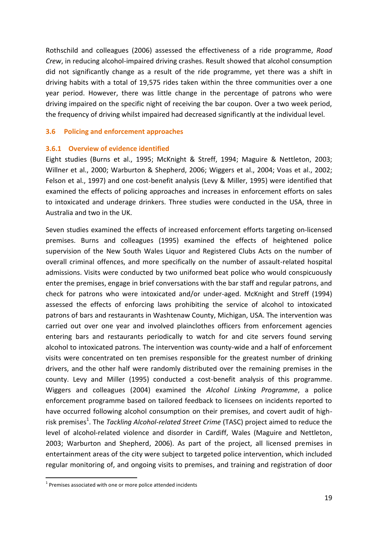Rothschild and colleagues (2006) assessed the effectiveness of a ride programme, *Road Crew*, in reducing alcohol-impaired driving crashes. Result showed that alcohol consumption did not significantly change as a result of the ride programme, yet there was a shift in driving habits with a total of 19,575 rides taken within the three communities over a one year period. However, there was little change in the percentage of patrons who were driving impaired on the specific night of receiving the bar coupon. Over a two week period, the frequency of driving whilst impaired had decreased significantly at the individual level.

### <span id="page-27-0"></span>**3.6 Policing and enforcement approaches**

### <span id="page-27-1"></span>**3.6.1 Overview of evidence identified**

Eight studies (Burns et al., 1995; McKnight & Streff, 1994; Maguire & Nettleton, 2003; Willner et al., 2000; Warburton & Shepherd, 2006; Wiggers et al., 2004; Voas et al., 2002; Felson et al., 1997) and one cost-benefit analysis (Levy & Miller, 1995) were identified that examined the effects of policing approaches and increases in enforcement efforts on sales to intoxicated and underage drinkers. Three studies were conducted in the USA, three in Australia and two in the UK.

Seven studies examined the effects of increased enforcement efforts targeting on-licensed premises. Burns and colleagues (1995) examined the effects of heightened police supervision of the New South Wales Liquor and Registered Clubs Acts on the number of overall criminal offences, and more specifically on the number of assault-related hospital admissions. Visits were conducted by two uniformed beat police who would conspicuously enter the premises, engage in brief conversations with the bar staff and regular patrons, and check for patrons who were intoxicated and/or under-aged. McKnight and Streff (1994) assessed the effects of enforcing laws prohibiting the service of alcohol to intoxicated patrons of bars and restaurants in Washtenaw County, Michigan, USA. The intervention was carried out over one year and involved plainclothes officers from enforcement agencies entering bars and restaurants periodically to watch for and cite servers found serving alcohol to intoxicated patrons. The intervention was county-wide and a half of enforcement visits were concentrated on ten premises responsible for the greatest number of drinking drivers, and the other half were randomly distributed over the remaining premises in the county. Levy and Miller (1995) conducted a cost-benefit analysis of this programme. Wiggers and colleagues (2004) examined the *Alcohol Linking Programme*, a police enforcement programme based on tailored feedback to licensees on incidents reported to have occurred following alcohol consumption on their premises, and covert audit of highrisk premises<sup>1</sup>. The *Tackling Alcohol-related Street Crime* (TASC) project aimed to reduce the level of alcohol-related violence and disorder in Cardiff, Wales (Maguire and Nettleton, 2003; Warburton and Shepherd, 2006). As part of the project, all licensed premises in entertainment areas of the city were subject to targeted police intervention, which included regular monitoring of, and ongoing visits to premises, and training and registration of door

-

 $1$  Premises associated with one or more police attended incidents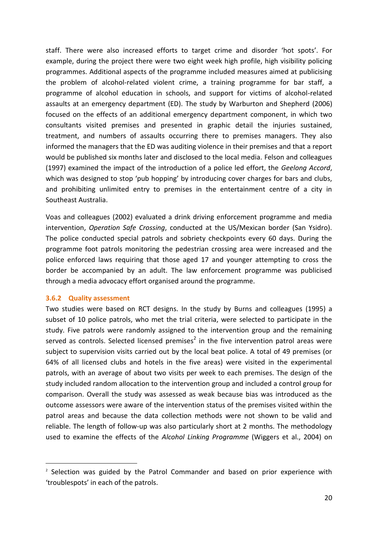staff. There were also increased efforts to target crime and disorder 'hot spots'. For example, during the project there were two eight week high profile, high visibility policing programmes. Additional aspects of the programme included measures aimed at publicising the problem of alcohol-related violent crime, a training programme for bar staff, a programme of alcohol education in schools, and support for victims of alcohol-related assaults at an emergency department (ED). The study by Warburton and Shepherd (2006) focused on the effects of an additional emergency department component, in which two consultants visited premises and presented in graphic detail the injuries sustained, treatment, and numbers of assaults occurring there to premises managers. They also informed the managers that the ED was auditing violence in their premises and that a report would be published six months later and disclosed to the local media. Felson and colleagues (1997) examined the impact of the introduction of a police led effort, the *Geelong Accord*, which was designed to stop 'pub hopping' by introducing cover charges for bars and clubs, and prohibiting unlimited entry to premises in the entertainment centre of a city in Southeast Australia.

Voas and colleagues (2002) evaluated a drink driving enforcement programme and media intervention, *Operation Safe Crossing*, conducted at the US/Mexican border (San Ysidro). The police conducted special patrols and sobriety checkpoints every 60 days. During the programme foot patrols monitoring the pedestrian crossing area were increased and the police enforced laws requiring that those aged 17 and younger attempting to cross the border be accompanied by an adult. The law enforcement programme was publicised through a media advocacy effort organised around the programme.

### <span id="page-28-0"></span>**3.6.2 Quality assessment**

-

Two studies were based on RCT designs. In the study by Burns and colleagues (1995) a subset of 10 police patrols, who met the trial criteria, were selected to participate in the study. Five patrols were randomly assigned to the intervention group and the remaining served as controls. Selected licensed premises<sup>2</sup> in the five intervention patrol areas were subject to supervision visits carried out by the local beat police. A total of 49 premises (or 64% of all licensed clubs and hotels in the five areas) were visited in the experimental patrols, with an average of about two visits per week to each premises. The design of the study included random allocation to the intervention group and included a control group for comparison. Overall the study was assessed as weak because bias was introduced as the outcome assessors were aware of the intervention status of the premises visited within the patrol areas and because the data collection methods were not shown to be valid and reliable. The length of follow-up was also particularly short at 2 months. The methodology used to examine the effects of the *Alcohol Linking Programme* (Wiggers et al., 2004) on

<sup>&</sup>lt;sup>2</sup> Selection was guided by the Patrol Commander and based on prior experience with 'troublespots' in each of the patrols.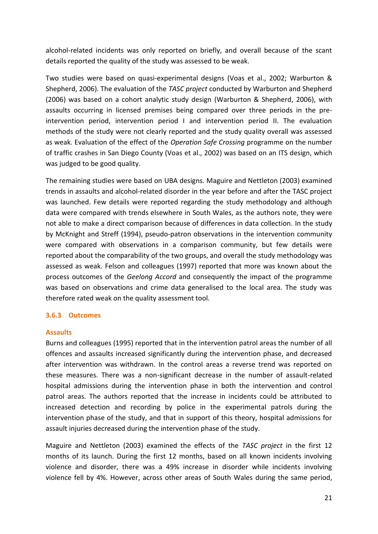alcohol-related incidents was only reported on briefly, and overall because of the scant details reported the quality of the study was assessed to be weak.

Two studies were based on quasi-experimental designs (Voas et al., 2002; Warburton & Shepherd, 2006). The evaluation of the *TASC project* conducted by Warburton and Shepherd (2006) was based on a cohort analytic study design (Warburton & Shepherd, 2006), with assaults occurring in licensed premises being compared over three periods in the preintervention period, intervention period I and intervention period II. The evaluation methods of the study were not clearly reported and the study quality overall was assessed as weak. Evaluation of the effect of the *Operation Safe Crossing* programme on the number of traffic crashes in San Diego County (Voas et al., 2002) was based on an ITS design, which was judged to be good quality.

The remaining studies were based on UBA designs. Maguire and Nettleton (2003) examined trends in assaults and alcohol-related disorder in the year before and after the TASC project was launched. Few details were reported regarding the study methodology and although data were compared with trends elsewhere in South Wales, as the authors note, they were not able to make a direct comparison because of differences in data collection. In the study by McKnight and Streff (1994), pseudo-patron observations in the intervention community were compared with observations in a comparison community, but few details were reported about the comparability of the two groups, and overall the study methodology was assessed as weak. Felson and colleagues (1997) reported that more was known about the process outcomes of the *Geelong Accord* and consequently the impact of the programme was based on observations and crime data generalised to the local area. The study was therefore rated weak on the quality assessment tool.

### <span id="page-29-0"></span>**3.6.3 Outcomes**

### **Assaults**

Burns and colleagues (1995) reported that in the intervention patrol areas the number of all offences and assaults increased significantly during the intervention phase, and decreased after intervention was withdrawn. In the control areas a reverse trend was reported on these measures. There was a non-significant decrease in the number of assault-related hospital admissions during the intervention phase in both the intervention and control patrol areas. The authors reported that the increase in incidents could be attributed to increased detection and recording by police in the experimental patrols during the intervention phase of the study, and that in support of this theory, hospital admissions for assault injuries decreased during the intervention phase of the study.

Maguire and Nettleton (2003) examined the effects of the *TASC project* in the first 12 months of its launch. During the first 12 months, based on all known incidents involving violence and disorder, there was a 49% increase in disorder while incidents involving violence fell by 4%. However, across other areas of South Wales during the same period,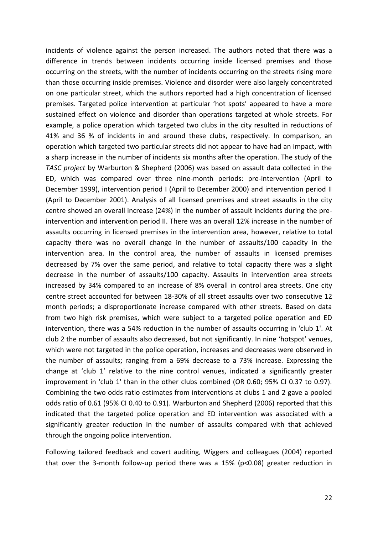incidents of violence against the person increased. The authors noted that there was a difference in trends between incidents occurring inside licensed premises and those occurring on the streets, with the number of incidents occurring on the streets rising more than those occurring inside premises. Violence and disorder were also largely concentrated on one particular street, which the authors reported had a high concentration of licensed premises. Targeted police intervention at particular 'hot spots' appeared to have a more sustained effect on violence and disorder than operations targeted at whole streets. For example, a police operation which targeted two clubs in the city resulted in reductions of 41% and 36 % of incidents in and around these clubs, respectively. In comparison, an operation which targeted two particular streets did not appear to have had an impact, with a sharp increase in the number of incidents six months after the operation. The study of the *TASC project* by Warburton & Shepherd (2006) was based on assault data collected in the ED, which was compared over three nine-month periods: pre-intervention (April to December 1999), intervention period I (April to December 2000) and intervention period II (April to December 2001). Analysis of all licensed premises and street assaults in the city centre showed an overall increase (24%) in the number of assault incidents during the preintervention and intervention period II. There was an overall 12% increase in the number of assaults occurring in licensed premises in the intervention area, however, relative to total capacity there was no overall change in the number of assaults/100 capacity in the intervention area. In the control area, the number of assaults in licensed premises decreased by 7% over the same period, and relative to total capacity there was a slight decrease in the number of assaults/100 capacity. Assaults in intervention area streets increased by 34% compared to an increase of 8% overall in control area streets. One city centre street accounted for between 18-30% of all street assaults over two consecutive 12 month periods; a disproportionate increase compared with other streets. Based on data from two high risk premises, which were subject to a targeted police operation and ED intervention, there was a 54% reduction in the number of assaults occurring in 'club 1'. At club 2 the number of assaults also decreased, but not significantly. In nine 'hotspot' venues, which were not targeted in the police operation, increases and decreases were observed in the number of assaults; ranging from a 69% decrease to a 73% increase. Expressing the change at 'club 1' relative to the nine control venues, indicated a significantly greater improvement in 'club 1' than in the other clubs combined (OR 0.60; 95% CI 0.37 to 0.97). Combining the two odds ratio estimates from interventions at clubs 1 and 2 gave a pooled odds ratio of 0.61 (95% CI 0.40 to 0.91). Warburton and Shepherd (2006) reported that this indicated that the targeted police operation and ED intervention was associated with a significantly greater reduction in the number of assaults compared with that achieved through the ongoing police intervention.

Following tailored feedback and covert auditing, Wiggers and colleagues (2004) reported that over the 3-month follow-up period there was a 15% (p<0.08) greater reduction in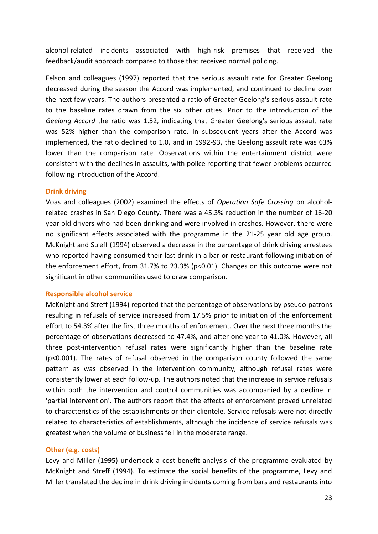alcohol-related incidents associated with high-risk premises that received the feedback/audit approach compared to those that received normal policing.

Felson and colleagues (1997) reported that the serious assault rate for Greater Geelong decreased during the season the Accord was implemented, and continued to decline over the next few years. The authors presented a ratio of Greater Geelong's serious assault rate to the baseline rates drawn from the six other cities. Prior to the introduction of the *Geelong Accord* the ratio was 1.52, indicating that Greater Geelong's serious assault rate was 52% higher than the comparison rate. In subsequent years after the Accord was implemented, the ratio declined to 1.0, and in 1992-93, the Geelong assault rate was 63% lower than the comparison rate. Observations within the entertainment district were consistent with the declines in assaults, with police reporting that fewer problems occurred following introduction of the Accord.

### **Drink driving**

Voas and colleagues (2002) examined the effects of *Operation Safe Crossing* on alcoholrelated crashes in San Diego County. There was a 45.3% reduction in the number of 16-20 year old drivers who had been drinking and were involved in crashes. However, there were no significant effects associated with the programme in the 21-25 year old age group. McKnight and Streff (1994) observed a decrease in the percentage of drink driving arrestees who reported having consumed their last drink in a bar or restaurant following initiation of the enforcement effort, from 31.7% to 23.3% (p<0.01). Changes on this outcome were not significant in other communities used to draw comparison.

### **Responsible alcohol service**

McKnight and Streff (1994) reported that the percentage of observations by pseudo-patrons resulting in refusals of service increased from 17.5% prior to initiation of the enforcement effort to 54.3% after the first three months of enforcement. Over the next three months the percentage of observations decreased to 47.4%, and after one year to 41.0%. However, all three post-intervention refusal rates were significantly higher than the baseline rate (p<0.001). The rates of refusal observed in the comparison county followed the same pattern as was observed in the intervention community, although refusal rates were consistently lower at each follow-up. The authors noted that the increase in service refusals within both the intervention and control communities was accompanied by a decline in 'partial intervention'. The authors report that the effects of enforcement proved unrelated to characteristics of the establishments or their clientele. Service refusals were not directly related to characteristics of establishments, although the incidence of service refusals was greatest when the volume of business fell in the moderate range.

### **Other (e.g. costs)**

Levy and Miller (1995) undertook a cost-benefit analysis of the programme evaluated by McKnight and Streff (1994). To estimate the social benefits of the programme, Levy and Miller translated the decline in drink driving incidents coming from bars and restaurants into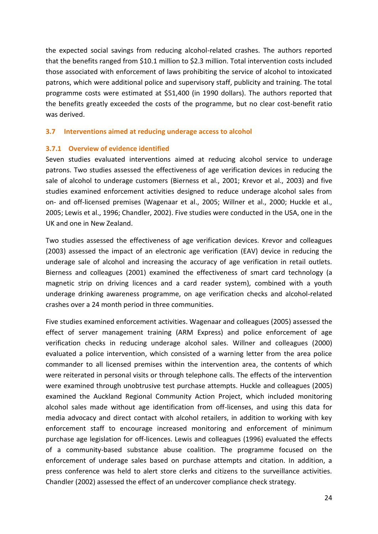the expected social savings from reducing alcohol-related crashes. The authors reported that the benefits ranged from \$10.1 million to \$2.3 million. Total intervention costs included those associated with enforcement of laws prohibiting the service of alcohol to intoxicated patrons, which were additional police and supervisory staff, publicity and training. The total programme costs were estimated at \$51,400 (in 1990 dollars). The authors reported that the benefits greatly exceeded the costs of the programme, but no clear cost-benefit ratio was derived.

### <span id="page-32-0"></span>**3.7 Interventions aimed at reducing underage access to alcohol**

### <span id="page-32-1"></span>**3.7.1 Overview of evidence identified**

Seven studies evaluated interventions aimed at reducing alcohol service to underage patrons. Two studies assessed the effectiveness of age verification devices in reducing the sale of alcohol to underage customers (Bierness et al., 2001; Krevor et al., 2003) and five studies examined enforcement activities designed to reduce underage alcohol sales from on- and off-licensed premises (Wagenaar et al., 2005; Willner et al., 2000; Huckle et al., 2005; Lewis et al., 1996; Chandler, 2002). Five studies were conducted in the USA, one in the UK and one in New Zealand.

Two studies assessed the effectiveness of age verification devices. Krevor and colleagues (2003) assessed the impact of an electronic age verification (EAV) device in reducing the underage sale of alcohol and increasing the accuracy of age verification in retail outlets. Bierness and colleagues (2001) examined the effectiveness of smart card technology (a magnetic strip on driving licences and a card reader system), combined with a youth underage drinking awareness programme, on age verification checks and alcohol-related crashes over a 24 month period in three communities.

Five studies examined enforcement activities. Wagenaar and colleagues (2005) assessed the effect of server management training (ARM Express) and police enforcement of age verification checks in reducing underage alcohol sales. Willner and colleagues (2000) evaluated a police intervention, which consisted of a warning letter from the area police commander to all licensed premises within the intervention area, the contents of which were reiterated in personal visits or through telephone calls. The effects of the intervention were examined through unobtrusive test purchase attempts. Huckle and colleagues (2005) examined the Auckland Regional Community Action Project, which included monitoring alcohol sales made without age identification from off-licenses, and using this data for media advocacy and direct contact with alcohol retailers, in addition to working with key enforcement staff to encourage increased monitoring and enforcement of minimum purchase age legislation for off-licences. Lewis and colleagues (1996) evaluated the effects of a community-based substance abuse coalition. The programme focused on the enforcement of underage sales based on purchase attempts and citation. In addition, a press conference was held to alert store clerks and citizens to the surveillance activities. Chandler (2002) assessed the effect of an undercover compliance check strategy.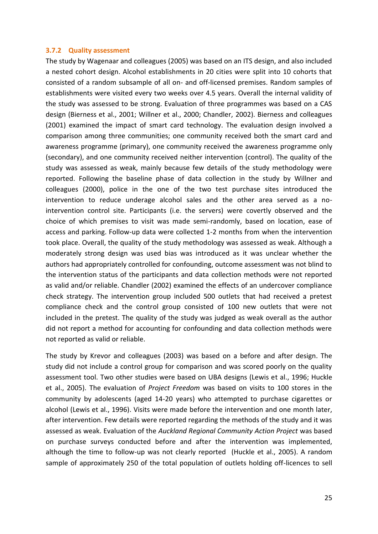### <span id="page-33-0"></span>**3.7.2 Quality assessment**

The study by Wagenaar and colleagues (2005) was based on an ITS design, and also included a nested cohort design. Alcohol establishments in 20 cities were split into 10 cohorts that consisted of a random subsample of all on- and off-licensed premises. Random samples of establishments were visited every two weeks over 4.5 years. Overall the internal validity of the study was assessed to be strong. Evaluation of three programmes was based on a CAS design (Bierness et al., 2001; Willner et al., 2000; Chandler, 2002). Bierness and colleagues (2001) examined the impact of smart card technology. The evaluation design involved a comparison among three communities; one community received both the smart card and awareness programme (primary), one community received the awareness programme only (secondary), and one community received neither intervention (control). The quality of the study was assessed as weak, mainly because few details of the study methodology were reported. Following the baseline phase of data collection in the study by Willner and colleagues (2000), police in the one of the two test purchase sites introduced the intervention to reduce underage alcohol sales and the other area served as a nointervention control site. Participants (i.e. the servers) were covertly observed and the choice of which premises to visit was made semi-randomly, based on location, ease of access and parking. Follow-up data were collected 1-2 months from when the intervention took place. Overall, the quality of the study methodology was assessed as weak. Although a moderately strong design was used bias was introduced as it was unclear whether the authors had appropriately controlled for confounding, outcome assessment was not blind to the intervention status of the participants and data collection methods were not reported as valid and/or reliable. Chandler (2002) examined the effects of an undercover compliance check strategy. The intervention group included 500 outlets that had received a pretest compliance check and the control group consisted of 100 new outlets that were not included in the pretest. The quality of the study was judged as weak overall as the author did not report a method for accounting for confounding and data collection methods were not reported as valid or reliable.

The study by Krevor and colleagues (2003) was based on a before and after design. The study did not include a control group for comparison and was scored poorly on the quality assessment tool. Two other studies were based on UBA designs (Lewis et al., 1996; Huckle et al., 2005). The evaluation of *Project Freedom* was based on visits to 100 stores in the community by adolescents (aged 14-20 years) who attempted to purchase cigarettes or alcohol (Lewis et al., 1996). Visits were made before the intervention and one month later, after intervention. Few details were reported regarding the methods of the study and it was assessed as weak. Evaluation of the *Auckland Regional Community Action Project* was based on purchase surveys conducted before and after the intervention was implemented, although the time to follow-up was not clearly reported (Huckle et al., 2005). A random sample of approximately 250 of the total population of outlets holding off-licences to sell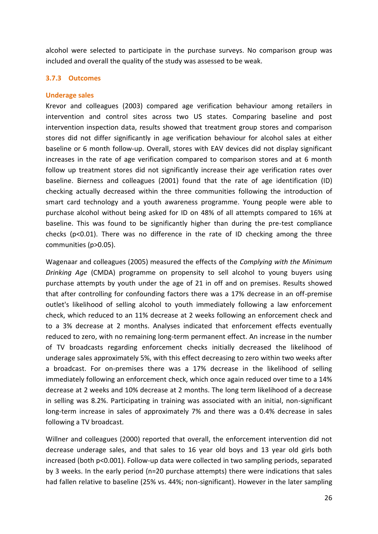alcohol were selected to participate in the purchase surveys. No comparison group was included and overall the quality of the study was assessed to be weak.

### <span id="page-34-0"></span>**3.7.3 Outcomes**

### **Underage sales**

Krevor and colleagues (2003) compared age verification behaviour among retailers in intervention and control sites across two US states. Comparing baseline and post intervention inspection data, results showed that treatment group stores and comparison stores did not differ significantly in age verification behaviour for alcohol sales at either baseline or 6 month follow-up. Overall, stores with EAV devices did not display significant increases in the rate of age verification compared to comparison stores and at 6 month follow up treatment stores did not significantly increase their age verification rates over baseline. Bierness and colleagues (2001) found that the rate of age identification (ID) checking actually decreased within the three communities following the introduction of smart card technology and a youth awareness programme. Young people were able to purchase alcohol without being asked for ID on 48% of all attempts compared to 16% at baseline. This was found to be significantly higher than during the pre-test compliance checks ( $p<0.01$ ). There was no difference in the rate of ID checking among the three communities (p>0.05).

Wagenaar and colleagues (2005) measured the effects of the *Complying with the Minimum Drinking Age* (CMDA) programme on propensity to sell alcohol to young buyers using purchase attempts by youth under the age of 21 in off and on premises. Results showed that after controlling for confounding factors there was a 17% decrease in an off-premise outlet's likelihood of selling alcohol to youth immediately following a law enforcement check, which reduced to an 11% decrease at 2 weeks following an enforcement check and to a 3% decrease at 2 months. Analyses indicated that enforcement effects eventually reduced to zero, with no remaining long-term permanent effect. An increase in the number of TV broadcasts regarding enforcement checks initially decreased the likelihood of underage sales approximately 5%, with this effect decreasing to zero within two weeks after a broadcast. For on-premises there was a 17% decrease in the likelihood of selling immediately following an enforcement check, which once again reduced over time to a 14% decrease at 2 weeks and 10% decrease at 2 months. The long term likelihood of a decrease in selling was 8.2%. Participating in training was associated with an initial, non-significant long-term increase in sales of approximately 7% and there was a 0.4% decrease in sales following a TV broadcast.

Willner and colleagues (2000) reported that overall, the enforcement intervention did not decrease underage sales, and that sales to 16 year old boys and 13 year old girls both increased (both p<0.001). Follow-up data were collected in two sampling periods, separated by 3 weeks. In the early period (n=20 purchase attempts) there were indications that sales had fallen relative to baseline (25% vs. 44%; non-significant). However in the later sampling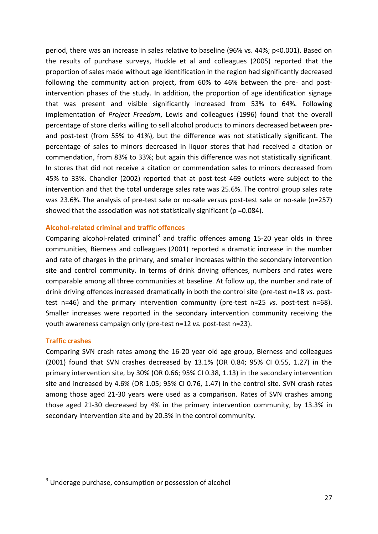period, there was an increase in sales relative to baseline (96% vs. 44%; p<0.001). Based on the results of purchase surveys, Huckle et al and colleagues (2005) reported that the proportion of sales made without age identification in the region had significantly decreased following the community action project, from 60% to 46% between the pre- and postintervention phases of the study. In addition, the proportion of age identification signage that was present and visible significantly increased from 53% to 64%. Following implementation of *Project Freedom*, Lewis and colleagues (1996) found that the overall percentage of store clerks willing to sell alcohol products to minors decreased between preand post-test (from 55% to 41%), but the difference was not statistically significant. The percentage of sales to minors decreased in liquor stores that had received a citation or commendation, from 83% to 33%; but again this difference was not statistically significant. In stores that did not receive a citation or commendation sales to minors decreased from 45% to 33%. Chandler (2002) reported that at post-test 469 outlets were subject to the intervention and that the total underage sales rate was 25.6%. The control group sales rate was 23.6%. The analysis of pre-test sale or no-sale versus post-test sale or no-sale (n=257) showed that the association was not statistically significant (p =0.084).

### **Alcohol-related criminal and traffic offences**

Comparing alcohol-related criminal<sup>3</sup> and traffic offences among 15-20 year olds in three communities, Bierness and colleagues (2001) reported a dramatic increase in the number and rate of charges in the primary, and smaller increases within the secondary intervention site and control community. In terms of drink driving offences, numbers and rates were comparable among all three communities at baseline. At follow up, the number and rate of drink driving offences increased dramatically in both the control site (pre-test n=18 *vs*. posttest n=46) and the primary intervention community (pre-test n=25 *vs.* post-test n=68). Smaller increases were reported in the secondary intervention community receiving the youth awareness campaign only (pre-test n=12 *vs.* post-test n=23).

### **Traffic crashes**

-

Comparing SVN crash rates among the 16-20 year old age group, Bierness and colleagues (2001) found that SVN crashes decreased by 13.1% (OR 0.84; 95% CI 0.55, 1.27) in the primary intervention site, by 30% (OR 0.66; 95% CI 0.38, 1.13) in the secondary intervention site and increased by 4.6% (OR 1.05; 95% CI 0.76, 1.47) in the control site. SVN crash rates among those aged 21-30 years were used as a comparison. Rates of SVN crashes among those aged 21-30 decreased by 4% in the primary intervention community, by 13.3% in secondary intervention site and by 20.3% in the control community.

<sup>&</sup>lt;sup>3</sup> Underage purchase, consumption or possession of alcohol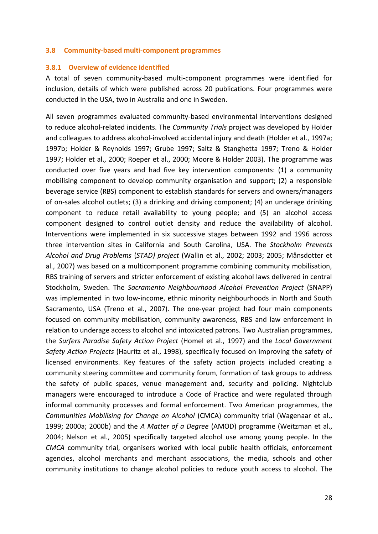#### **3.8 Community-based multi-component programmes**

#### **3.8.1 Overview of evidence identified**

A total of seven community-based multi-component programmes were identified for inclusion, details of which were published across 20 publications. Four programmes were conducted in the USA, two in Australia and one in Sweden.

All seven programmes evaluated community-based environmental interventions designed to reduce alcohol-related incidents. The *Community Trials* project was developed by Holder and colleagues to address alcohol-involved accidental injury and death (Holder et al., 1997a; 1997b; Holder & Reynolds 1997; Grube 1997; Saltz & Stanghetta 1997; Treno & Holder 1997; Holder et al., 2000; Roeper et al., 2000; Moore & Holder 2003). The programme was conducted over five years and had five key intervention components: (1) a community mobilising component to develop community organisation and support; (2) a responsible beverage service (RBS) component to establish standards for servers and owners/managers of on-sales alcohol outlets; (3) a drinking and driving component; (4) an underage drinking component to reduce retail availability to young people; and (5) an alcohol access component designed to control outlet density and reduce the availability of alcohol. Interventions were implemented in six successive stages between 1992 and 1996 across three intervention sites in California and South Carolina, USA. The *Stockholm Prevents Alcohol and Drug Problems* (*STAD) project* (Wallin et al., 2002; 2003; 2005; Månsdotter et al., 2007) was based on a multicomponent programme combining community mobilisation, RBS training of servers and stricter enforcement of existing alcohol laws delivered in central Stockholm, Sweden. The *Sacramento Neighbourhood Alcohol Prevention Project* (SNAPP) was implemented in two low-income, ethnic minority neighbourhoods in North and South Sacramento, USA (Treno et al., 2007). The one-year project had four main components focused on community mobilisation, community awareness, RBS and law enforcement in relation to underage access to alcohol and intoxicated patrons. Two Australian programmes, the *Surfers Paradise Safety Action Project* (Homel et al., 1997) and the *Local Government Safety Action Projects* (Hauritz et al., 1998), specifically focused on improving the safety of licensed environments. Key features of the safety action projects included creating a community steering committee and community forum, formation of task groups to address the safety of public spaces, venue management and, security and policing. Nightclub managers were encouraged to introduce a Code of Practice and were regulated through informal community processes and formal enforcement. Two American programmes, the *Communities Mobilising for Change on Alcohol* (CMCA) community trial (Wagenaar et al., 1999; 2000a; 2000b) and the *A Matter of a Degree* (AMOD) programme (Weitzman et al., 2004; Nelson et al., 2005) specifically targeted alcohol use among young people. In the *CMCA* community trial, organisers worked with local public health officials, enforcement agencies, alcohol merchants and merchant associations, the media, schools and other community institutions to change alcohol policies to reduce youth access to alcohol. The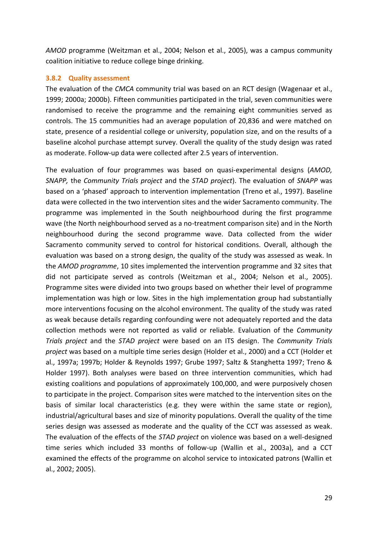*AMOD* programme (Weitzman et al., 2004; Nelson et al., 2005), was a campus community coalition initiative to reduce college binge drinking.

## **3.8.2 Quality assessment**

The evaluation of the *CMCA* community trial was based on an RCT design (Wagenaar et al., 1999; 2000a; 2000b). Fifteen communities participated in the trial, seven communities were randomised to receive the programme and the remaining eight communities served as controls. The 15 communities had an average population of 20,836 and were matched on state, presence of a residential college or university, population size, and on the results of a baseline alcohol purchase attempt survey. Overall the quality of the study design was rated as moderate. Follow-up data were collected after 2.5 years of intervention.

The evaluation of four programmes was based on quasi-experimental designs (*AMOD, SNAPP,* the *Community Trials project* and the *STAD project*). The evaluation of *SNAPP* was based on a 'phased' approach to intervention implementation (Treno et al., 1997). Baseline data were collected in the two intervention sites and the wider Sacramento community. The programme was implemented in the South neighbourhood during the first programme wave (the North neighbourhood served as a no-treatment comparison site) and in the North neighbourhood during the second programme wave. Data collected from the wider Sacramento community served to control for historical conditions. Overall, although the evaluation was based on a strong design, the quality of the study was assessed as weak. In the *AMOD programme*, 10 sites implemented the intervention programme and 32 sites that did not participate served as controls (Weitzman et al., 2004; Nelson et al., 2005). Programme sites were divided into two groups based on whether their level of programme implementation was high or low. Sites in the high implementation group had substantially more interventions focusing on the alcohol environment. The quality of the study was rated as weak because details regarding confounding were not adequately reported and the data collection methods were not reported as valid or reliable. Evaluation of the *Community Trials project* and the *STAD project* were based on an ITS design. The *Community Trials project* was based on a multiple time series design (Holder et al., 2000) and a CCT (Holder et al., 1997a; 1997b; Holder & Reynolds 1997; Grube 1997; Saltz & Stanghetta 1997; Treno & Holder 1997). Both analyses were based on three intervention communities, which had existing coalitions and populations of approximately 100,000, and were purposively chosen to participate in the project. Comparison sites were matched to the intervention sites on the basis of similar local characteristics (e.g. they were within the same state or region), industrial/agricultural bases and size of minority populations. Overall the quality of the time series design was assessed as moderate and the quality of the CCT was assessed as weak. The evaluation of the effects of the *STAD project* on violence was based on a well-designed time series which included 33 months of follow-up (Wallin et al., 2003a), and a CCT examined the effects of the programme on alcohol service to intoxicated patrons (Wallin et al., 2002; 2005).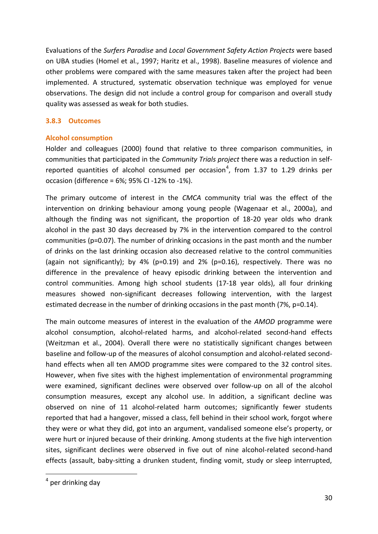Evaluations of the *Surfers Paradise* and *Local Government Safety Action Projects* were based on UBA studies (Homel et al., 1997; Haritz et al., 1998). Baseline measures of violence and other problems were compared with the same measures taken after the project had been implemented. A structured, systematic observation technique was employed for venue observations. The design did not include a control group for comparison and overall study quality was assessed as weak for both studies.

# **3.8.3 Outcomes**

# **Alcohol consumption**

Holder and colleagues (2000) found that relative to three comparison communities, in communities that participated in the *Community Trials project* there was a reduction in selfreported quantities of alcohol consumed per occasion<sup>4</sup>, from 1.37 to 1.29 drinks per occasion (difference = 6%; 95% CI -12% to -1%).

The primary outcome of interest in the *CMCA* community trial was the effect of the intervention on drinking behaviour among young people (Wagenaar et al., 2000a), and although the finding was not significant, the proportion of 18-20 year olds who drank alcohol in the past 30 days decreased by 7% in the intervention compared to the control communities (p=0.07). The number of drinking occasions in the past month and the number of drinks on the last drinking occasion also decreased relative to the control communities (again not significantly); by 4% (p=0.19) and 2% (p=0.16), respectively. There was no difference in the prevalence of heavy episodic drinking between the intervention and control communities. Among high school students (17-18 year olds), all four drinking measures showed non-significant decreases following intervention, with the largest estimated decrease in the number of drinking occasions in the past month (7%, p=0.14).

The main outcome measures of interest in the evaluation of the *AMOD* programme were alcohol consumption, alcohol-related harms, and alcohol-related second-hand effects (Weitzman et al., 2004). Overall there were no statistically significant changes between baseline and follow-up of the measures of alcohol consumption and alcohol-related secondhand effects when all ten AMOD programme sites were compared to the 32 control sites. However, when five sites with the highest implementation of environmental programming were examined, significant declines were observed over follow-up on all of the alcohol consumption measures, except any alcohol use. In addition, a significant decline was observed on nine of 11 alcohol-related harm outcomes; significantly fewer students reported that had a hangover, missed a class, fell behind in their school work, forgot where they were or what they did, got into an argument, vandalised someone else's property, or were hurt or injured because of their drinking. Among students at the five high intervention sites, significant declines were observed in five out of nine alcohol-related second-hand effects (assault, baby-sitting a drunken student, finding vomit, study or sleep interrupted,

-

<sup>&</sup>lt;sup>4</sup> per drinking day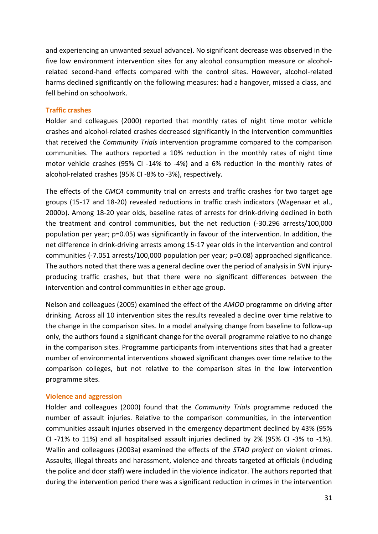and experiencing an unwanted sexual advance). No significant decrease was observed in the five low environment intervention sites for any alcohol consumption measure or alcoholrelated second-hand effects compared with the control sites. However, alcohol-related harms declined significantly on the following measures: had a hangover, missed a class, and fell behind on schoolwork.

## **Traffic crashes**

Holder and colleagues (2000) reported that monthly rates of night time motor vehicle crashes and alcohol-related crashes decreased significantly in the intervention communities that received the *Community Trials* intervention programme compared to the comparison communities. The authors reported a 10% reduction in the monthly rates of night time motor vehicle crashes (95% CI -14% to -4%) and a 6% reduction in the monthly rates of alcohol-related crashes (95% CI -8% to -3%), respectively.

The effects of the *CMCA* community trial on arrests and traffic crashes for two target age groups (15-17 and 18-20) revealed reductions in traffic crash indicators (Wagenaar et al., 2000b). Among 18-20 year olds, baseline rates of arrests for drink-driving declined in both the treatment and control communities, but the net reduction (-30.296 arrests/100,000 population per year; p=0.05) was significantly in favour of the intervention. In addition, the net difference in drink-driving arrests among 15-17 year olds in the intervention and control communities (-7.051 arrests/100,000 population per year; p=0.08) approached significance. The authors noted that there was a general decline over the period of analysis in SVN injuryproducing traffic crashes, but that there were no significant differences between the intervention and control communities in either age group.

Nelson and colleagues (2005) examined the effect of the *AMOD* programme on driving after drinking. Across all 10 intervention sites the results revealed a decline over time relative to the change in the comparison sites. In a model analysing change from baseline to follow-up only, the authors found a significant change for the overall programme relative to no change in the comparison sites. Programme participants from interventions sites that had a greater number of environmental interventions showed significant changes over time relative to the comparison colleges, but not relative to the comparison sites in the low intervention programme sites.

#### **Violence and aggression**

Holder and colleagues (2000) found that the *Community Trials* programme reduced the number of assault injuries. Relative to the comparison communities, in the intervention communities assault injuries observed in the emergency department declined by 43% (95% CI -71% to 11%) and all hospitalised assault injuries declined by 2% (95% CI -3% to -1%). Wallin and colleagues (2003a) examined the effects of the *STAD project* on violent crimes. Assaults, illegal threats and harassment, violence and threats targeted at officials (including the police and door staff) were included in the violence indicator. The authors reported that during the intervention period there was a significant reduction in crimes in the intervention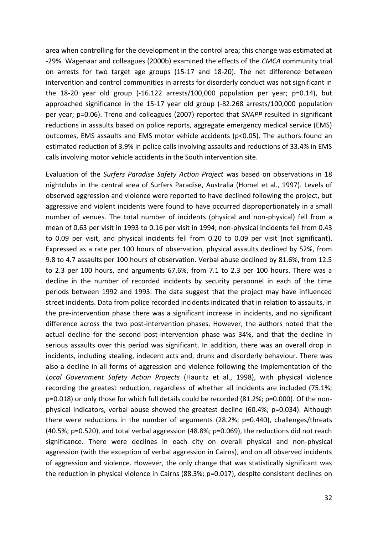area when controlling for the development in the control area; this change was estimated at -29%. Wagenaar and colleagues (2000b) examined the effects of the *CMCA* community trial on arrests for two target age groups (15-17 and 18-20). The net difference between intervention and control communities in arrests for disorderly conduct was not significant in the 18-20 year old group (-16.122 arrests/100,000 population per year; p=0.14), but approached significance in the 15-17 year old group (-82.268 arrests/100,000 population per year; p=0.06). Treno and colleagues (2007) reported that *SNAPP* resulted in significant reductions in assaults based on police reports, aggregate emergency medical service (EMS) outcomes, EMS assaults and EMS motor vehicle accidents (p<0.05). The authors found an estimated reduction of 3.9% in police calls involving assaults and reductions of 33.4% in EMS calls involving motor vehicle accidents in the South intervention site.

Evaluation of the *Surfers Paradise Safety Action Project* was based on observations in 18 nightclubs in the central area of Surfers Paradise, Australia (Homel et al., 1997). Levels of observed aggression and violence were reported to have declined following the project, but aggressive and violent incidents were found to have occurred disproportionately in a small number of venues. The total number of incidents (physical and non-physical) fell from a mean of 0.63 per visit in 1993 to 0.16 per visit in 1994; non-physical incidents fell from 0.43 to 0.09 per visit, and physical incidents fell from 0.20 to 0.09 per visit (not significant). Expressed as a rate per 100 hours of observation, physical assaults declined by 52%, from 9.8 to 4.7 assaults per 100 hours of observation. Verbal abuse declined by 81.6%, from 12.5 to 2.3 per 100 hours, and arguments 67.6%, from 7.1 to 2.3 per 100 hours. There was a decline in the number of recorded incidents by security personnel in each of the time periods between 1992 and 1993. The data suggest that the project may have influenced street incidents. Data from police recorded incidents indicated that in relation to assaults, in the pre-intervention phase there was a significant increase in incidents, and no significant difference across the two post-intervention phases. However, the authors noted that the actual decline for the second post-intervention phase was 34%, and that the decline in serious assaults over this period was significant. In addition, there was an overall drop in incidents, including stealing, indecent acts and, drunk and disorderly behaviour. There was also a decline in all forms of aggression and violence following the implementation of the *Local Government Safety Action Projects* (Hauritz et al., 1998), with physical violence recording the greatest reduction, regardless of whether all incidents are included (75.1%; p=0.018) or only those for which full details could be recorded (81.2%; p=0.000). Of the nonphysical indicators, verbal abuse showed the greatest decline (60.4%; p=0.034). Although there were reductions in the number of arguments (28.2%; p=0.440), challenges/threats (40.5%; p=0.520), and total verbal aggression (48.8%; p=0.069), the reductions did not reach significance. There were declines in each city on overall physical and non-physical aggression (with the exception of verbal aggression in Cairns), and on all observed incidents of aggression and violence. However, the only change that was statistically significant was the reduction in physical violence in Cairns (88.3%; p=0.017), despite consistent declines on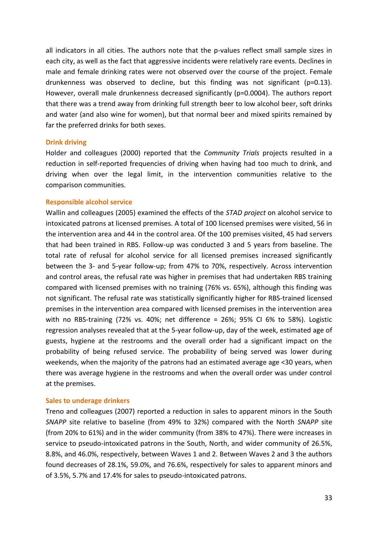all indicators in all cities. The authors note that the p-values reflect small sample sizes in each city, as well as the fact that aggressive incidents were relatively rare events. Declines in male and female drinking rates were not observed over the course of the project. Female drunkenness was observed to decline, but this finding was not significant ( $p=0.13$ ). However, overall male drunkenness decreased significantly (p=0.0004). The authors report that there was a trend away from drinking full strength beer to low alcohol beer, soft drinks and water (and also wine for women), but that normal beer and mixed spirits remained by far the preferred drinks for both sexes.

#### **Drink driving**

Holder and colleagues (2000) reported that the *Community Trials* projects resulted in a reduction in self-reported frequencies of driving when having had too much to drink, and driving when over the legal limit, in the intervention communities relative to the comparison communities.

#### **Responsible alcohol service**

Wallin and colleagues (2005) examined the effects of the *STAD project* on alcohol service to intoxicated patrons at licensed premises. A total of 100 licensed premises were visited, 56 in the intervention area and 44 in the control area. Of the 100 premises visited, 45 had servers that had been trained in RBS. Follow-up was conducted 3 and 5 years from baseline. The total rate of refusal for alcohol service for all licensed premises increased significantly between the 3- and 5-year follow-up; from 47% to 70%, respectively. Across intervention and control areas, the refusal rate was higher in premises that had undertaken RBS training compared with licensed premises with no training (76% vs. 65%), although this finding was not significant. The refusal rate was statistically significantly higher for RBS-trained licensed premises in the intervention area compared with licensed premises in the intervention area with no RBS-training (72% vs. 40%; net difference = 26%; 95% CI 6% to 58%). Logistic regression analyses revealed that at the 5-year follow-up, day of the week, estimated age of guests, hygiene at the restrooms and the overall order had a significant impact on the probability of being refused service. The probability of being served was lower during weekends, when the majority of the patrons had an estimated average age <30 years, when there was average hygiene in the restrooms and when the overall order was under control at the premises.

## **Sales to underage drinkers**

Treno and colleagues (2007) reported a reduction in sales to apparent minors in the South *SNAPP* site relative to baseline (from 49% to 32%) compared with the North *SNAPP* site (from 20% to 61%) and in the wider community (from 38% to 47%). There were increases in service to pseudo-intoxicated patrons in the South, North, and wider community of 26.5%, 8.8%, and 46.0%, respectively, between Waves 1 and 2. Between Waves 2 and 3 the authors found decreases of 28.1%, 59.0%, and 76.6%, respectively for sales to apparent minors and of 3.5%, 5.7% and 17.4% for sales to pseudo-intoxicated patrons.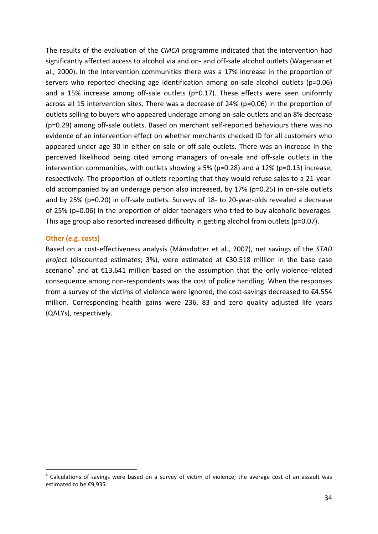The results of the evaluation of the *CMCA* programme indicated that the intervention had significantly affected access to alcohol via and on- and off-sale alcohol outlets (Wagenaar et al., 2000). In the intervention communities there was a 17% increase in the proportion of servers who reported checking age identification among on-sale alcohol outlets (p=0.06) and a 15% increase among off-sale outlets (p=0.17). These effects were seen uniformly across all 15 intervention sites. There was a decrease of 24% (p=0.06) in the proportion of outlets selling to buyers who appeared underage among on-sale outlets and an 8% decrease (p=0.29) among off-sale outlets. Based on merchant self-reported behaviours there was no evidence of an intervention effect on whether merchants checked ID for all customers who appeared under age 30 in either on-sale or off-sale outlets. There was an increase in the perceived likelihood being cited among managers of on-sale and off-sale outlets in the intervention communities, with outlets showing a 5% ( $p=0.28$ ) and a 12% ( $p=0.13$ ) increase, respectively. The proportion of outlets reporting that they would refuse sales to a 21-yearold accompanied by an underage person also increased, by 17% (p=0.25) in on-sale outlets and by 25% (p=0.20) in off-sale outlets. Surveys of 18- to 20-year-olds revealed a decrease of 25% (p=0.06) in the proportion of older teenagers who tried to buy alcoholic beverages. This age group also reported increased difficulty in getting alcohol from outlets (p=0.07).

### **Other (e.g. costs)**

-

Based on a cost-effectiveness analysis (Månsdotter et al., 2007), net savings of the *STAD project* (discounted estimates; 3%), were estimated at €30.518 million in the base case scenario<sup>5</sup> and at  $\epsilon$ 13.641 million based on the assumption that the only violence-related consequence among non-respondents was the cost of police handling. When the responses from a survey of the victims of violence were ignored, the cost-savings decreased to €4.554 million. Corresponding health gains were 236, 83 and zero quality adjusted life years (QALYs), respectively.

<sup>5</sup> Calculations of savings were based on a survey of victim of violence; the average cost of an assault was estimated to be €9,935.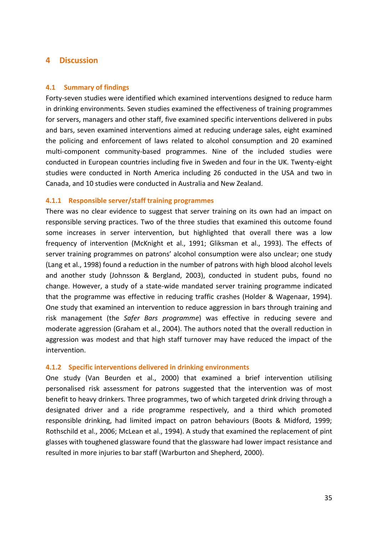# **4 Discussion**

#### **4.1 Summary of findings**

Forty-seven studies were identified which examined interventions designed to reduce harm in drinking environments. Seven studies examined the effectiveness of training programmes for servers, managers and other staff, five examined specific interventions delivered in pubs and bars, seven examined interventions aimed at reducing underage sales, eight examined the policing and enforcement of laws related to alcohol consumption and 20 examined multi-component community-based programmes. Nine of the included studies were conducted in European countries including five in Sweden and four in the UK. Twenty-eight studies were conducted in North America including 26 conducted in the USA and two in Canada, and 10 studies were conducted in Australia and New Zealand.

### **4.1.1 Responsible server/staff training programmes**

There was no clear evidence to suggest that server training on its own had an impact on responsible serving practices. Two of the three studies that examined this outcome found some increases in server intervention, but highlighted that overall there was a low frequency of intervention (McKnight et al., 1991; Gliksman et al., 1993). The effects of server training programmes on patrons' alcohol consumption were also unclear; one study (Lang et al., 1998) found a reduction in the number of patrons with high blood alcohol levels and another study (Johnsson & Bergland, 2003), conducted in student pubs, found no change. However, a study of a state-wide mandated server training programme indicated that the programme was effective in reducing traffic crashes (Holder & Wagenaar, 1994). One study that examined an intervention to reduce aggression in bars through training and risk management (the *Safer Bars programme*) was effective in reducing severe and moderate aggression (Graham et al., 2004). The authors noted that the overall reduction in aggression was modest and that high staff turnover may have reduced the impact of the intervention.

#### **4.1.2 Specific interventions delivered in drinking environments**

One study (Van Beurden et al., 2000) that examined a brief intervention utilising personalised risk assessment for patrons suggested that the intervention was of most benefit to heavy drinkers. Three programmes, two of which targeted drink driving through a designated driver and a ride programme respectively, and a third which promoted responsible drinking, had limited impact on patron behaviours (Boots & Midford, 1999; Rothschild et al., 2006; McLean et al., 1994). A study that examined the replacement of pint glasses with toughened glassware found that the glassware had lower impact resistance and resulted in more injuries to bar staff (Warburton and Shepherd, 2000).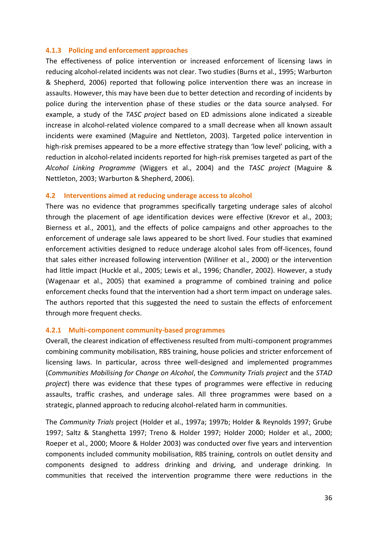## **4.1.3 Policing and enforcement approaches**

The effectiveness of police intervention or increased enforcement of licensing laws in reducing alcohol-related incidents was not clear. Two studies (Burns et al., 1995; Warburton & Shepherd, 2006) reported that following police intervention there was an increase in assaults. However, this may have been due to better detection and recording of incidents by police during the intervention phase of these studies or the data source analysed. For example, a study of the *TASC project* based on ED admissions alone indicated a sizeable increase in alcohol-related violence compared to a small decrease when all known assault incidents were examined (Maguire and Nettleton, 2003). Targeted police intervention in high-risk premises appeared to be a more effective strategy than 'low level' policing, with a reduction in alcohol-related incidents reported for high-risk premises targeted as part of the *Alcohol Linking Programme* (Wiggers et al., 2004) and the *TASC project* (Maguire & Nettleton, 2003; Warburton & Shepherd, 2006).

### **4.2 Interventions aimed at reducing underage access to alcohol**

There was no evidence that programmes specifically targeting underage sales of alcohol through the placement of age identification devices were effective (Krevor et al., 2003; Bierness et al., 2001), and the effects of police campaigns and other approaches to the enforcement of underage sale laws appeared to be short lived. Four studies that examined enforcement activities designed to reduce underage alcohol sales from off-licences, found that sales either increased following intervention (Willner et al., 2000) or the intervention had little impact (Huckle et al., 2005; Lewis et al., 1996; Chandler, 2002). However, a study (Wagenaar et al., 2005) that examined a programme of combined training and police enforcement checks found that the intervention had a short term impact on underage sales. The authors reported that this suggested the need to sustain the effects of enforcement through more frequent checks.

## **4.2.1 Multi-component community-based programmes**

Overall, the clearest indication of effectiveness resulted from multi-component programmes combining community mobilisation, RBS training, house policies and stricter enforcement of licensing laws. In particular, across three well-designed and implemented programmes (*Communities Mobilising for Change on Alcohol*, the *Community Trials project* and the *STAD project*) there was evidence that these types of programmes were effective in reducing assaults, traffic crashes, and underage sales. All three programmes were based on a strategic, planned approach to reducing alcohol-related harm in communities.

The *Community Trials* project (Holder et al., 1997a; 1997b; Holder & Reynolds 1997; Grube 1997; Saltz & Stanghetta 1997; Treno & Holder 1997; Holder 2000; Holder et al., 2000; Roeper et al., 2000; Moore & Holder 2003) was conducted over five years and intervention components included community mobilisation, RBS training, controls on outlet density and components designed to address drinking and driving, and underage drinking. In communities that received the intervention programme there were reductions in the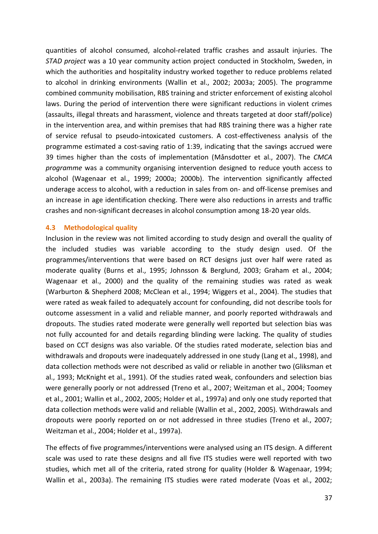quantities of alcohol consumed, alcohol-related traffic crashes and assault injuries. The *STAD project* was a 10 year community action project conducted in Stockholm, Sweden, in which the authorities and hospitality industry worked together to reduce problems related to alcohol in drinking environments (Wallin et al., 2002; 2003a; 2005). The programme combined community mobilisation, RBS training and stricter enforcement of existing alcohol laws. During the period of intervention there were significant reductions in violent crimes (assaults, illegal threats and harassment, violence and threats targeted at door staff/police) in the intervention area, and within premises that had RBS training there was a higher rate of service refusal to pseudo-intoxicated customers. A cost-effectiveness analysis of the programme estimated a cost-saving ratio of 1:39, indicating that the savings accrued were 39 times higher than the costs of implementation (Månsdotter et al., 2007). The *CMCA programme* was a community organising intervention designed to reduce youth access to alcohol (Wagenaar et al., 1999; 2000a; 2000b). The intervention significantly affected underage access to alcohol, with a reduction in sales from on- and off-license premises and an increase in age identification checking. There were also reductions in arrests and traffic crashes and non-significant decreases in alcohol consumption among 18-20 year olds.

### **4.3 Methodological quality**

Inclusion in the review was not limited according to study design and overall the quality of the included studies was variable according to the study design used. Of the programmes/interventions that were based on RCT designs just over half were rated as moderate quality (Burns et al., 1995; Johnsson & Berglund, 2003; Graham et al., 2004; Wagenaar et al., 2000) and the quality of the remaining studies was rated as weak (Warburton & Shepherd 2008; McClean et al., 1994; Wiggers et al., 2004). The studies that were rated as weak failed to adequately account for confounding, did not describe tools for outcome assessment in a valid and reliable manner, and poorly reported withdrawals and dropouts. The studies rated moderate were generally well reported but selection bias was not fully accounted for and details regarding blinding were lacking. The quality of studies based on CCT designs was also variable. Of the studies rated moderate, selection bias and withdrawals and dropouts were inadequately addressed in one study (Lang et al., 1998), and data collection methods were not described as valid or reliable in another two (Gliksman et al., 1993; McKnight et al., 1991). Of the studies rated weak, confounders and selection bias were generally poorly or not addressed (Treno et al., 2007; Weitzman et al., 2004; Toomey et al., 2001; Wallin et al., 2002, 2005; Holder et al., 1997a) and only one study reported that data collection methods were valid and reliable (Wallin et al., 2002, 2005). Withdrawals and dropouts were poorly reported on or not addressed in three studies (Treno et al., 2007; Weitzman et al., 2004; Holder et al., 1997a).

The effects of five programmes/interventions were analysed using an ITS design. A different scale was used to rate these designs and all five ITS studies were well reported with two studies, which met all of the criteria, rated strong for quality (Holder & Wagenaar, 1994; Wallin et al., 2003a). The remaining ITS studies were rated moderate (Voas et al., 2002;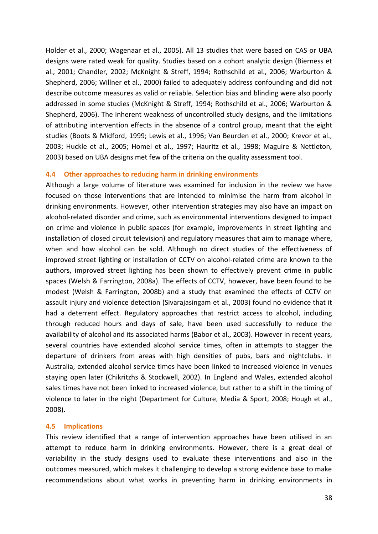Holder et al., 2000; Wagenaar et al., 2005). All 13 studies that were based on CAS or UBA designs were rated weak for quality. Studies based on a cohort analytic design (Bierness et al., 2001; Chandler, 2002; McKnight & Streff, 1994; Rothschild et al., 2006; Warburton & Shepherd, 2006; Willner et al., 2000) failed to adequately address confounding and did not describe outcome measures as valid or reliable. Selection bias and blinding were also poorly addressed in some studies (McKnight & Streff, 1994; Rothschild et al., 2006; Warburton & Shepherd, 2006). The inherent weakness of uncontrolled study designs, and the limitations of attributing intervention effects in the absence of a control group, meant that the eight studies (Boots & Midford, 1999; Lewis et al., 1996; Van Beurden et al., 2000; Krevor et al., 2003; Huckle et al., 2005; Homel et al., 1997; Hauritz et al., 1998; Maguire & Nettleton, 2003) based on UBA designs met few of the criteria on the quality assessment tool.

## **4.4 Other approaches to reducing harm in drinking environments**

Although a large volume of literature was examined for inclusion in the review we have focused on those interventions that are intended to minimise the harm from alcohol in drinking environments. However, other intervention strategies may also have an impact on alcohol-related disorder and crime, such as environmental interventions designed to impact on crime and violence in public spaces (for example, improvements in street lighting and installation of closed circuit television) and regulatory measures that aim to manage where, when and how alcohol can be sold. Although no direct studies of the effectiveness of improved street lighting or installation of CCTV on alcohol-related crime are known to the authors, improved street lighting has been shown to effectively prevent crime in public spaces (Welsh & Farrington, 2008a). The effects of CCTV, however, have been found to be modest (Welsh & Farrington, 2008b) and a study that examined the effects of CCTV on assault injury and violence detection (Sivarajasingam et al., 2003) found no evidence that it had a deterrent effect. Regulatory approaches that restrict access to alcohol, including through reduced hours and days of sale, have been used successfully to reduce the availability of alcohol and its associated harms (Babor et al., 2003). However in recent years, several countries have extended alcohol service times, often in attempts to stagger the departure of drinkers from areas with high densities of pubs, bars and nightclubs. In Australia, extended alcohol service times have been linked to increased violence in venues staying open later (Chikritzhs & Stockwell, 2002). In England and Wales, extended alcohol sales times have not been linked to increased violence, but rather to a shift in the timing of violence to later in the night (Department for Culture, Media & Sport, 2008; Hough et al., 2008).

#### **4.5 Implications**

This review identified that a range of intervention approaches have been utilised in an attempt to reduce harm in drinking environments. However, there is a great deal of variability in the study designs used to evaluate these interventions and also in the outcomes measured, which makes it challenging to develop a strong evidence base to make recommendations about what works in preventing harm in drinking environments in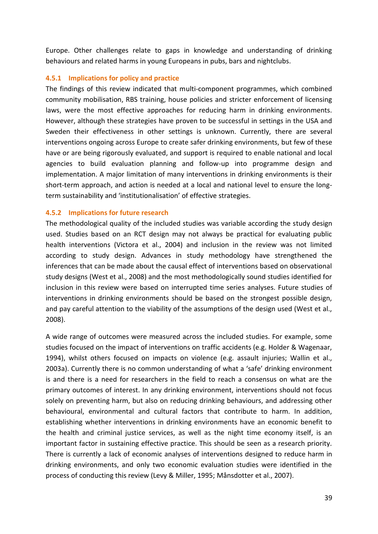Europe. Other challenges relate to gaps in knowledge and understanding of drinking behaviours and related harms in young Europeans in pubs, bars and nightclubs.

## **4.5.1 Implications for policy and practice**

The findings of this review indicated that multi-component programmes, which combined community mobilisation, RBS training, house policies and stricter enforcement of licensing laws, were the most effective approaches for reducing harm in drinking environments. However, although these strategies have proven to be successful in settings in the USA and Sweden their effectiveness in other settings is unknown. Currently, there are several interventions ongoing across Europe to create safer drinking environments, but few of these have or are being rigorously evaluated, and support is required to enable national and local agencies to build evaluation planning and follow-up into programme design and implementation. A major limitation of many interventions in drinking environments is their short-term approach, and action is needed at a local and national level to ensure the longterm sustainability and 'institutionalisation' of effective strategies.

# **4.5.2 Implications for future research**

The methodological quality of the included studies was variable according the study design used. Studies based on an RCT design may not always be practical for evaluating public health interventions (Victora et al., 2004) and inclusion in the review was not limited according to study design. Advances in study methodology have strengthened the inferences that can be made about the causal effect of interventions based on observational study designs (West et al., 2008) and the most methodologically sound studies identified for inclusion in this review were based on interrupted time series analyses. Future studies of interventions in drinking environments should be based on the strongest possible design, and pay careful attention to the viability of the assumptions of the design used (West et al., 2008).

A wide range of outcomes were measured across the included studies. For example, some studies focused on the impact of interventions on traffic accidents (e.g. Holder & Wagenaar, 1994), whilst others focused on impacts on violence (e.g. assault injuries; Wallin et al., 2003a). Currently there is no common understanding of what a 'safe' drinking environment is and there is a need for researchers in the field to reach a consensus on what are the primary outcomes of interest. In any drinking environment, interventions should not focus solely on preventing harm, but also on reducing drinking behaviours, and addressing other behavioural, environmental and cultural factors that contribute to harm. In addition, establishing whether interventions in drinking environments have an economic benefit to the health and criminal justice services, as well as the night time economy itself, is an important factor in sustaining effective practice. This should be seen as a research priority. There is currently a lack of economic analyses of interventions designed to reduce harm in drinking environments, and only two economic evaluation studies were identified in the process of conducting this review (Levy & Miller, 1995; Månsdotter et al., 2007).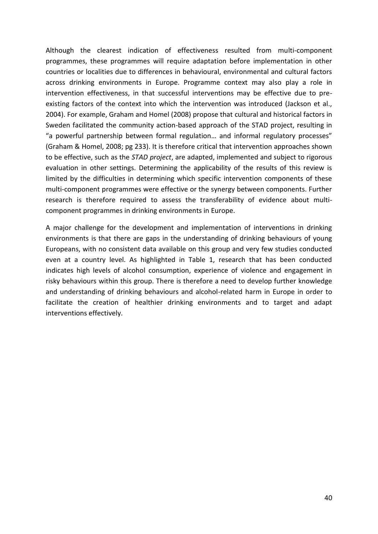Although the clearest indication of effectiveness resulted from multi-component programmes, these programmes will require adaptation before implementation in other countries or localities due to differences in behavioural, environmental and cultural factors across drinking environments in Europe. Programme context may also play a role in intervention effectiveness, in that successful interventions may be effective due to preexisting factors of the context into which the intervention was introduced (Jackson et al., 2004). For example, Graham and Homel (2008) propose that cultural and historical factors in Sweden facilitated the community action-based approach of the STAD project, resulting in "a powerful partnership between formal regulation… and informal regulatory processes" (Graham & Homel, 2008; pg 233). It is therefore critical that intervention approaches shown to be effective, such as the *STAD project*, are adapted, implemented and subject to rigorous evaluation in other settings. Determining the applicability of the results of this review is limited by the difficulties in determining which specific intervention components of these multi-component programmes were effective or the synergy between components. Further research is therefore required to assess the transferability of evidence about multicomponent programmes in drinking environments in Europe.

A major challenge for the development and implementation of interventions in drinking environments is that there are gaps in the understanding of drinking behaviours of young Europeans, with no consistent data available on this group and very few studies conducted even at a country level. As highlighted in Table 1, research that has been conducted indicates high levels of alcohol consumption, experience of violence and engagement in risky behaviours within this group. There is therefore a need to develop further knowledge and understanding of drinking behaviours and alcohol-related harm in Europe in order to facilitate the creation of healthier drinking environments and to target and adapt interventions effectively.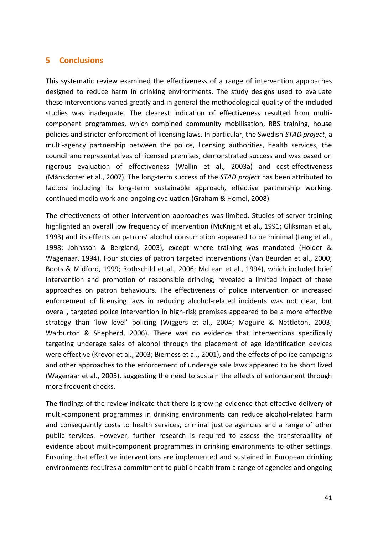# **5 Conclusions**

This systematic review examined the effectiveness of a range of intervention approaches designed to reduce harm in drinking environments. The study designs used to evaluate these interventions varied greatly and in general the methodological quality of the included studies was inadequate. The clearest indication of effectiveness resulted from multicomponent programmes, which combined community mobilisation, RBS training, house policies and stricter enforcement of licensing laws. In particular, the Swedish *STAD project*, a multi-agency partnership between the police, licensing authorities, health services, the council and representatives of licensed premises, demonstrated success and was based on rigorous evaluation of effectiveness (Wallin et al., 2003a) and cost-effectiveness (Månsdotter et al., 2007). The long-term success of the *STAD project* has been attributed to factors including its long-term sustainable approach, effective partnership working, continued media work and ongoing evaluation (Graham & Homel, 2008).

The effectiveness of other intervention approaches was limited. Studies of server training highlighted an overall low frequency of intervention (McKnight et al., 1991; Gliksman et al., 1993) and its effects on patrons' alcohol consumption appeared to be minimal (Lang et al., 1998; Johnsson & Bergland, 2003), except where training was mandated (Holder & Wagenaar, 1994). Four studies of patron targeted interventions (Van Beurden et al., 2000; Boots & Midford, 1999; Rothschild et al., 2006; McLean et al., 1994), which included brief intervention and promotion of responsible drinking, revealed a limited impact of these approaches on patron behaviours. The effectiveness of police intervention or increased enforcement of licensing laws in reducing alcohol-related incidents was not clear, but overall, targeted police intervention in high-risk premises appeared to be a more effective strategy than 'low level' policing (Wiggers et al., 2004; Maguire & Nettleton, 2003; Warburton & Shepherd, 2006). There was no evidence that interventions specifically targeting underage sales of alcohol through the placement of age identification devices were effective (Krevor et al., 2003; Bierness et al., 2001), and the effects of police campaigns and other approaches to the enforcement of underage sale laws appeared to be short lived (Wagenaar et al., 2005), suggesting the need to sustain the effects of enforcement through more frequent checks.

The findings of the review indicate that there is growing evidence that effective delivery of multi-component programmes in drinking environments can reduce alcohol-related harm and consequently costs to health services, criminal justice agencies and a range of other public services. However, further research is required to assess the transferability of evidence about multi-component programmes in drinking environments to other settings. Ensuring that effective interventions are implemented and sustained in European drinking environments requires a commitment to public health from a range of agencies and ongoing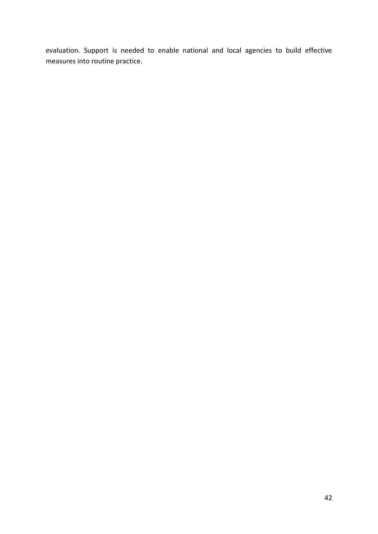evaluation. Support is needed to enable national and local agencies to build effective measures into routine practice.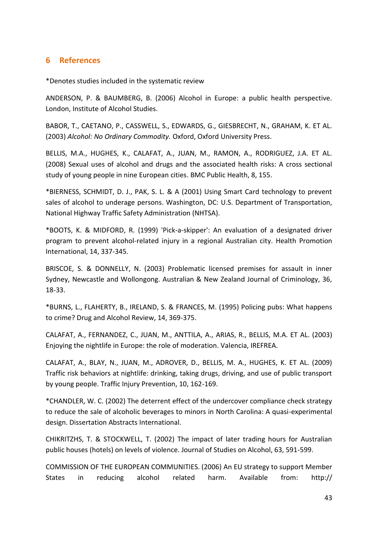# **6 References**

\*Denotes studies included in the systematic review

ANDERSON, P. & BAUMBERG, B. (2006) Alcohol in Europe: a public health perspective. London, Institute of Alcohol Studies.

BABOR, T., CAETANO, P., CASSWELL, S., EDWARDS, G., GIESBRECHT, N., GRAHAM, K. ET AL. (2003) *Alcohol: No Ordinary Commodity.* Oxford, Oxford University Press.

BELLIS, M.A., HUGHES, K., CALAFAT, A., JUAN, M., RAMON, A., RODRIGUEZ, J.A. ET AL. (2008) Sexual uses of alcohol and drugs and [the associated health risks: A cross sectional](http://www.biomedcentral.com/1471-2458/8/155)  [study of young people in nine European cities.](http://www.biomedcentral.com/1471-2458/8/155) BMC Public Health, 8, 155.

\*BIERNESS, SCHMIDT, D. J., PAK, S. L. & A (2001) Using Smart Card technology to prevent sales of alcohol to underage persons. Washington, DC: U.S. Department of Transportation, National Highway Traffic Safety Administration (NHTSA).

\*BOOTS, K. & MIDFORD, R. (1999) 'Pick-a-skipper': An evaluation of a designated driver program to prevent alcohol-related injury in a regional Australian city. Health Promotion International, 14, 337-345.

BRISCOE, S. & DONNELLY, N. (2003) Problematic licensed premises for assault in inner Sydney, Newcastle and Wollongong. Australian & New Zealand Journal of Criminology, 36, 18-33.

\*BURNS, L., FLAHERTY, B., IRELAND, S. & FRANCES, M. (1995) Policing pubs: What happens to crime? Drug and Alcohol Review, 14, 369-375.

CALAFAT, A., FERNANDEZ, C., JUAN, M., ANTTILA, A., ARIAS, R., BELLIS, M.A. ET AL. (2003) Enjoying the nightlife in Europe: the role of moderation. Valencia, IREFREA.

CALAFAT, A., BLAY, N., JUAN, M., ADROVER, D., BELLIS, M. A., HUGHES, K. ET AL. (2009) Traffic risk behaviors at nightlife: drinking, taking drugs, driving, and use of public transport by young people. Traffic Injury Prevention, 10, 162-169.

\*CHANDLER, W. C. (2002) The deterrent effect of the undercover compliance check strategy to reduce the sale of alcoholic beverages to minors in North Carolina: A quasi-experimental design. Dissertation Abstracts International.

CHIKRITZHS, T. & STOCKWELL, T. (2002) The impact of later trading hours for Australian public houses (hotels) on levels of violence. Journal of Studies on Alcohol, 63, 591-599.

COMMISSION OF THE EUROPEAN COMMUNITIES. (2006) An EU strategy to support Member States in reducing alcohol related harm. Available from: http://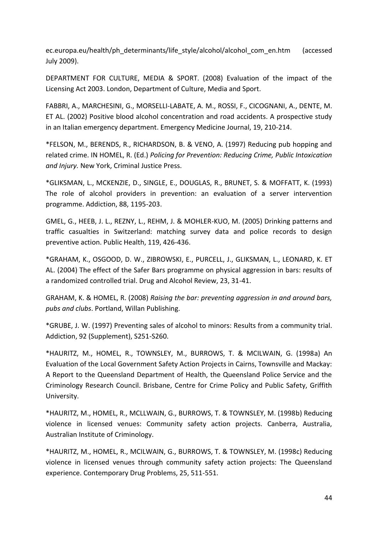ec.europa.eu/health/ph\_determinants/life\_style/alcohol/alcohol\_com\_en.htm (accessed July 2009).

DEPARTMENT FOR CULTURE, MEDIA & SPORT. (2008) Evaluation of the impact of the Licensing Act 2003. London, Department of Culture, Media and Sport.

FABBRI, A., MARCHESINI, G., MORSELLI-LABATE, A. M., ROSSI, F., CICOGNANI, A., DENTE, M. ET AL. (2002) Positive blood alcohol concentration and road accidents. A prospective study in an Italian emergency department. Emergency Medicine Journal, 19, 210-214.

\*FELSON, M., BERENDS, R., RICHARDSON, B. & VENO, A. (1997) Reducing pub hopping and related crime. IN HOMEL, R. (Ed.) *Policing for Prevention: Reducing Crime, Public Intoxication and Injury.* New York, Criminal Justice Press.

\*GLIKSMAN, L., MCKENZIE, D., SINGLE, E., DOUGLAS, R., BRUNET, S. & MOFFATT, K. (1993) The role of alcohol providers in prevention: an evaluation of a server intervention programme. Addiction, 88, 1195-203.

GMEL, G., HEEB, J. L., REZNY, L., REHM, J. & MOHLER-KUO, M. (2005) Drinking patterns and traffic casualties in Switzerland: matching survey data and police records to design preventive action. Public Health, 119, 426-436.

\*GRAHAM, K., OSGOOD, D. W., ZIBROWSKI, E., PURCELL, J., GLIKSMAN, L., LEONARD, K. ET AL. (2004) The effect of the Safer Bars programme on physical aggression in bars: results of a randomized controlled trial. Drug and Alcohol Review, 23, 31-41.

GRAHAM, K. & HOMEL, R. (2008) *Raising the bar: preventing aggression in and around bars, pubs and clubs*. Portland, Willan Publishing.

\*GRUBE, J. W. (1997) Preventing sales of alcohol to minors: Results from a community trial. Addiction, 92 (Supplement), S251-S260.

\*HAURITZ, M., HOMEL, R., TOWNSLEY, M., BURROWS, T. & MCILWAIN, G. (1998a) An Evaluation of the Local Government Safety Action Projects in Cairns, Townsville and Mackay: A Report to the Queensland Department of Health, the Queensland Police Service and the Criminology Research Council. Brisbane, Centre for Crime Policy and Public Safety, Griffith University.

\*HAURITZ, M., HOMEL, R., MCLLWAIN, G., BURROWS, T. & TOWNSLEY, M. (1998b) Reducing violence in licensed venues: Community safety action projects. Canberra, Australia, Australian Institute of Criminology.

\*HAURITZ, M., HOMEL, R., MCILWAIN, G., BURROWS, T. & TOWNSLEY, M. (1998c) Reducing violence in licensed venues through community safety action projects: The Queensland experience. Contemporary Drug Problems, 25, 511-551.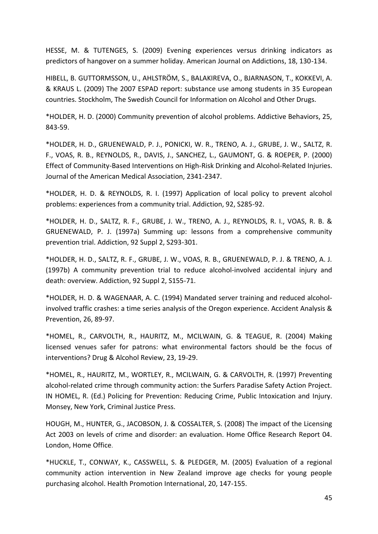HESSE, M. & TUTENGES, S. (2009) Evening experiences versus drinking indicators as predictors of hangover on a summer holiday. American Journal on Addictions, 18, 130-134.

HIBELL, B. GUTTORMSSON, U., AHLSTRÖM, S., BALAKIREVA, O., BJARNASON, T., KOKKEVI, A. & KRAUS L. (2009) The 2007 ESPAD report: substance use among students in 35 European countries. Stockholm, The Swedish Council for Information on Alcohol and Other Drugs.

\*HOLDER, H. D. (2000) Community prevention of alcohol problems. Addictive Behaviors, 25, 843-59.

\*HOLDER, H. D., GRUENEWALD, P. J., PONICKI, W. R., TRENO, A. J., GRUBE, J. W., SALTZ, R. F., VOAS, R. B., REYNOLDS, R., DAVIS, J., SANCHEZ, L., GAUMONT, G. & ROEPER, P. (2000) Effect of Community-Based Interventions on High-Risk Drinking and Alcohol-Related Injuries. Journal of the American Medical Association, 2341-2347.

\*HOLDER, H. D. & REYNOLDS, R. I. (1997) Application of local policy to prevent alcohol problems: experiences from a community trial. Addiction, 92, S285-92.

\*HOLDER, H. D., SALTZ, R. F., GRUBE, J. W., TRENO, A. J., REYNOLDS, R. I., VOAS, R. B. & GRUENEWALD, P. J. (1997a) Summing up: lessons from a comprehensive community prevention trial. Addiction, 92 Suppl 2, S293-301.

\*HOLDER, H. D., SALTZ, R. F., GRUBE, J. W., VOAS, R. B., GRUENEWALD, P. J. & TRENO, A. J. (1997b) A community prevention trial to reduce alcohol-involved accidental injury and death: overview. Addiction, 92 Suppl 2, S155-71.

\*HOLDER, H. D. & WAGENAAR, A. C. (1994) Mandated server training and reduced alcoholinvolved traffic crashes: a time series analysis of the Oregon experience. Accident Analysis & Prevention, 26, 89-97.

\*HOMEL, R., CARVOLTH, R., HAURITZ, M., MCILWAIN, G. & TEAGUE, R. (2004) Making licensed venues safer for patrons: what environmental factors should be the focus of interventions? Drug & Alcohol Review, 23, 19-29.

\*HOMEL, R., HAURITZ, M., WORTLEY, R., MCILWAIN, G. & CARVOLTH, R. (1997) Preventing alcohol-related crime through community action: the Surfers Paradise Safety Action Project. IN HOMEL, R. (Ed.) Policing for Prevention: Reducing Crime, Public Intoxication and Injury. Monsey, New York, Criminal Justice Press.

HOUGH, M., HUNTER, G., JACOBSON, J. & COSSALTER, S. (2008) The impact of the Licensing Act 2003 on levels of crime and disorder: an evaluation. Home Office Research Report 04. London, Home Office.

\*HUCKLE, T., CONWAY, K., CASSWELL, S. & PLEDGER, M. (2005) Evaluation of a regional community action intervention in New Zealand improve age checks for young people purchasing alcohol. Health Promotion International, 20, 147-155.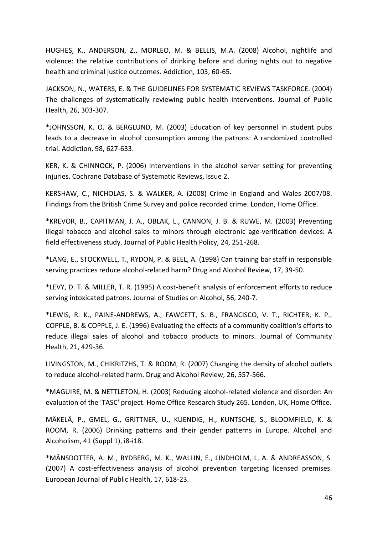HUGHES, K., ANDERSON, Z., MORLEO, M. & BELLIS, M.A. (2008) Alcohol, nightlife and violence: the relative contributions of drinking before and during nights out to negative health and criminal justice outcomes. Addiction, 103, 60-65.

JACKSON, N., WATERS, E. & THE GUIDELINES FOR SYSTEMATIC REVIEWS TASKFORCE. (2004) The challenges of systematically reviewing public health interventions. Journal of Public Health, 26, 303-307.

\*JOHNSSON, K. O. & BERGLUND, M. (2003) Education of key personnel in student pubs leads to a decrease in alcohol consumption among the patrons: A randomized controlled trial. Addiction, 98, 627-633.

KER, K. & CHINNOCK, P. (2006) Interventions in the alcohol server setting for preventing injuries. Cochrane Database of Systematic Reviews, Issue 2.

KERSHAW, C., NICHOLAS, S. & WALKER, A. (2008) Crime in England and Wales 2007/08. Findings from the British Crime Survey and police recorded crime. London, Home Office.

\*KREVOR, B., CAPITMAN, J. A., OBLAK, L., CANNON, J. B. & RUWE, M. (2003) Preventing illegal tobacco and alcohol sales to minors through electronic age-verification devices: A field effectiveness study. Journal of Public Health Policy, 24, 251-268.

\*LANG, E., STOCKWELL, T., RYDON, P. & BEEL, A. (1998) Can training bar staff in responsible serving practices reduce alcohol-related harm? Drug and Alcohol Review, 17, 39-50.

\*LEVY, D. T. & MILLER, T. R. (1995) A cost-benefit analysis of enforcement efforts to reduce serving intoxicated patrons. Journal of Studies on Alcohol, 56, 240-7.

\*LEWIS, R. K., PAINE-ANDREWS, A., FAWCETT, S. B., FRANCISCO, V. T., RICHTER, K. P., COPPLE, B. & COPPLE, J. E. (1996) Evaluating the effects of a community coalition's efforts to reduce illegal sales of alcohol and tobacco products to minors. Journal of Community Health, 21, 429-36.

LIVINGSTON, M., CHIKRITZHS, T. & ROOM, R. (2007) Changing the density of alcohol outlets to reduce alcohol-related harm. Drug and Alcohol Review, 26, 557-566.

\*MAGUIRE, M. & NETTLETON, H. (2003) Reducing alcohol-related violence and disorder: An evaluation of the 'TASC' project. Home Office Research Study 265. London, UK, Home Office.

MÄKELÄ, P., GMEL, G., GRITTNER, U., KUENDIG, H., KUNTSCHE, S., BLOOMFIELD, K. & ROOM, R. (2006) Drinking patterns and their gender patterns in Europe. Alcohol and Alcoholism, 41 (Suppl 1), i8-i18.

\*MÅNSDOTTER, A. M., RYDBERG, M. K., WALLIN, E., LINDHOLM, L. A. & ANDREASSON, S. (2007) A cost-effectiveness analysis of alcohol prevention targeting licensed premises. European Journal of Public Health, 17, 618-23.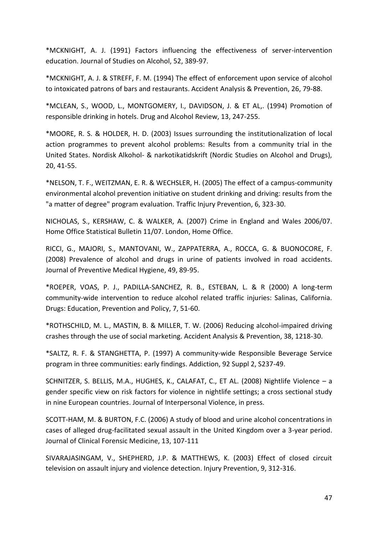\*MCKNIGHT, A. J. (1991) Factors influencing the effectiveness of server-intervention education. Journal of Studies on Alcohol, 52, 389-97.

\*MCKNIGHT, A. J. & STREFF, F. M. (1994) The effect of enforcement upon service of alcohol to intoxicated patrons of bars and restaurants. Accident Analysis & Prevention, 26, 79-88.

\*MCLEAN, S., WOOD, L., MONTGOMERY, I., DAVIDSON, J. & ET AL,. (1994) Promotion of responsible drinking in hotels. Drug and Alcohol Review, 13, 247-255.

\*MOORE, R. S. & HOLDER, H. D. (2003) Issues surrounding the institutionalization of local action programmes to prevent alcohol problems: Results from a community trial in the United States. Nordisk Alkohol- & narkotikatidskrift (Nordic Studies on Alcohol and Drugs), 20, 41-55.

\*NELSON, T. F., WEITZMAN, E. R. & WECHSLER, H. (2005) The effect of a campus-community environmental alcohol prevention initiative on student drinking and driving: results from the "a matter of degree" program evaluation. Traffic Injury Prevention, 6, 323-30.

NICHOLAS, S., KERSHAW, C. & WALKER, A. (2007) Crime in England and Wales 2006/07. Home Office Statistical Bulletin 11/07. London, Home Office.

RICCI, G., MAJORI, S., MANTOVANI, W., ZAPPATERRA, A., ROCCA, G. & BUONOCORE, F. (2008) Prevalence of alcohol and drugs in urine of patients involved in road accidents. Journal of Preventive Medical Hygiene, 49, 89-95.

\*ROEPER, VOAS, P. J., PADILLA-SANCHEZ, R. B., ESTEBAN, L. & R (2000) A long-term community-wide intervention to reduce alcohol related traffic injuries: Salinas, California. Drugs: Education, Prevention and Policy, 7, 51-60.

\*ROTHSCHILD, M. L., MASTIN, B. & MILLER, T. W. (2006) Reducing alcohol-impaired driving crashes through the use of social marketing. Accident Analysis & Prevention, 38, 1218-30.

\*SALTZ, R. F. & STANGHETTA, P. (1997) A community-wide Responsible Beverage Service program in three communities: early findings. Addiction, 92 Suppl 2, S237-49.

SCHNITZER, S. BELLIS, M.A., HUGHES, K., CALAFAT, C., ET AL. (2008) Nightlife Violence – a gender specific view on risk factors for violence in nightlife settings; a cross sectional study in nine European countries. Journal of Interpersonal Violence, in press.

SCOTT-HAM, M. & BURTON, F.C. (2006) A study of blood and urine alcohol concentrations in cases of alleged drug-facilitated sexual assault in the United Kingdom over a 3-year period. Journal of Clinical Forensic Medicine, 13, 107-111

SIVARAJASINGAM, V., SHEPHERD, J.P. & MATTHEWS, K. (2003) Effect of closed circuit television on assault injury and violence detection. Injury Prevention, 9, 312-316.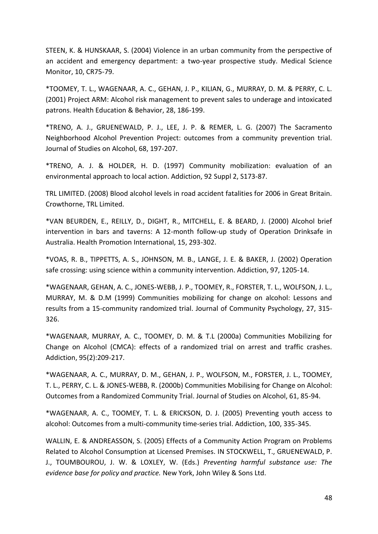STEEN, K. & HUNSKAAR, S. (2004) Violence in an urban community from the perspective of an accident and emergency department: a two-year prospective study. Medical Science Monitor, 10, CR75-79.

\*TOOMEY, T. L., WAGENAAR, A. C., GEHAN, J. P., KILIAN, G., MURRAY, D. M. & PERRY, C. L. (2001) Project ARM: Alcohol risk management to prevent sales to underage and intoxicated patrons. Health Education & Behavior, 28, 186-199.

\*TRENO, A. J., GRUENEWALD, P. J., LEE, J. P. & REMER, L. G. (2007) The Sacramento Neighborhood Alcohol Prevention Project: outcomes from a community prevention trial. Journal of Studies on Alcohol, 68, 197-207.

\*TRENO, A. J. & HOLDER, H. D. (1997) Community mobilization: evaluation of an environmental approach to local action. Addiction, 92 Suppl 2, S173-87.

TRL LIMITED. (2008) Blood alcohol levels in road accident fatalities for 2006 in Great Britain. Crowthorne, TRL Limited.

\*VAN BEURDEN, E., REILLY, D., DIGHT, R., MITCHELL, E. & BEARD, J. (2000) Alcohol brief intervention in bars and taverns: A 12-month follow-up study of Operation Drinksafe in Australia. Health Promotion International, 15, 293-302.

\*VOAS, R. B., TIPPETTS, A. S., JOHNSON, M. B., LANGE, J. E. & BAKER, J. (2002) Operation safe crossing: using science within a community intervention. Addiction, 97, 1205-14.

\*WAGENAAR, GEHAN, A. C., JONES-WEBB, J. P., TOOMEY, R., FORSTER, T. L., WOLFSON, J. L., MURRAY, M. & D.M (1999) Communities mobilizing for change on alcohol: Lessons and results from a 15-community randomized trial. Journal of Community Psychology, 27, 315- 326.

\*WAGENAAR, MURRAY, A. C., TOOMEY, D. M. & T.L (2000a) Communities Mobilizing for Change on Alcohol (CMCA): effects of a randomized trial on arrest and traffic crashes. Addiction, 95(2):209-217.

\*WAGENAAR, A. C., MURRAY, D. M., GEHAN, J. P., WOLFSON, M., FORSTER, J. L., TOOMEY, T. L., PERRY, C. L. & JONES-WEBB, R. (2000b) Communities Mobilising for Change on Alcohol: Outcomes from a Randomized Community Trial. Journal of Studies on Alcohol, 61, 85-94.

\*WAGENAAR, A. C., TOOMEY, T. L. & ERICKSON, D. J. (2005) Preventing youth access to alcohol: Outcomes from a multi-community time-series trial. Addiction, 100, 335-345.

WALLIN, E. & ANDREASSON, S. (2005) Effects of a Community Action Program on Problems Related to Alcohol Consumption at Licensed Premises. IN STOCKWELL, T., GRUENEWALD, P. J., TOUMBOUROU, J. W. & LOXLEY, W. (Eds.) *Preventing harmful substance use: The evidence base for policy and practice.* New York, John Wiley & Sons Ltd.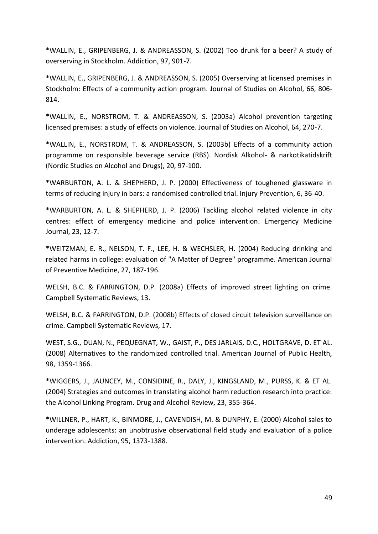\*WALLIN, E., GRIPENBERG, J. & ANDREASSON, S. (2002) Too drunk for a beer? A study of overserving in Stockholm. Addiction, 97, 901-7.

\*WALLIN, E., GRIPENBERG, J. & ANDREASSON, S. (2005) Overserving at licensed premises in Stockholm: Effects of a community action program. Journal of Studies on Alcohol, 66, 806- 814.

\*WALLIN, E., NORSTROM, T. & ANDREASSON, S. (2003a) Alcohol prevention targeting licensed premises: a study of effects on violence. Journal of Studies on Alcohol, 64, 270-7.

\*WALLIN, E., NORSTROM, T. & ANDREASSON, S. (2003b) Effects of a community action programme on responsible beverage service (RBS). Nordisk Alkohol- & narkotikatidskrift (Nordic Studies on Alcohol and Drugs), 20, 97-100.

\*WARBURTON, A. L. & SHEPHERD, J. P. (2000) Effectiveness of toughened glassware in terms of reducing injury in bars: a randomised controlled trial. Injury Prevention, 6, 36-40.

\*WARBURTON, A. L. & SHEPHERD, J. P. (2006) Tackling alcohol related violence in city centres: effect of emergency medicine and police intervention. Emergency Medicine Journal, 23, 12-7.

\*WEITZMAN, E. R., NELSON, T. F., LEE, H. & WECHSLER, H. (2004) Reducing drinking and related harms in college: evaluation of "A Matter of Degree" programme. American Journal of Preventive Medicine, 27, 187-196.

WELSH, B.C. & FARRINGTON, D.P. (2008a) Effects of improved street lighting on crime. Campbell Systematic Reviews, 13.

WELSH, B.C. & FARRINGTON, D.P. (2008b) Effects of closed circuit television surveillance on crime. Campbell Systematic Reviews, 17.

WEST, S.G., DUAN, N., PEQUEGNAT, W., GAIST, P., DES JARLAIS, D.C., HOLTGRAVE, D. ET AL. (2008) Alternatives to the randomized controlled trial. American Journal of Public Health, 98, 1359-1366.

\*WIGGERS, J., JAUNCEY, M., CONSIDINE, R., DALY, J., KINGSLAND, M., PURSS, K. & ET AL. (2004) Strategies and outcomes in translating alcohol harm reduction research into practice: the Alcohol Linking Program. Drug and Alcohol Review, 23, 355-364.

\*WILLNER, P., HART, K., BINMORE, J., CAVENDISH, M. & DUNPHY, E. (2000) Alcohol sales to underage adolescents: an unobtrusive observational field study and evaluation of a police intervention. Addiction, 95, 1373-1388.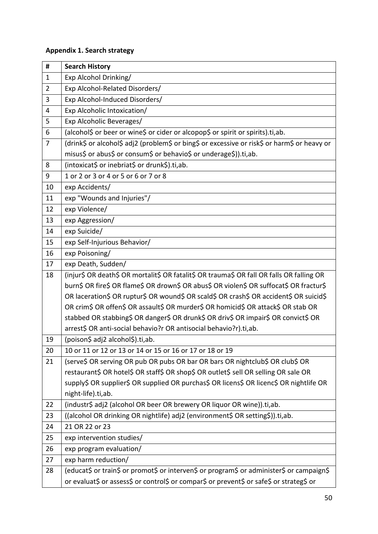# **Appendix 1. Search strategy**

| #              | <b>Search History</b>                                                                        |
|----------------|----------------------------------------------------------------------------------------------|
| $\mathbf{1}$   | Exp Alcohol Drinking/                                                                        |
| $\overline{2}$ | Exp Alcohol-Related Disorders/                                                               |
| 3              | Exp Alcohol-Induced Disorders/                                                               |
| 4              | Exp Alcoholic Intoxication/                                                                  |
| 5              | Exp Alcoholic Beverages/                                                                     |
| 6              | (alcohol\$ or beer or wine\$ or cider or alcopop\$ or spirit or spirits).ti,ab.              |
| $\overline{7}$ | (drink\$ or alcohol\$ adj2 (problem\$ or bing\$ or excessive or risk\$ or harm\$ or heavy or |
|                | misus\$ or abus\$ or consum\$ or behavio\$ or underage\$)).ti,ab.                            |
| 8              | (intoxicat\$ or inebriat\$ or drunk\$).ti,ab.                                                |
| 9              | 1 or 2 or 3 or 4 or 5 or 6 or 7 or 8                                                         |
| 10             | exp Accidents/                                                                               |
| 11             | exp "Wounds and Injuries"/                                                                   |
| 12             | exp Violence/                                                                                |
| 13             | exp Aggression/                                                                              |
| 14             | exp Suicide/                                                                                 |
| 15             | exp Self-Injurious Behavior/                                                                 |
| 16             | exp Poisoning/                                                                               |
| 17             | exp Death, Sudden/                                                                           |
| 18             | (injur\$ OR death\$ OR mortalit\$ OR fatalit\$ OR trauma\$ OR fall OR falls OR falling OR    |
|                | burn\$ OR fire\$ OR flame\$ OR drown\$ OR abus\$ OR violen\$ OR suffocat\$ OR fractur\$      |
|                | OR laceration\$ OR ruptur\$ OR wound\$ OR scald\$ OR crash\$ OR accident\$ OR suicid\$       |
|                | OR crim\$ OR offen\$ OR assault\$ OR murder\$ OR homicid\$ OR attack\$ OR stab OR            |
|                | stabbed OR stabbing\$ OR danger\$ OR drunk\$ OR driv\$ OR impair\$ OR convict\$ OR           |
|                | arrest\$ OR anti-social behavio?r OR antisocial behavio?r).ti,ab.                            |
| 19             | (poison\$ adj2 alcohol\$).ti,ab.                                                             |
| 20             | 10 or 11 or 12 or 13 or 14 or 15 or 16 or 17 or 18 or 19                                     |
| 21             | (serve\$ OR serving OR pub OR pubs OR bar OR bars OR nightclub\$ OR club\$ OR                |
|                | restaurant\$ OR hotel\$ OR staff\$ OR shop\$ OR outlet\$ sell OR selling OR sale OR          |
|                | supply\$ OR supplier\$ OR supplied OR purchas\$ OR licens\$ OR licenc\$ OR nightlife OR      |
|                | night-life).ti,ab.                                                                           |
| 22             | (industr\$ adj2 (alcohol OR beer OR brewery OR liquor OR wine)).ti,ab.                       |
| 23             | ((alcohol OR drinking OR nightlife) adj2 (environment\$ OR setting\$)).ti,ab.                |
| 24             | 21 OR 22 or 23                                                                               |
| 25             | exp intervention studies/                                                                    |
| 26             | exp program evaluation/                                                                      |
| 27             | exp harm reduction/                                                                          |
| 28             | (educat\$ or train\$ or promot\$ or interven\$ or program\$ or administer\$ or campaign\$    |
|                | or evaluat\$ or assess\$ or control\$ or compar\$ or prevent\$ or safe\$ or strateg\$ or     |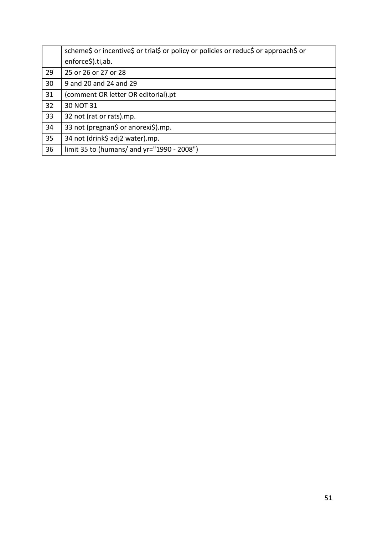|    | scheme\$ or incentive\$ or trial\$ or policy or policies or reduc\$ or approach\$ or |
|----|--------------------------------------------------------------------------------------|
|    | enforce\$).ti,ab.                                                                    |
| 29 | 25 or 26 or 27 or 28                                                                 |
| 30 | 9 and 20 and 24 and 29                                                               |
| 31 | (comment OR letter OR editorial).pt                                                  |
| 32 | 30 NOT 31                                                                            |
| 33 | 32 not (rat or rats).mp.                                                             |
| 34 | 33 not (pregnan\$ or anorexi\$).mp.                                                  |
| 35 | 34 not (drink\$ adj2 water).mp.                                                      |
| 36 | limit 35 to (humans/ and yr="1990 - 2008")                                           |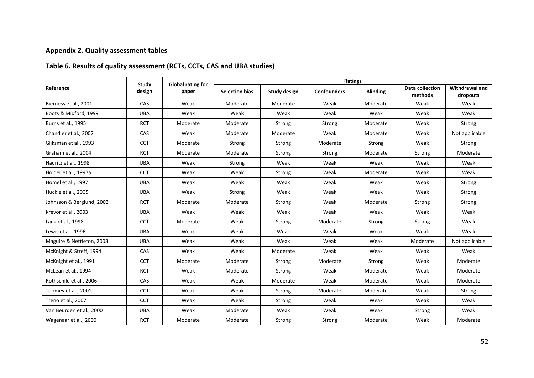# **Appendix 2. Quality assessment tables**

# **Table 6. Results of quality assessment (RCTs, CCTs, CAS and UBA studies)**

|                           | Study<br>design                                              | <b>Global rating for</b> | Ratings                               |          |                    |                    |                                   |                            |  |
|---------------------------|--------------------------------------------------------------|--------------------------|---------------------------------------|----------|--------------------|--------------------|-----------------------------------|----------------------------|--|
| Reference                 |                                                              | paper                    | <b>Selection bias</b><br>Study design |          | <b>Confounders</b> | <b>Blinding</b>    | <b>Data collection</b><br>methods | Withdrawal and<br>dropouts |  |
| Bierness et al., 2001     | <b>CAS</b>                                                   | Weak                     | Moderate                              | Moderate | Weak               | Moderate           | Weak                              | Weak                       |  |
| Boots & Midford, 1999     | <b>UBA</b>                                                   | Weak                     | Weak                                  | Weak     | Weak               | Weak               | Weak                              | Weak                       |  |
| Burns et al., 1995        | <b>RCT</b>                                                   | Moderate                 | Moderate                              | Strong   | Strong             | Moderate           | Weak                              | Strong                     |  |
| Chandler et al., 2002     | CAS                                                          | Weak                     | Moderate                              | Moderate | Weak               | Moderate           | Weak                              | Not applicable             |  |
| Gliksman et al., 1993     | <b>CCT</b>                                                   | Moderate                 | Strong                                | Strong   | Moderate           | Strong             | Weak                              | Strong                     |  |
| Graham et al., 2004       | <b>RCT</b>                                                   | Moderate                 | Moderate                              | Strong   | Strong             | Moderate<br>Strong |                                   | Moderate                   |  |
| Hauritz et al., 1998      | <b>UBA</b>                                                   | Weak                     | Strong                                | Weak     | Weak               | Weak               | Weak                              | Weak                       |  |
| Holder et al., 1997a      | <b>CCT</b>                                                   | Weak                     | Weak                                  | Strong   | Weak               | Moderate           | Weak                              | Weak                       |  |
| Homel et al., 1997        | <b>UBA</b>                                                   | Weak                     | Weak                                  | Weak     | Weak               | Weak               | Weak                              | Strong                     |  |
| Huckle et al., 2005       | <b>UBA</b>                                                   | Weak                     | Strong                                | Weak     | Weak               | Weak               | Weak                              | Strong                     |  |
| Johnsson & Berglund, 2003 | <b>RCT</b>                                                   | Moderate                 | Moderate                              | Strong   | Weak               | Moderate<br>Strong |                                   | Strong                     |  |
| Krevor et al., 2003       | <b>UBA</b>                                                   | Weak                     | Weak                                  | Weak     | Weak               | Weak<br>Weak       |                                   | Weak                       |  |
| Lang et al., 1998         | <b>CCT</b>                                                   | Moderate                 | Weak                                  | Strong   | Moderate           | Strong<br>Strong   |                                   | Weak                       |  |
| Lewis et al., 1996        | <b>UBA</b>                                                   | Weak                     | Weak                                  | Weak     | Weak               | Weak               | Weak                              | Weak                       |  |
| Maguire & Nettleton, 2003 | <b>UBA</b>                                                   | Weak                     | Weak                                  | Weak     | Weak               | Weak               | Moderate                          | Not applicable             |  |
| McKnight & Streff, 1994   | CAS                                                          | Weak                     | Weak                                  | Moderate | Weak               | Weak               | Weak                              | Weak                       |  |
| McKnight et al., 1991     | <b>CCT</b>                                                   | Moderate                 | Moderate                              | Strong   | Moderate           | Strong             | Weak                              | Moderate                   |  |
| McLean et al., 1994       | <b>RCT</b>                                                   | Weak                     | Moderate                              | Strong   | Weak               | Moderate           | Weak                              | Moderate                   |  |
| Rothschild et al., 2006   | CAS                                                          | Weak                     | Weak                                  | Moderate | Weak               | Moderate           | Weak                              | Moderate                   |  |
| Toomey et al., 2001       | <b>CCT</b><br>Weak<br>Weak<br>Moderate<br>Strong<br>Moderate |                          | Weak                                  | Strong   |                    |                    |                                   |                            |  |
| Treno et al., 2007        | <b>CCT</b><br>Weak<br>Weak<br>Weak<br>Weak<br>Strong         |                          | Weak                                  | Weak     |                    |                    |                                   |                            |  |
| Van Beurden et al., 2000  | <b>UBA</b>                                                   | Weak                     | Moderate                              | Weak     | Weak               | Weak               | Strong                            | Weak                       |  |
| Wagenaar et al., 2000     | <b>RCT</b>                                                   | Moderate                 | Moderate                              | Strong   | Strong             | Moderate           | Weak                              | Moderate                   |  |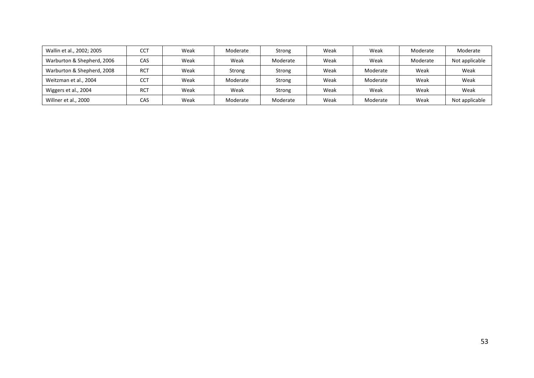| Wallin et al., 2002; 2005  | CCT        | Weak | Moderate | Strong   | Weak | Weak     | Moderate | Moderate       |
|----------------------------|------------|------|----------|----------|------|----------|----------|----------------|
| Warburton & Shepherd, 2006 | CAS        | Weak | Weak     | Moderate | Weak | Weak     | Moderate | Not applicable |
| Warburton & Shepherd, 2008 | RCT        | Weak | Strong   | Strong   | Weak | Moderate | Weak     | Weak           |
| Weitzman et al., 2004      | <b>CCT</b> | Weak | Moderate | Strong   | Weak | Moderate | Weak     | Weak           |
| Wiggers et al., 2004       | <b>RCT</b> | Weak | Weak     | Strong   | Weak | Weak     | Weak     | Weak           |
| Willner et al., 2000       | CAS        | Weak | Moderate | Moderate | Weak | Moderate | Weak     | Not applicable |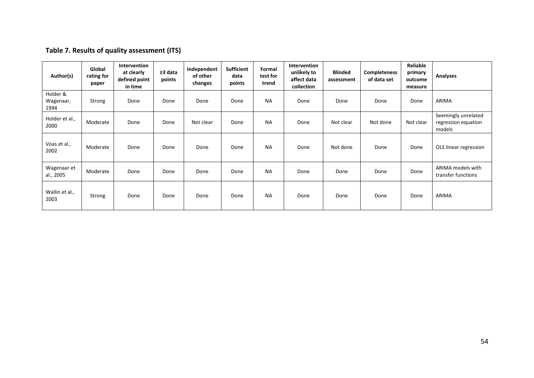# **Table 7. Results of quality assessment (ITS)**

| Author(s)                     | Global<br>rating for<br>paper | Intervention<br>at clearly<br>defined point<br>in time | ≥3 data<br>points | Independent<br>of other<br>changes | <b>Sufficient</b><br>data<br>points | Formal<br>test for<br>trend | Intervention<br>unlikely to<br>affect data<br>collection | <b>Blinded</b><br>assessment | <b>Completeness</b><br>of data set | Reliable<br>primary<br>outcome<br>measure | Analyses                                             |
|-------------------------------|-------------------------------|--------------------------------------------------------|-------------------|------------------------------------|-------------------------------------|-----------------------------|----------------------------------------------------------|------------------------------|------------------------------------|-------------------------------------------|------------------------------------------------------|
| Holder &<br>Wagenaar,<br>1994 | Strong                        | Done                                                   | Done              | Done                               | Done                                | <b>NA</b>                   | Done                                                     | Done                         | Done                               | Done                                      | ARIMA                                                |
| Holder et al.,<br>2000        | Moderate                      | Done                                                   | Done              | Not clear                          | Done                                | <b>NA</b>                   | Done                                                     | Not clear                    | Not done                           | Not clear                                 | Seemingly unrelated<br>regression equation<br>models |
| Voas et al.,<br>2002          | Moderate                      | Done                                                   | Done              | Done                               | Done                                | <b>NA</b>                   | Done                                                     | Not done                     | Done                               | Done                                      | OLS linear regression                                |
| Wagenaar et<br>al., 2005      | Moderate                      | Done                                                   | Done              | Done                               | Done                                | <b>NA</b>                   | Done                                                     | Done                         | Done                               | Done                                      | ARIMA models with<br>transfer functions              |
| Wallin et al.,<br>2003        | Strong                        | Done                                                   | Done              | Done                               | Done                                | <b>NA</b>                   | Done                                                     | Done                         | Done                               | Done                                      | ARIMA                                                |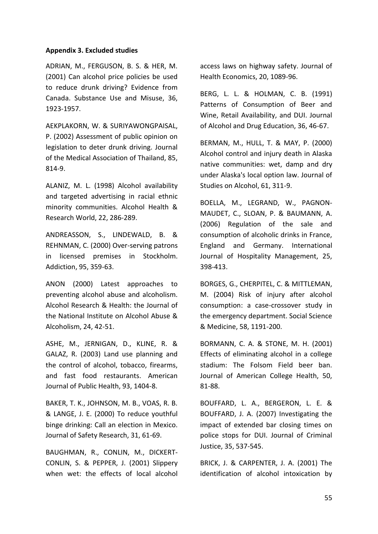#### **Appendix 3. Excluded studies**

ADRIAN, M., FERGUSON, B. S. & HER, M. (2001) Can alcohol price policies be used to reduce drunk driving? Evidence from Canada. Substance Use and Misuse, 36, 1923-1957.

AEKPLAKORN, W. & SURIYAWONGPAISAL, P. (2002) Assessment of public opinion on legislation to deter drunk driving. Journal of the Medical Association of Thailand, 85, 814-9.

ALANIZ, M. L. (1998) Alcohol availability and targeted advertising in racial ethnic minority communities. Alcohol Health & Research World, 22, 286-289.

ANDREASSON, S., LINDEWALD, B. & REHNMAN, C. (2000) Over-serving patrons in licensed premises in Stockholm. Addiction, 95, 359-63.

ANON (2000) Latest approaches to preventing alcohol abuse and alcoholism. Alcohol Research & Health: the Journal of the National Institute on Alcohol Abuse & Alcoholism, 24, 42-51.

ASHE, M., JERNIGAN, D., KLINE, R. & GALAZ, R. (2003) Land use planning and the control of alcohol, tobacco, firearms, and fast food restaurants. American Journal of Public Health, 93, 1404-8.

BAKER, T. K., JOHNSON, M. B., VOAS, R. B. & LANGE, J. E. (2000) To reduce youthful binge drinking: Call an election in Mexico. Journal of Safety Research, 31, 61-69.

BAUGHMAN, R., CONLIN, M., DICKERT-CONLIN, S. & PEPPER, J. (2001) Slippery when wet: the effects of local alcohol access laws on highway safety. Journal of Health Economics, 20, 1089-96.

BERG, L. L. & HOLMAN, C. B. (1991) Patterns of Consumption of Beer and Wine, Retail Availability, and DUI. Journal of Alcohol and Drug Education, 36, 46-67.

BERMAN, M., HULL, T. & MAY, P. (2000) Alcohol control and injury death in Alaska native communities: wet, damp and dry under Alaska's local option law. Journal of Studies on Alcohol, 61, 311-9.

BOELLA, M., LEGRAND, W., PAGNON-MAUDET, C., SLOAN, P. & BAUMANN, A. (2006) Regulation of the sale and consumption of alcoholic drinks in France, England and Germany. International Journal of Hospitality Management, 25, 398-413.

BORGES, G., CHERPITEL, C. & MITTLEMAN, M. (2004) Risk of injury after alcohol consumption: a case-crossover study in the emergency department. Social Science & Medicine, 58, 1191-200.

BORMANN, C. A. & STONE, M. H. (2001) Effects of eliminating alcohol in a college stadium: The Folsom Field beer ban. Journal of American College Health, 50, 81-88.

BOUFFARD, L. A., BERGERON, L. E. & BOUFFARD, J. A. (2007) Investigating the impact of extended bar closing times on police stops for DUI. Journal of Criminal Justice, 35, 537-545.

BRICK, J. & CARPENTER, J. A. (2001) The identification of alcohol intoxication by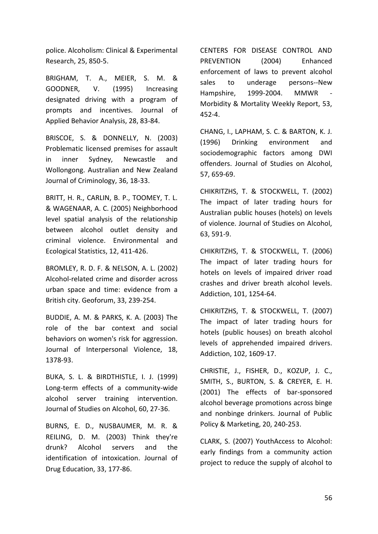police. Alcoholism: Clinical & Experimental Research, 25, 850-5.

BRIGHAM, T. A., MEIER, S. M. & GOODNER, V. (1995) Increasing designated driving with a program of prompts and incentives. Journal of Applied Behavior Analysis, 28, 83-84.

BRISCOE, S. & DONNELLY, N. (2003) Problematic licensed premises for assault in inner Sydney, Newcastle and Wollongong. Australian and New Zealand Journal of Criminology, 36, 18-33.

BRITT, H. R., CARLIN, B. P., TOOMEY, T. L. & WAGENAAR, A. C. (2005) Neighborhood level spatial analysis of the relationship between alcohol outlet density and criminal violence. Environmental and Ecological Statistics, 12, 411-426.

BROMLEY, R. D. F. & NELSON, A. L. (2002) Alcohol-related crime and disorder across urban space and time: evidence from a British city. Geoforum, 33, 239-254.

BUDDIE, A. M. & PARKS, K. A. (2003) The role of the bar context and social behaviors on women's risk for aggression. Journal of Interpersonal Violence, 18, 1378-93.

BUKA, S. L. & BIRDTHISTLE, I. J. (1999) Long-term effects of a community-wide alcohol server training intervention. Journal of Studies on Alcohol, 60, 27-36.

BURNS, E. D., NUSBAUMER, M. R. & REILING, D. M. (2003) Think they're drunk? Alcohol servers and the identification of intoxication. Journal of Drug Education, 33, 177-86.

CENTERS FOR DISEASE CONTROL AND PREVENTION (2004) Enhanced enforcement of laws to prevent alcohol sales to underage persons--New Hampshire, 1999-2004. MMWR - Morbidity & Mortality Weekly Report, 53, 452-4.

CHANG, I., LAPHAM, S. C. & BARTON, K. J. (1996) Drinking environment and sociodemographic factors among DWI offenders. Journal of Studies on Alcohol, 57, 659-69.

CHIKRITZHS, T. & STOCKWELL, T. (2002) The impact of later trading hours for Australian public houses (hotels) on levels of violence. Journal of Studies on Alcohol, 63, 591-9.

CHIKRITZHS, T. & STOCKWELL, T. (2006) The impact of later trading hours for hotels on levels of impaired driver road crashes and driver breath alcohol levels. Addiction, 101, 1254-64.

CHIKRITZHS, T. & STOCKWELL, T. (2007) The impact of later trading hours for hotels (public houses) on breath alcohol levels of apprehended impaired drivers. Addiction, 102, 1609-17.

CHRISTIE, J., FISHER, D., KOZUP, J. C., SMITH, S., BURTON, S. & CREYER, E. H. (2001) The effects of bar-sponsored alcohol beverage promotions across binge and nonbinge drinkers. Journal of Public Policy & Marketing, 20, 240-253.

CLARK, S. (2007) YouthAccess to Alcohol: early findings from a community action project to reduce the supply of alcohol to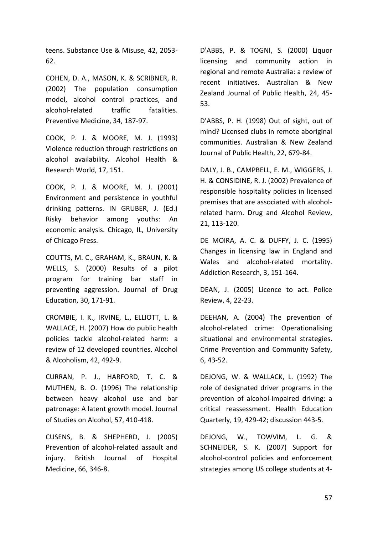teens. Substance Use & Misuse, 42, 2053- 62.

COHEN, D. A., MASON, K. & SCRIBNER, R. (2002) The population consumption model, alcohol control practices, and alcohol-related traffic fatalities. Preventive Medicine, 34, 187-97.

COOK, P. J. & MOORE, M. J. (1993) Violence reduction through restrictions on alcohol availability. Alcohol Health & Research World, 17, 151.

COOK, P. J. & MOORE, M. J. (2001) Environment and persistence in youthful drinking patterns. IN GRUBER, J. (Ed.) Risky behavior among youths: An economic analysis. Chicago, IL, University of Chicago Press.

COUTTS, M. C., GRAHAM, K., BRAUN, K. & WELLS, S. (2000) Results of a pilot program for training bar staff in preventing aggression. Journal of Drug Education, 30, 171-91.

CROMBIE, I. K., IRVINE, L., ELLIOTT, L. & WALLACE, H. (2007) How do public health policies tackle alcohol-related harm: a review of 12 developed countries. Alcohol & Alcoholism, 42, 492-9.

CURRAN, P. J., HARFORD, T. C. & MUTHEN, B. O. (1996) The relationship between heavy alcohol use and bar patronage: A latent growth model. Journal of Studies on Alcohol, 57, 410-418.

CUSENS, B. & SHEPHERD, J. (2005) Prevention of alcohol-related assault and injury. British Journal of Hospital Medicine, 66, 346-8.

D'ABBS, P. & TOGNI, S. (2000) Liquor licensing and community action in regional and remote Australia: a review of recent initiatives. Australian & New Zealand Journal of Public Health, 24, 45- 53.

D'ABBS, P. H. (1998) Out of sight, out of mind? Licensed clubs in remote aboriginal communities. Australian & New Zealand Journal of Public Health, 22, 679-84.

DALY, J. B., CAMPBELL, E. M., WIGGERS, J. H. & CONSIDINE, R. J. (2002) Prevalence of responsible hospitality policies in licensed premises that are associated with alcoholrelated harm. Drug and Alcohol Review, 21, 113-120.

DE MOIRA, A. C. & DUFFY, J. C. (1995) Changes in licensing law in England and Wales and alcohol-related mortality. Addiction Research, 3, 151-164.

DEAN, J. (2005) Licence to act. Police Review, 4, 22-23.

DEEHAN, A. (2004) The prevention of alcohol-related crime: Operationalising situational and environmental strategies. Crime Prevention and Community Safety, 6, 43-52.

DEJONG, W. & WALLACK, L. (1992) The role of designated driver programs in the prevention of alcohol-impaired driving: a critical reassessment. Health Education Quarterly, 19, 429-42; discussion 443-5.

DEJONG, W., TOWVIM, L. G. & SCHNEIDER, S. K. (2007) Support for alcohol-control policies and enforcement strategies among US college students at 4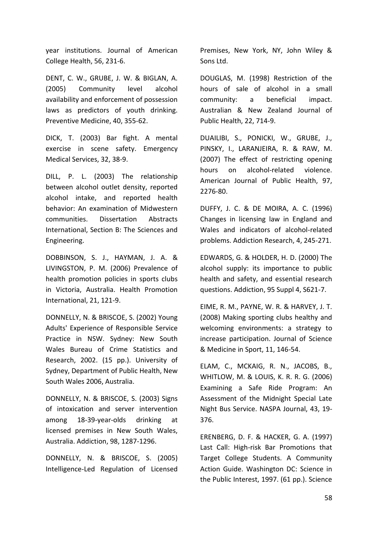year institutions. Journal of American College Health, 56, 231-6.

DENT, C. W., GRUBE, J. W. & BIGLAN, A. (2005) Community level alcohol availability and enforcement of possession laws as predictors of youth drinking. Preventive Medicine, 40, 355-62.

DICK, T. (2003) Bar fight. A mental exercise in scene safety. Emergency Medical Services, 32, 38-9.

DILL, P. L. (2003) The relationship between alcohol outlet density, reported alcohol intake, and reported health behavior: An examination of Midwestern communities. Dissertation Abstracts International, Section B: The Sciences and Engineering.

DOBBINSON, S. J., HAYMAN, J. A. & LIVINGSTON, P. M. (2006) Prevalence of health promotion policies in sports clubs in Victoria, Australia. Health Promotion International, 21, 121-9.

DONNELLY, N. & BRISCOE, S. (2002) Young Adults' Experience of Responsible Service Practice in NSW. Sydney: New South Wales Bureau of Crime Statistics and Research, 2002. (15 pp.). University of Sydney, Department of Public Health, New South Wales 2006, Australia.

DONNELLY, N. & BRISCOE, S. (2003) Signs of intoxication and server intervention among 18-39-year-olds drinking at licensed premises in New South Wales, Australia. Addiction, 98, 1287-1296.

DONNELLY, N. & BRISCOE, S. (2005) Intelligence-Led Regulation of Licensed Premises, New York, NY, John Wiley & Sons Ltd.

DOUGLAS, M. (1998) Restriction of the hours of sale of alcohol in a small community: a beneficial impact. Australian & New Zealand Journal of Public Health, 22, 714-9.

DUAILIBI, S., PONICKI, W., GRUBE, J., PINSKY, I., LARANJEIRA, R. & RAW, M. (2007) The effect of restricting opening hours on alcohol-related violence. American Journal of Public Health, 97, 2276-80.

DUFFY, J. C. & DE MOIRA, A. C. (1996) Changes in licensing law in England and Wales and indicators of alcohol-related problems. Addiction Research, 4, 245-271.

EDWARDS, G. & HOLDER, H. D. (2000) The alcohol supply: its importance to public health and safety, and essential research questions. Addiction, 95 Suppl 4, S621-7.

EIME, R. M., PAYNE, W. R. & HARVEY, J. T. (2008) Making sporting clubs healthy and welcoming environments: a strategy to increase participation. Journal of Science & Medicine in Sport, 11, 146-54.

ELAM, C., MCKAIG, R. N., JACOBS, B., WHITLOW, M. & LOUIS, K. R. R. G. (2006) Examining a Safe Ride Program: An Assessment of the Midnight Special Late Night Bus Service. NASPA Journal, 43, 19- 376.

ERENBERG, D. F. & HACKER, G. A. (1997) Last Call: High-risk Bar Promotions that Target College Students. A Community Action Guide. Washington DC: Science in the Public Interest, 1997. (61 pp.). Science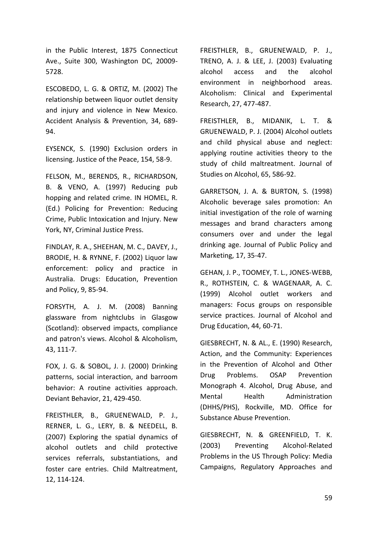in the Public Interest, 1875 Connecticut Ave., Suite 300, Washington DC, 20009- 5728.

ESCOBEDO, L. G. & ORTIZ, M. (2002) The relationship between liquor outlet density and injury and violence in New Mexico. Accident Analysis & Prevention, 34, 689- 94.

EYSENCK, S. (1990) Exclusion orders in licensing. Justice of the Peace, 154, 58-9.

FELSON, M., BERENDS, R., RICHARDSON, B. & VENO, A. (1997) Reducing pub hopping and related crime. IN HOMEL, R. (Ed.) Policing for Prevention: Reducing Crime, Public Intoxication and Injury. New York, NY, Criminal Justice Press.

FINDLAY, R. A., SHEEHAN, M. C., DAVEY, J., BRODIE, H. & RYNNE, F. (2002) Liquor law enforcement: policy and practice in Australia. Drugs: Education, Prevention and Policy, 9, 85-94.

FORSYTH, A. J. M. (2008) Banning glassware from nightclubs in Glasgow (Scotland): observed impacts, compliance and patron's views. Alcohol & Alcoholism, 43, 111-7.

FOX, J. G. & SOBOL, J. J. (2000) Drinking patterns, social interaction, and barroom behavior: A routine activities approach. Deviant Behavior, 21, 429-450.

FREISTHLER, B., GRUENEWALD, P. J., RERNER, L. G., LERY, B. & NEEDELL, B. (2007) Exploring the spatial dynamics of alcohol outlets and child protective services referrals, substantiations, and foster care entries. Child Maltreatment, 12, 114-124.

FREISTHLER, B., GRUENEWALD, P. J., TRENO, A. J. & LEE, J. (2003) Evaluating alcohol access and the alcohol environment in neighborhood areas. Alcoholism: Clinical and Experimental Research, 27, 477-487.

FREISTHLER, B., MIDANIK, L. T. & GRUENEWALD, P. J. (2004) Alcohol outlets and child physical abuse and neglect: applying routine activities theory to the study of child maltreatment. Journal of Studies on Alcohol, 65, 586-92.

GARRETSON, J. A. & BURTON, S. (1998) Alcoholic beverage sales promotion: An initial investigation of the role of warning messages and brand characters among consumers over and under the legal drinking age. Journal of Public Policy and Marketing, 17, 35-47.

GEHAN, J. P., TOOMEY, T. L., JONES-WEBB, R., ROTHSTEIN, C. & WAGENAAR, A. C. (1999) Alcohol outlet workers and managers: Focus groups on responsible service practices. Journal of Alcohol and Drug Education, 44, 60-71.

GIESBRECHT, N. & AL., E. (1990) Research, Action, and the Community: Experiences in the Prevention of Alcohol and Other Drug Problems. OSAP Prevention Monograph 4. Alcohol, Drug Abuse, and Mental Health Administration (DHHS/PHS), Rockville, MD. Office for Substance Abuse Prevention.

GIESBRECHT, N. & GREENFIELD, T. K. (2003) Preventing Alcohol-Related Problems in the US Through Policy: Media Campaigns, Regulatory Approaches and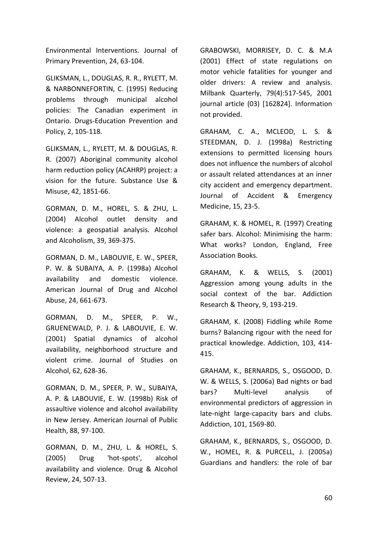Environmental Interventions. Journal of Primary Prevention, 24, 63-104.

GLIKSMAN, L., DOUGLAS, R. R., RYLETT, M. & NARBONNEFORTIN, C. (1995) Reducing problems through municipal alcohol policies: The Canadian experiment in Ontario. Drugs-Education Prevention and Policy, 2, 105-118.

GLIKSMAN, L., RYLETT, M. & DOUGLAS, R. R. (2007) Aboriginal community alcohol harm reduction policy (ACAHRP) project: a vision for the future. Substance Use & Misuse, 42, 1851-66.

GORMAN, D. M., HOREL, S. & ZHU, L. (2004) Alcohol outlet density and violence: a geospatial analysis. Alcohol and Alcoholism, 39, 369-375.

GORMAN, D. M., LABOUVIE, E. W., SPEER, P. W. & SUBAIYA, A. P. (1998a) Alcohol availability and domestic violence. American Journal of Drug and Alcohol Abuse, 24, 661-673.

GORMAN, D. M., SPEER, P. W., GRUENEWALD, P. J. & LABOUVIE, E. W. (2001) Spatial dynamics of alcohol availability, neighborhood structure and violent crime. Journal of Studies on Alcohol, 62, 628-36.

GORMAN, D. M., SPEER, P. W., SUBAIYA, A. P. & LABOUVIE, E. W. (1998b) Risk of assaultive violence and alcohol availability in New Jersey. American Journal of Public Health, 88, 97-100.

GORMAN, D. M., ZHU, L. & HOREL, S. (2005) Drug 'hot-spots', alcohol availability and violence. Drug & Alcohol Review, 24, 507-13.

GRABOWSKI, MORRISEY, D. C. & M.A (2001) Effect of state regulations on motor vehicle fatalities for younger and older drivers: A review and analysis. Milbank Quarterly, 79(4):517-545, 2001 journal article (03) [162824]. Information not provided.

GRAHAM, C. A., MCLEOD, L. S. & STEEDMAN, D. J. (1998a) Restricting extensions to permitted licensing hours does not influence the numbers of alcohol or assault related attendances at an inner city accident and emergency department. Journal of Accident & Emergency Medicine, 15, 23-5.

GRAHAM, K. & HOMEL, R. (1997) Creating safer bars. Alcohol: Minimising the harm: What works? London, England, Free Association Books.

GRAHAM, K. & WELLS, S. (2001) Aggression among young adults in the social context of the bar. Addiction Research & Theory, 9, 193-219.

GRAHAM, K. (2008) Fiddling while Rome burns? Balancing rigour with the need for practical knowledge. Addiction, 103, 414- 415.

GRAHAM, K., BERNARDS, S., OSGOOD, D. W. & WELLS, S. (2006a) Bad nights or bad bars? Multi-level analysis of environmental predictors of aggression in late-night large-capacity bars and clubs. Addiction, 101, 1569-80.

GRAHAM, K., BERNARDS, S., OSGOOD, D. W., HOMEL, R. & PURCELL, J. (2005a) Guardians and handlers: the role of bar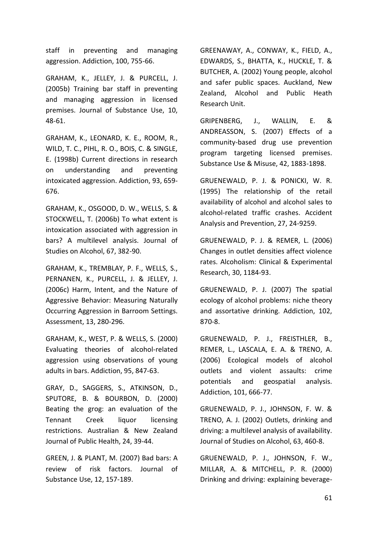staff in preventing and managing aggression. Addiction, 100, 755-66.

GRAHAM, K., JELLEY, J. & PURCELL, J. (2005b) Training bar staff in preventing and managing aggression in licensed premises. Journal of Substance Use, 10, 48-61.

GRAHAM, K., LEONARD, K. E., ROOM, R., WILD, T. C., PIHL, R. O., BOIS, C. & SINGLE, E. (1998b) Current directions in research on understanding and preventing intoxicated aggression. Addiction, 93, 659- 676.

GRAHAM, K., OSGOOD, D. W., WELLS, S. & STOCKWELL, T. (2006b) To what extent is intoxication associated with aggression in bars? A multilevel analysis. Journal of Studies on Alcohol, 67, 382-90.

GRAHAM, K., TREMBLAY, P. F., WELLS, S., PERNANEN, K., PURCELL, J. & JELLEY, J. (2006c) Harm, Intent, and the Nature of Aggressive Behavior: Measuring Naturally Occurring Aggression in Barroom Settings. Assessment, 13, 280-296.

GRAHAM, K., WEST, P. & WELLS, S. (2000) Evaluating theories of alcohol-related aggression using observations of young adults in bars. Addiction, 95, 847-63.

GRAY, D., SAGGERS, S., ATKINSON, D., SPUTORE, B. & BOURBON, D. (2000) Beating the grog: an evaluation of the Tennant Creek liquor licensing restrictions. Australian & New Zealand Journal of Public Health, 24, 39-44.

GREEN, J. & PLANT, M. (2007) Bad bars: A review of risk factors. Journal of Substance Use, 12, 157-189.

GREENAWAY, A., CONWAY, K., FIELD, A., EDWARDS, S., BHATTA, K., HUCKLE, T. & BUTCHER, A. (2002) Young people, alcohol and safer public spaces. Auckland, New Zealand, Alcohol and Public Heath Research Unit.

GRIPENBERG, J., WALLIN, E. & ANDREASSON, S. (2007) Effects of a community-based drug use prevention program targeting licensed premises. Substance Use & Misuse, 42, 1883-1898.

GRUENEWALD, P. J. & PONICKI, W. R. (1995) The relationship of the retail availability of alcohol and alcohol sales to alcohol-related traffic crashes. Accident Analysis and Prevention, 27, 24-9259.

GRUENEWALD, P. J. & REMER, L. (2006) Changes in outlet densities affect violence rates. Alcoholism: Clinical & Experimental Research, 30, 1184-93.

GRUENEWALD, P. J. (2007) The spatial ecology of alcohol problems: niche theory and assortative drinking. Addiction, 102, 870-8.

GRUENEWALD, P. J., FREISTHLER, B., REMER, L., LASCALA, E. A. & TRENO, A. (2006) Ecological models of alcohol outlets and violent assaults: crime potentials and geospatial analysis. Addiction, 101, 666-77.

GRUENEWALD, P. J., JOHNSON, F. W. & TRENO, A. J. (2002) Outlets, drinking and driving: a multilevel analysis of availability. Journal of Studies on Alcohol, 63, 460-8.

GRUENEWALD, P. J., JOHNSON, F. W., MILLAR, A. & MITCHELL, P. R. (2000) Drinking and driving: explaining beverage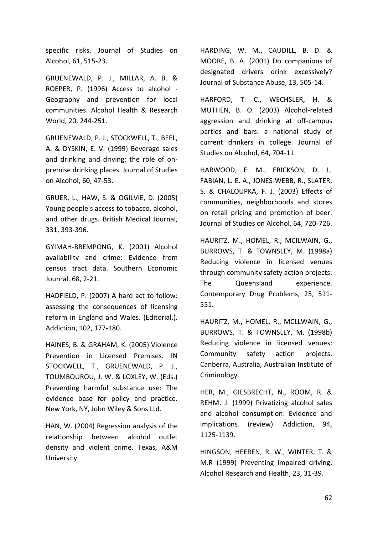specific risks. Journal of Studies on Alcohol, 61, 515-23.

GRUENEWALD, P. J., MILLAR, A. B. & ROEPER, P. (1996) Access to alcohol - Geography and prevention for local communities. Alcohol Health & Research World, 20, 244-251.

GRUENEWALD, P. J., STOCKWELL, T., BEEL, A. & DYSKIN, E. V. (1999) Beverage sales and drinking and driving: the role of onpremise drinking places. Journal of Studies on Alcohol, 60, 47-53.

GRUER, L., HAW, S. & OGILVIE, D. (2005) Young people's access to tobacco, alcohol, and other drugs. British Medical Journal, 331, 393-396.

GYIMAH-BREMPONG, K. (2001) Alcohol availability and crime: Evidence from census tract data. Southern Economic Journal, 68, 2-21.

HADFIELD, P. (2007) A hard act to follow: assessing the consequences of licensing reform in England and Wales. (Editorial.). Addiction, 102, 177-180.

HAINES, B. & GRAHAM, K. (2005) Violence Prevention in Licensed Premises. IN STOCKWELL, T., GRUENEWALD, P. J., TOUMBOUROU, J. W. & LOXLEY, W. (Eds.) Preventing harmful substance use: The evidence base for policy and practice. New York, NY, John Wiley & Sons Ltd.

HAN, W. (2004) Regression analysis of the relationship between alcohol outlet density and violent crime. Texas, A&M University.

HARDING, W. M., CAUDILL, B. D. & MOORE, B. A. (2001) Do companions of designated drivers drink excessively? Journal of Substance Abuse, 13, 505-14.

HARFORD, T. C., WECHSLER, H. & MUTHEN, B. O. (2003) Alcohol-related aggression and drinking at off-campus parties and bars: a national study of current drinkers in college. Journal of Studies on Alcohol, 64, 704-11.

HARWOOD, E. M., ERICKSON, D. J., FABIAN, L. E. A., JONES-WEBB, R., SLATER, S. & CHALOUPKA, F. J. (2003) Effects of communities, neighborhoods and stores on retail pricing and promotion of beer. Journal of Studies on Alcohol, 64, 720-726.

HAURITZ, M., HOMEL, R., MCILWAIN, G., BURROWS, T. & TOWNSLEY, M. (1998a) Reducing violence in licensed venues through community safety action projects: The Queensland experience. Contemporary Drug Problems, 25, 511- 551.

HAURITZ, M., HOMEL, R., MCLLWAIN, G., BURROWS, T. & TOWNSLEY, M. (1998b) Reducing violence in licensed venues: Community safety action projects. Canberra, Australia, Australian Institute of Criminology.

HER, M., GIESBRECHT, N., ROOM, R. & REHM, J. (1999) Privatizing alcohol sales and alcohol consumption: Evidence and implications. (review). Addiction, 94, 1125-1139.

HINGSON, HEEREN, R. W., WINTER, T. & M.R (1999) Preventing impaired driving. Alcohol Research and Health, 23, 31-39.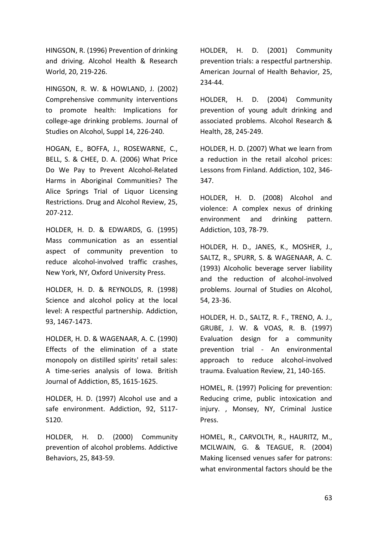HINGSON, R. (1996) Prevention of drinking and driving. Alcohol Health & Research World, 20, 219-226.

HINGSON, R. W. & HOWLAND, J. (2002) Comprehensive community interventions to promote health: Implications for college-age drinking problems. Journal of Studies on Alcohol, Suppl 14, 226-240.

HOGAN, E., BOFFA, J., ROSEWARNE, C., BELL, S. & CHEE, D. A. (2006) What Price Do We Pay to Prevent Alcohol-Related Harms in Aboriginal Communities? The Alice Springs Trial of Liquor Licensing Restrictions. Drug and Alcohol Review, 25, 207-212.

HOLDER, H. D. & EDWARDS, G. (1995) Mass communication as an essential aspect of community prevention to reduce alcohol-involved traffic crashes, New York, NY, Oxford University Press.

HOLDER, H. D. & REYNOLDS, R. (1998) Science and alcohol policy at the local level: A respectful partnership. Addiction, 93, 1467-1473.

HOLDER, H. D. & WAGENAAR, A. C. (1990) Effects of the elimination of a state monopoly on distilled spirits' retail sales: A time-series analysis of Iowa. British Journal of Addiction, 85, 1615-1625.

HOLDER, H. D. (1997) Alcohol use and a safe environment. Addiction, 92, S117- S120.

HOLDER, H. D. (2000) Community prevention of alcohol problems. Addictive Behaviors, 25, 843-59.

HOLDER, H. D. (2001) Community prevention trials: a respectful partnership. American Journal of Health Behavior, 25, 234-44.

HOLDER, H. D. (2004) Community prevention of young adult drinking and associated problems. Alcohol Research & Health, 28, 245-249.

HOLDER, H. D. (2007) What we learn from a reduction in the retail alcohol prices: Lessons from Finland. Addiction, 102, 346- 347.

HOLDER, H. D. (2008) Alcohol and violence: A complex nexus of drinking environment and drinking pattern. Addiction, 103, 78-79.

HOLDER, H. D., JANES, K., MOSHER, J., SALTZ, R., SPURR, S. & WAGENAAR, A. C. (1993) Alcoholic beverage server liability and the reduction of alcohol-involved problems. Journal of Studies on Alcohol, 54, 23-36.

HOLDER, H. D., SALTZ, R. F., TRENO, A. J., GRUBE, J. W. & VOAS, R. B. (1997) Evaluation design for a community prevention trial - An environmental approach to reduce alcohol-involved trauma. Evaluation Review, 21, 140-165.

HOMEL, R. (1997) Policing for prevention: Reducing crime, public intoxication and injury. , Monsey, NY, Criminal Justice Press.

HOMEL, R., CARVOLTH, R., HAURITZ, M., MCILWAIN, G. & TEAGUE, R. (2004) Making licensed venues safer for patrons: what environmental factors should be the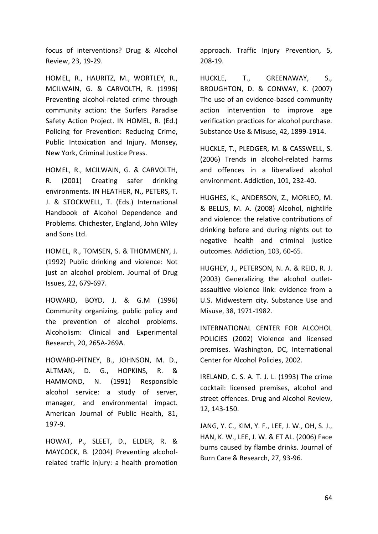focus of interventions? Drug & Alcohol Review, 23, 19-29.

HOMEL, R., HAURITZ, M., WORTLEY, R., MCILWAIN, G. & CARVOLTH, R. (1996) Preventing alcohol-related crime through community action: the Surfers Paradise Safety Action Project. IN HOMEL, R. (Ed.) Policing for Prevention: Reducing Crime, Public Intoxication and Injury. Monsey, New York, Criminal Justice Press.

HOMEL, R., MCILWAIN, G. & CARVOLTH, R. (2001) Creating safer drinking environments. IN HEATHER, N., PETERS, T. J. & STOCKWELL, T. (Eds.) International Handbook of Alcohol Dependence and Problems. Chichester, England, John Wiley and Sons Ltd.

HOMEL, R., TOMSEN, S. & THOMMENY, J. (1992) Public drinking and violence: Not just an alcohol problem. Journal of Drug Issues, 22, 679-697.

HOWARD, BOYD, J. & G.M (1996) Community organizing, public policy and the prevention of alcohol problems. Alcoholism: Clinical and Experimental Research, 20, 265A-269A.

HOWARD-PITNEY, B., JOHNSON, M. D., ALTMAN, D. G., HOPKINS, R. & HAMMOND, N. (1991) Responsible alcohol service: a study of server, manager, and environmental impact. American Journal of Public Health, 81, 197-9.

HOWAT, P., SLEET, D., ELDER, R. & MAYCOCK, B. (2004) Preventing alcoholrelated traffic injury: a health promotion approach. Traffic Injury Prevention, 5, 208-19.

HUCKLE, T., GREENAWAY, S., BROUGHTON, D. & CONWAY, K. (2007) The use of an evidence-based community action intervention to improve age verification practices for alcohol purchase. Substance Use & Misuse, 42, 1899-1914.

HUCKLE, T., PLEDGER, M. & CASSWELL, S. (2006) Trends in alcohol-related harms and offences in a liberalized alcohol environment. Addiction, 101, 232-40.

HUGHES, K., ANDERSON, Z., MORLEO, M. & BELLIS, M. A. (2008) Alcohol, nightlife and violence: the relative contributions of drinking before and during nights out to negative health and criminal justice outcomes. Addiction, 103, 60-65.

HUGHEY, J., PETERSON, N. A. & REID, R. J. (2003) Generalizing the alcohol outletassaultive violence link: evidence from a U.S. Midwestern city. Substance Use and Misuse, 38, 1971-1982.

INTERNATIONAL CENTER FOR ALCOHOL POLICIES (2002) Violence and licensed premises. Washington, DC, International Center for Alcohol Policies, 2002.

IRELAND, C. S. A. T. J. L. (1993) The crime cocktail: licensed premises, alcohol and street offences. Drug and Alcohol Review, 12, 143-150.

JANG, Y. C., KIM, Y. F., LEE, J. W., OH, S. J., HAN, K. W., LEE, J. W. & ET AL. (2006) Face burns caused by flambe drinks. Journal of Burn Care & Research, 27, 93-96.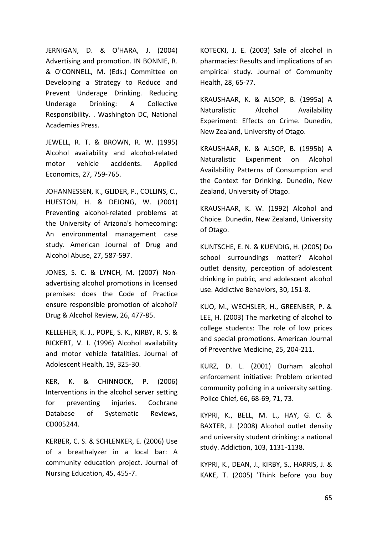JERNIGAN, D. & O'HARA, J. (2004) Advertising and promotion. IN BONNIE, R. & O'CONNELL, M. (Eds.) Committee on Developing a Strategy to Reduce and Prevent Underage Drinking. Reducing Underage Drinking: A Collective Responsibility. . Washington DC, National Academies Press.

JEWELL, R. T. & BROWN, R. W. (1995) Alcohol availability and alcohol-related motor vehicle accidents. Applied Economics, 27, 759-765.

JOHANNESSEN, K., GLIDER, P., COLLINS, C., HUESTON, H. & DEJONG, W. (2001) Preventing alcohol-related problems at the University of Arizona's homecoming: An environmental management case study. American Journal of Drug and Alcohol Abuse, 27, 587-597.

JONES, S. C. & LYNCH, M. (2007) Nonadvertising alcohol promotions in licensed premises: does the Code of Practice ensure responsible promotion of alcohol? Drug & Alcohol Review, 26, 477-85.

KELLEHER, K. J., POPE, S. K., KIRBY, R. S. & RICKERT, V. I. (1996) Alcohol availability and motor vehicle fatalities. Journal of Adolescent Health, 19, 325-30.

KER, K. & CHINNOCK, P. (2006) Interventions in the alcohol server setting for preventing injuries. Cochrane Database of Systematic Reviews, CD005244.

KERBER, C. S. & SCHLENKER, E. (2006) Use of a breathalyzer in a local bar: A community education project. Journal of Nursing Education, 45, 455-7.

KOTECKI, J. E. (2003) Sale of alcohol in pharmacies: Results and implications of an empirical study. Journal of Community Health, 28, 65-77.

KRAUSHAAR, K. & ALSOP, B. (1995a) A Naturalistic Alcohol Availability Experiment: Effects on Crime. Dunedin, New Zealand, University of Otago.

KRAUSHAAR, K. & ALSOP, B. (1995b) A Naturalistic Experiment on Alcohol Availability Patterns of Consumption and the Context for Drinking. Dunedin, New Zealand, University of Otago.

KRAUSHAAR, K. W. (1992) Alcohol and Choice. Dunedin, New Zealand, University of Otago.

KUNTSCHE, E. N. & KUENDIG, H. (2005) Do school surroundings matter? Alcohol outlet density, perception of adolescent drinking in public, and adolescent alcohol use. Addictive Behaviors, 30, 151-8.

KUO, M., WECHSLER, H., GREENBER, P. & LEE, H. (2003) The marketing of alcohol to college students: The role of low prices and special promotions. American Journal of Preventive Medicine, 25, 204-211.

KURZ, D. L. (2001) Durham alcohol enforcement initiative: Problem oriented community policing in a university setting. Police Chief, 66, 68-69, 71, 73.

KYPRI, K., BELL, M. L., HAY, G. C. & BAXTER, J. (2008) Alcohol outlet density and university student drinking: a national study. Addiction, 103, 1131-1138.

KYPRI, K., DEAN, J., KIRBY, S., HARRIS, J. & KAKE, T. (2005) 'Think before you buy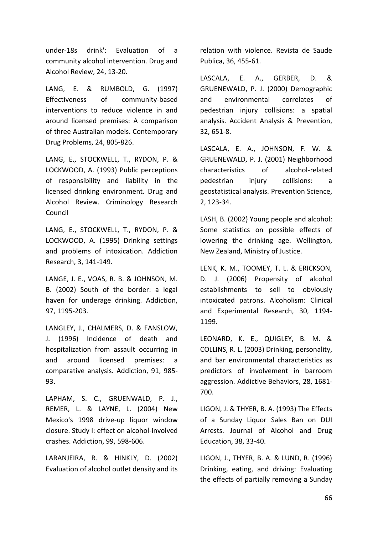under-18s drink': Evaluation of a community alcohol intervention. Drug and Alcohol Review, 24, 13-20.

LANG, E. & RUMBOLD, G. (1997) Effectiveness of community-based interventions to reduce violence in and around licensed premises: A comparison of three Australian models. Contemporary Drug Problems, 24, 805-826.

LANG, E., STOCKWELL, T., RYDON, P. & LOCKWOOD, A. (1993) Public perceptions of responsibility and liability in the licensed drinking environment. Drug and Alcohol Review. Criminology Research Council

LANG, E., STOCKWELL, T., RYDON, P. & LOCKWOOD, A. (1995) Drinking settings and problems of intoxication. Addiction Research, 3, 141-149.

LANGE, J. E., VOAS, R. B. & JOHNSON, M. B. (2002) South of the border: a legal haven for underage drinking. Addiction, 97, 1195-203.

LANGLEY, J., CHALMERS, D. & FANSLOW, J. (1996) Incidence of death and hospitalization from assault occurring in and around licensed premises: a comparative analysis. Addiction, 91, 985- 93.

LAPHAM, S. C., GRUENWALD, P. J., REMER, L. & LAYNE, L. (2004) New Mexico's 1998 drive-up liquor window closure. Study I: effect on alcohol-involved crashes. Addiction, 99, 598-606.

LARANJEIRA, R. & HINKLY, D. (2002) Evaluation of alcohol outlet density and its relation with violence. Revista de Saude Publica, 36, 455-61.

LASCALA, E. A., GERBER, D. & GRUENEWALD, P. J. (2000) Demographic and environmental correlates of pedestrian injury collisions: a spatial analysis. Accident Analysis & Prevention, 32, 651-8.

LASCALA, E. A., JOHNSON, F. W. & GRUENEWALD, P. J. (2001) Neighborhood characteristics of alcohol-related pedestrian injury collisions: a geostatistical analysis. Prevention Science, 2, 123-34.

LASH, B. (2002) Young people and alcohol: Some statistics on possible effects of lowering the drinking age. Wellington, New Zealand, Ministry of Justice.

LENK, K. M., TOOMEY, T. L. & ERICKSON, D. J. (2006) Propensity of alcohol establishments to sell to obviously intoxicated patrons. Alcoholism: Clinical and Experimental Research, 30, 1194- 1199.

LEONARD, K. E., QUIGLEY, B. M. & COLLINS, R. L. (2003) Drinking, personality, and bar environmental characteristics as predictors of involvement in barroom aggression. Addictive Behaviors, 28, 1681- 700.

LIGON, J. & THYER, B. A. (1993) The Effects of a Sunday Liquor Sales Ban on DUI Arrests. Journal of Alcohol and Drug Education, 38, 33-40.

LIGON, J., THYER, B. A. & LUND, R. (1996) Drinking, eating, and driving: Evaluating the effects of partially removing a Sunday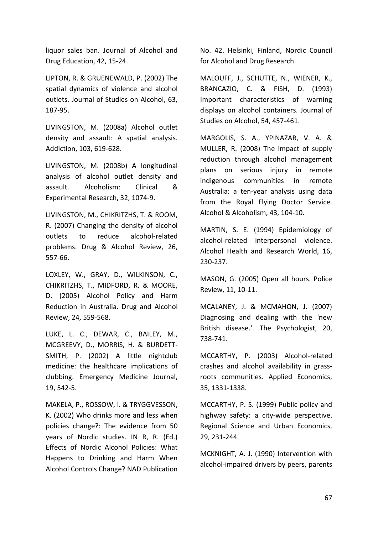liquor sales ban. Journal of Alcohol and Drug Education, 42, 15-24.

LIPTON, R. & GRUENEWALD, P. (2002) The spatial dynamics of violence and alcohol outlets. Journal of Studies on Alcohol, 63, 187-95.

LIVINGSTON, M. (2008a) Alcohol outlet density and assault: A spatial analysis. Addiction, 103, 619-628.

LIVINGSTON, M. (2008b) A longitudinal analysis of alcohol outlet density and assault. Alcoholism: Clinical & Experimental Research, 32, 1074-9.

LIVINGSTON, M., CHIKRITZHS, T. & ROOM, R. (2007) Changing the density of alcohol outlets to reduce alcohol-related problems. Drug & Alcohol Review, 26, 557-66.

LOXLEY, W., GRAY, D., WILKINSON, C., CHIKRITZHS, T., MIDFORD, R. & MOORE, D. (2005) Alcohol Policy and Harm Reduction in Australia. Drug and Alcohol Review, 24, 559-568.

LUKE, L. C., DEWAR, C., BAILEY, M., MCGREEVY, D., MORRIS, H. & BURDETT-SMITH, P. (2002) A little nightclub medicine: the healthcare implications of clubbing. Emergency Medicine Journal, 19, 542-5.

MAKELA, P., ROSSOW, I. & TRYGGVESSON, K. (2002) Who drinks more and less when policies change?: The evidence from 50 years of Nordic studies. IN R, R. (Ed.) Effects of Nordic Alcohol Policies: What Happens to Drinking and Harm When Alcohol Controls Change? NAD Publication No. 42. Helsinki, Finland, Nordic Council for Alcohol and Drug Research.

MALOUFF, J., SCHUTTE, N., WIENER, K., BRANCAZIO, C. & FISH, D. (1993) Important characteristics of warning displays on alcohol containers. Journal of Studies on Alcohol, 54, 457-461.

MARGOLIS, S. A., YPINAZAR, V. A. & MULLER, R. (2008) The impact of supply reduction through alcohol management plans on serious injury in remote indigenous communities in remote Australia: a ten-year analysis using data from the Royal Flying Doctor Service. Alcohol & Alcoholism, 43, 104-10.

MARTIN, S. E. (1994) Epidemiology of alcohol-related interpersonal violence. Alcohol Health and Research World, 16, 230-237.

MASON, G. (2005) Open all hours. Police Review, 11, 10-11.

MCALANEY, J. & MCMAHON, J. (2007) Diagnosing and dealing with the 'new British disease.'. The Psychologist, 20, 738-741.

MCCARTHY, P. (2003) Alcohol-related crashes and alcohol availability in grassroots communities. Applied Economics, 35, 1331-1338.

MCCARTHY, P. S. (1999) Public policy and highway safety: a city-wide perspective. Regional Science and Urban Economics, 29, 231-244.

MCKNIGHT, A. J. (1990) Intervention with alcohol-impaired drivers by peers, parents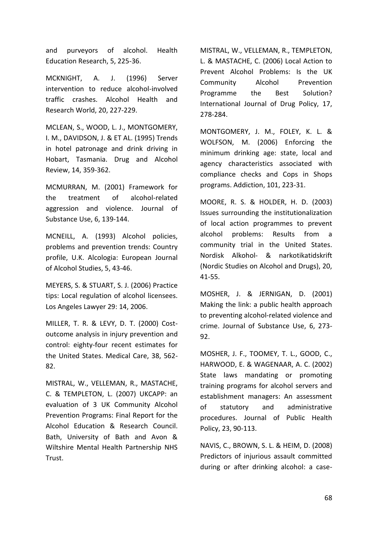and purveyors of alcohol. Health Education Research, 5, 225-36.

MCKNIGHT, A. J. (1996) Server intervention to reduce alcohol-involved traffic crashes. Alcohol Health and Research World, 20, 227-229.

MCLEAN, S., WOOD, L. J., MONTGOMERY, I. M., DAVIDSON, J. & ET AL. (1995) Trends in hotel patronage and drink driving in Hobart, Tasmania. Drug and Alcohol Review, 14, 359-362.

MCMURRAN, M. (2001) Framework for the treatment of alcohol-related aggression and violence. Journal of Substance Use, 6, 139-144.

MCNEILL, A. (1993) Alcohol policies, problems and prevention trends: Country profile, U.K. Alcologia: European Journal of Alcohol Studies, 5, 43-46.

MEYERS, S. & STUART, S. J. (2006) Practice tips: Local regulation of alcohol licensees. Los Angeles Lawyer 29: 14, 2006.

MILLER, T. R. & LEVY, D. T. (2000) Costoutcome analysis in injury prevention and control: eighty-four recent estimates for the United States. Medical Care, 38, 562- 82.

MISTRAL, W., VELLEMAN, R., MASTACHE, C. & TEMPLETON, L. (2007) UKCAPP: an evaluation of 3 UK Community Alcohol Prevention Programs: Final Report for the Alcohol Education & Research Council. Bath, University of Bath and Avon & Wiltshire Mental Health Partnership NHS Trust.

MISTRAL, W., VELLEMAN, R., TEMPLETON, L. & MASTACHE, C. (2006) Local Action to Prevent Alcohol Problems: Is the UK Community Alcohol Prevention Programme the Best Solution? International Journal of Drug Policy, 17, 278-284.

MONTGOMERY, J. M., FOLEY, K. L. & WOLFSON, M. (2006) Enforcing the minimum drinking age: state, local and agency characteristics associated with compliance checks and Cops in Shops programs. Addiction, 101, 223-31.

MOORE, R. S. & HOLDER, H. D. (2003) Issues surrounding the institutionalization of local action programmes to prevent alcohol problems: Results from a community trial in the United States. Nordisk Alkohol- & narkotikatidskrift (Nordic Studies on Alcohol and Drugs), 20, 41-55.

MOSHER, J. & JERNIGAN, D. (2001) Making the link: a public health approach to preventing alcohol-related violence and crime. Journal of Substance Use, 6, 273- 92.

MOSHER, J. F., TOOMEY, T. L., GOOD, C., HARWOOD, E. & WAGENAAR, A. C. (2002) State laws mandating or promoting training programs for alcohol servers and establishment managers: An assessment of statutory and administrative procedures. Journal of Public Health Policy, 23, 90-113.

NAVIS, C., BROWN, S. L. & HEIM, D. (2008) Predictors of injurious assault committed during or after drinking alcohol: a case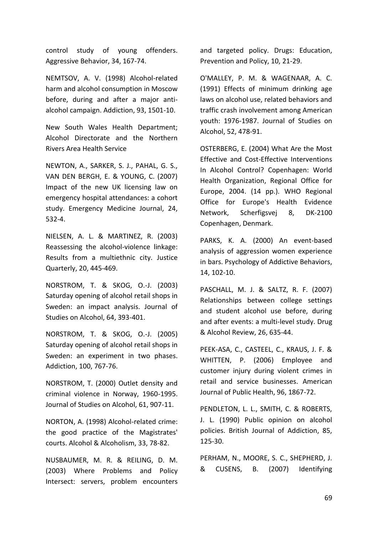control study of young offenders. Aggressive Behavior, 34, 167-74.

NEMTSOV, A. V. (1998) Alcohol-related harm and alcohol consumption in Moscow before, during and after a major antialcohol campaign. Addiction, 93, 1501-10.

New South Wales Health Department; Alcohol Directorate and the Northern Rivers Area Health Service

NEWTON, A., SARKER, S. J., PAHAL, G. S., VAN DEN BERGH, E. & YOUNG, C. (2007) Impact of the new UK licensing law on emergency hospital attendances: a cohort study. Emergency Medicine Journal, 24, 532-4.

NIELSEN, A. L. & MARTINEZ, R. (2003) Reassessing the alcohol-violence linkage: Results from a multiethnic city. Justice Quarterly, 20, 445-469.

NORSTROM, T. & SKOG, O.-J. (2003) Saturday opening of alcohol retail shops in Sweden: an impact analysis. Journal of Studies on Alcohol, 64, 393-401.

NORSTROM, T. & SKOG, O.-J. (2005) Saturday opening of alcohol retail shops in Sweden: an experiment in two phases. Addiction, 100, 767-76.

NORSTROM, T. (2000) Outlet density and criminal violence in Norway, 1960-1995. Journal of Studies on Alcohol, 61, 907-11.

NORTON, A. (1998) Alcohol-related crime: the good practice of the Magistrates' courts. Alcohol & Alcoholism, 33, 78-82.

NUSBAUMER, M. R. & REILING, D. M. (2003) Where Problems and Policy Intersect: servers, problem encounters

and targeted policy. Drugs: Education, Prevention and Policy, 10, 21-29.

O'MALLEY, P. M. & WAGENAAR, A. C. (1991) Effects of minimum drinking age laws on alcohol use, related behaviors and traffic crash involvement among American youth: 1976-1987. Journal of Studies on Alcohol, 52, 478-91.

OSTERBERG, E. (2004) What Are the Most Effective and Cost-Effective Interventions In Alcohol Control? Copenhagen: World Health Organization, Regional Office for Europe, 2004. (14 pp.). WHO Regional Office for Europe's Health Evidence Network, Scherfigsvej 8, DK-2100 Copenhagen, Denmark.

PARKS, K. A. (2000) An event-based analysis of aggression women experience in bars. Psychology of Addictive Behaviors, 14, 102-10.

PASCHALL, M. J. & SALTZ, R. F. (2007) Relationships between college settings and student alcohol use before, during and after events: a multi-level study. Drug & Alcohol Review, 26, 635-44.

PEEK-ASA, C., CASTEEL, C., KRAUS, J. F. & WHITTEN, P. (2006) Employee and customer injury during violent crimes in retail and service businesses. American Journal of Public Health, 96, 1867-72.

PENDLETON, L. L., SMITH, C. & ROBERTS, J. L. (1990) Public opinion on alcohol policies. British Journal of Addiction, 85, 125-30.

PERHAM, N., MOORE, S. C., SHEPHERD, J. & CUSENS, B. (2007) Identifying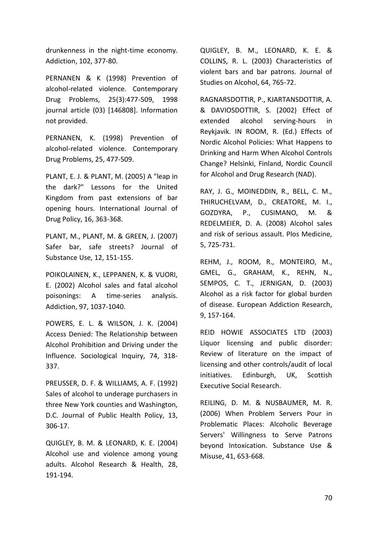drunkenness in the night-time economy. Addiction, 102, 377-80.

PERNANEN & K (1998) Prevention of alcohol-related violence. Contemporary Drug Problems, 25(3):477-509, 1998 journal article (03) [146808]. Information not provided.

PERNANEN, K. (1998) Prevention of alcohol-related violence. Contemporary Drug Problems, 25, 477-509.

PLANT, E. J. & PLANT, M. (2005) A "leap in the dark?" Lessons for the United Kingdom from past extensions of bar opening hours. International Journal of Drug Policy, 16, 363-368.

PLANT, M., PLANT, M. & GREEN, J. (2007) Safer bar, safe streets? Journal of Substance Use, 12, 151-155.

POIKOLAINEN, K., LEPPANEN, K. & VUORI, E. (2002) Alcohol sales and fatal alcohol poisonings: A time-series analysis. Addiction, 97, 1037-1040.

POWERS, E. L. & WILSON, J. K. (2004) Access Denied: The Relationship between Alcohol Prohibition and Driving under the Influence. Sociological Inquiry, 74, 318- 337.

PREUSSER, D. F. & WILLIAMS, A. F. (1992) Sales of alcohol to underage purchasers in three New York counties and Washington, D.C. Journal of Public Health Policy, 13, 306-17.

QUIGLEY, B. M. & LEONARD, K. E. (2004) Alcohol use and violence among young adults. Alcohol Research & Health, 28, 191-194.

QUIGLEY, B. M., LEONARD, K. E. & COLLINS, R. L. (2003) Characteristics of violent bars and bar patrons. Journal of Studies on Alcohol, 64, 765-72.

RAGNARSDOTTIR, P., KJARTANSDOTTIR, A. & DAVIOSDOTTIR, S. (2002) Effect of extended alcohol serving-hours in Reykjavik. IN ROOM, R. (Ed.) Effects of Nordic Alcohol Policies: What Happens to Drinking and Harm When Alcohol Controls Change? Helsinki, Finland, Nordic Council for Alcohol and Drug Research (NAD).

RAY, J. G., MOINEDDIN, R., BELL, C. M., THIRUCHELVAM, D., CREATORE, M. I., GOZDYRA, P., CUSIMANO, M. & REDELMEIER, D. A. (2008) Alcohol sales and risk of serious assault. Plos Medicine, 5, 725-731.

REHM, J., ROOM, R., MONTEIRO, M., GMEL, G., GRAHAM, K., REHN, N., SEMPOS, C. T., JERNIGAN, D. (2003) Alcohol as a risk factor for global burden of disease. European Addiction Research, 9, 157-164.

REID HOWIE ASSOCIATES LTD (2003) Liquor licensing and public disorder: Review of literature on the impact of licensing and other controls/audit of local initiatives. Edinburgh, UK, Scottish Executive Social Research.

REILING, D. M. & NUSBAUMER, M. R. (2006) When Problem Servers Pour in Problematic Places: Alcoholic Beverage Servers' Willingness to Serve Patrons beyond Intoxication. Substance Use & Misuse, 41, 653-668.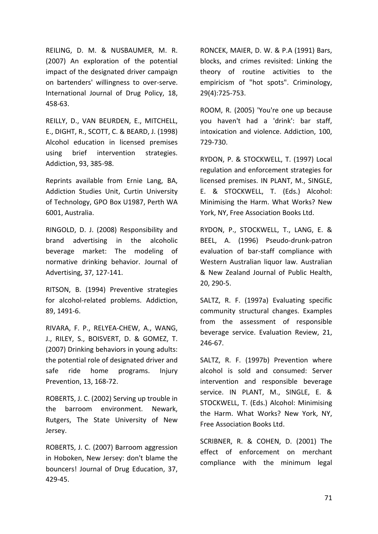REILING, D. M. & NUSBAUMER, M. R. (2007) An exploration of the potential impact of the designated driver campaign on bartenders' willingness to over-serve. International Journal of Drug Policy, 18, 458-63.

REILLY, D., VAN BEURDEN, E., MITCHELL, E., DIGHT, R., SCOTT, C. & BEARD, J. (1998) Alcohol education in licensed premises using brief intervention strategies. Addiction, 93, 385-98.

Reprints available from Ernie Lang, BA, Addiction Studies Unit, Curtin University of Technology, GPO Box U1987, Perth WA 6001, Australia.

RINGOLD, D. J. (2008) Responsibility and brand advertising in the alcoholic beverage market: The modeling of normative drinking behavior. Journal of Advertising, 37, 127-141.

RITSON, B. (1994) Preventive strategies for alcohol-related problems. Addiction, 89, 1491-6.

RIVARA, F. P., RELYEA-CHEW, A., WANG, J., RILEY, S., BOISVERT, D. & GOMEZ, T. (2007) Drinking behaviors in young adults: the potential role of designated driver and safe ride home programs. Injury Prevention, 13, 168-72.

ROBERTS, J. C. (2002) Serving up trouble in the barroom environment. Newark, Rutgers, The State University of New Jersey.

ROBERTS, J. C. (2007) Barroom aggression in Hoboken, New Jersey: don't blame the bouncers! Journal of Drug Education, 37, 429-45.

RONCEK, MAIER, D. W. & P.A (1991) Bars, blocks, and crimes revisited: Linking the theory of routine activities to the empiricism of "hot spots". Criminology, 29(4):725-753.

ROOM, R. (2005) 'You're one up because you haven't had a 'drink': bar staff, intoxication and violence. Addiction, 100, 729-730.

RYDON, P. & STOCKWELL, T. (1997) Local regulation and enforcement strategies for licensed premises. IN PLANT, M., SINGLE, E. & STOCKWELL, T. (Eds.) Alcohol: Minimising the Harm. What Works? New York, NY, Free Association Books Ltd.

RYDON, P., STOCKWELL, T., LANG, E. & BEEL, A. (1996) Pseudo-drunk-patron evaluation of bar-staff compliance with Western Australian liquor law. Australian & New Zealand Journal of Public Health, 20, 290-5.

SALTZ, R. F. (1997a) Evaluating specific community structural changes. Examples from the assessment of responsible beverage service. Evaluation Review, 21, 246-67.

SALTZ, R. F. (1997b) Prevention where alcohol is sold and consumed: Server intervention and responsible beverage service. IN PLANT, M., SINGLE, E. & STOCKWELL, T. (Eds.) Alcohol: Minimising the Harm. What Works? New York, NY, Free Association Books Ltd.

SCRIBNER, R. & COHEN, D. (2001) The effect of enforcement on merchant compliance with the minimum legal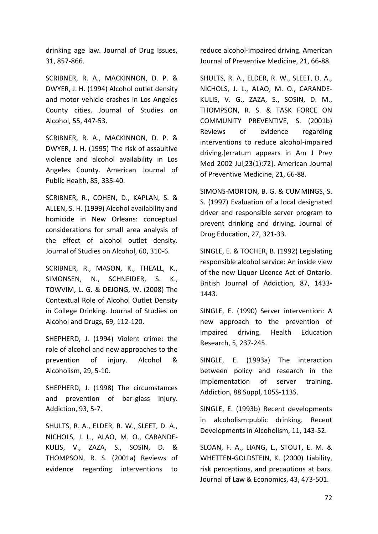drinking age law. Journal of Drug Issues, 31, 857-866.

SCRIBNER, R. A., MACKINNON, D. P. & DWYER, J. H. (1994) Alcohol outlet density and motor vehicle crashes in Los Angeles County cities. Journal of Studies on Alcohol, 55, 447-53.

SCRIBNER, R. A., MACKINNON, D. P. & DWYER, J. H. (1995) The risk of assaultive violence and alcohol availability in Los Angeles County. American Journal of Public Health, 85, 335-40.

SCRIBNER, R., COHEN, D., KAPLAN, S. & ALLEN, S. H. (1999) Alcohol availability and homicide in New Orleans: conceptual considerations for small area analysis of the effect of alcohol outlet density. Journal of Studies on Alcohol, 60, 310-6.

SCRIBNER, R., MASON, K., THEALL, K., SIMONSEN, N., SCHNEIDER, S. K., TOWVIM, L. G. & DEJONG, W. (2008) The Contextual Role of Alcohol Outlet Density in College Drinking. Journal of Studies on Alcohol and Drugs, 69, 112-120.

SHEPHERD, J. (1994) Violent crime: the role of alcohol and new approaches to the prevention of injury. Alcohol & Alcoholism, 29, 5-10.

SHEPHERD, J. (1998) The circumstances and prevention of bar-glass injury. Addiction, 93, 5-7.

SHULTS, R. A., ELDER, R. W., SLEET, D. A., NICHOLS, J. L., ALAO, M. O., CARANDE-KULIS, V., ZAZA, S., SOSIN, D. & THOMPSON, R. S. (2001a) Reviews of evidence regarding interventions to reduce alcohol-impaired driving. American Journal of Preventive Medicine, 21, 66-88.

SHULTS, R. A., ELDER, R. W., SLEET, D. A., NICHOLS, J. L., ALAO, M. O., CARANDE-KULIS, V. G., ZAZA, S., SOSIN, D. M., THOMPSON, R. S. & TASK FORCE ON COMMUNITY PREVENTIVE, S. (2001b) Reviews of evidence regarding interventions to reduce alcohol-impaired driving.[erratum appears in Am J Prev Med 2002 Jul;23(1):72]. American Journal of Preventive Medicine, 21, 66-88.

SIMONS-MORTON, B. G. & CUMMINGS, S. S. (1997) Evaluation of a local designated driver and responsible server program to prevent drinking and driving. Journal of Drug Education, 27, 321-33.

SINGLE, E. & TOCHER, B. (1992) Legislating responsible alcohol service: An inside view of the new Liquor Licence Act of Ontario. British Journal of Addiction, 87, 1433- 1443.

SINGLE, E. (1990) Server intervention: A new approach to the prevention of impaired driving. Health Education Research, 5, 237-245.

SINGLE, E. (1993a) The interaction between policy and research in the implementation of server training. Addiction, 88 Suppl, 105S-113S.

SINGLE, E. (1993b) Recent developments in alcoholism:public drinking. Recent Developments in Alcoholism, 11, 143-52.

SLOAN, F. A., LIANG, L., STOUT, E. M. & WHETTEN-GOLDSTEIN, K. (2000) Liability, risk perceptions, and precautions at bars. Journal of Law & Economics, 43, 473-501.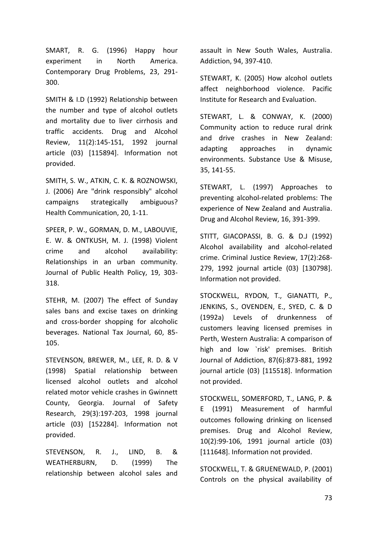SMART, R. G. (1996) Happy hour experiment in North America. Contemporary Drug Problems, 23, 291- 300.

SMITH & I.D (1992) Relationship between the number and type of alcohol outlets and mortality due to liver cirrhosis and traffic accidents. Drug and Alcohol Review, 11(2):145-151, 1992 journal article (03) [115894]. Information not provided.

SMITH, S. W., ATKIN, C. K. & ROZNOWSKI, J. (2006) Are "drink responsibly" alcohol campaigns strategically ambiguous? Health Communication, 20, 1-11.

SPEER, P. W., GORMAN, D. M., LABOUVIE, E. W. & ONTKUSH, M. J. (1998) Violent crime and alcohol availability: Relationships in an urban community. Journal of Public Health Policy, 19, 303- 318.

STEHR, M. (2007) The effect of Sunday sales bans and excise taxes on drinking and cross-border shopping for alcoholic beverages. National Tax Journal, 60, 85- 105.

STEVENSON, BREWER, M., LEE, R. D. & V (1998) Spatial relationship between licensed alcohol outlets and alcohol related motor vehicle crashes in Gwinnett County, Georgia. Journal of Safety Research, 29(3):197-203, 1998 journal article (03) [152284]. Information not provided.

STEVENSON, R. J., LIND, B. & WEATHERBURN, D. (1999) The relationship between alcohol sales and

assault in New South Wales, Australia. Addiction, 94, 397-410.

STEWART, K. (2005) How alcohol outlets affect neighborhood violence. Pacific Institute for Research and Evaluation.

STEWART, L. & CONWAY, K. (2000) Community action to reduce rural drink and drive crashes in New Zealand: adapting approaches in dynamic environments. Substance Use & Misuse, 35, 141-55.

STEWART, L. (1997) Approaches to preventing alcohol-related problems: The experience of New Zealand and Australia. Drug and Alcohol Review, 16, 391-399.

STITT, GIACOPASSI, B. G. & D.J (1992) Alcohol availability and alcohol-related crime. Criminal Justice Review, 17(2):268- 279, 1992 journal article (03) [130798]. Information not provided.

STOCKWELL, RYDON, T., GIANATTI, P., JENKINS, S., OVENDEN, E., SYED, C. & D (1992a) Levels of drunkenness of customers leaving licensed premises in Perth, Western Australia: A comparison of high and low `risk' premises. British Journal of Addiction, 87(6):873-881, 1992 journal article (03) [115518]. Information not provided.

STOCKWELL, SOMERFORD, T., LANG, P. & E (1991) Measurement of harmful outcomes following drinking on licensed premises. Drug and Alcohol Review, 10(2):99-106, 1991 journal article (03) [111648]. Information not provided.

STOCKWELL, T. & GRUENEWALD, P. (2001) Controls on the physical availability of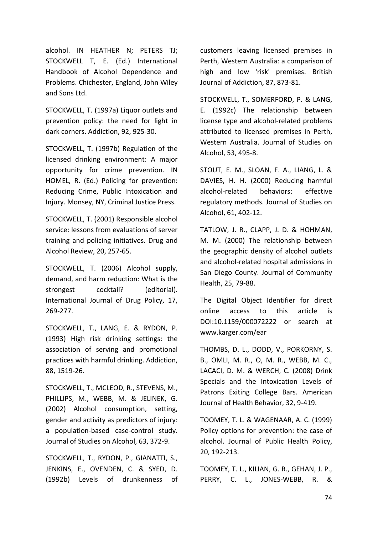alcohol. IN HEATHER N; PETERS TJ; STOCKWELL T, E. (Ed.) International Handbook of Alcohol Dependence and Problems. Chichester, England, John Wiley and Sons Ltd.

STOCKWELL, T. (1997a) Liquor outlets and prevention policy: the need for light in dark corners. Addiction, 92, 925-30.

STOCKWELL, T. (1997b) Regulation of the licensed drinking environment: A major opportunity for crime prevention. IN HOMEL, R. (Ed.) Policing for prevention: Reducing Crime, Public Intoxication and Injury. Monsey, NY, Criminal Justice Press.

STOCKWELL, T. (2001) Responsible alcohol service: lessons from evaluations of server training and policing initiatives. Drug and Alcohol Review, 20, 257-65.

STOCKWELL, T. (2006) Alcohol supply, demand, and harm reduction: What is the strongest cocktail? (editorial). International Journal of Drug Policy, 17, 269-277.

STOCKWELL, T., LANG, E. & RYDON, P. (1993) High risk drinking settings: the association of serving and promotional practices with harmful drinking. Addiction, 88, 1519-26.

STOCKWELL, T., MCLEOD, R., STEVENS, M., PHILLIPS, M., WEBB, M. & JELINEK, G. (2002) Alcohol consumption, setting, gender and activity as predictors of injury: a population-based case-control study. Journal of Studies on Alcohol, 63, 372-9.

STOCKWELL, T., RYDON, P., GIANATTI, S., JENKINS, E., OVENDEN, C. & SYED, D. (1992b) Levels of drunkenness of customers leaving licensed premises in Perth, Western Australia: a comparison of high and low 'risk' premises. British Journal of Addiction, 87, 873-81.

STOCKWELL, T., SOMERFORD, P. & LANG, E. (1992c) The relationship between license type and alcohol-related problems attributed to licensed premises in Perth, Western Australia. Journal of Studies on Alcohol, 53, 495-8.

STOUT, E. M., SLOAN, F. A., LIANG, L. & DAVIES, H. H. (2000) Reducing harmful alcohol-related behaviors: effective regulatory methods. Journal of Studies on Alcohol, 61, 402-12.

TATLOW, J. R., CLAPP, J. D. & HOHMAN, M. M. (2000) The relationship between the geographic density of alcohol outlets and alcohol-related hospital admissions in San Diego County. Journal of Community Health, 25, 79-88.

The Digital Object Identifier for direct online access to this article is DOI:10.1159/000072222 or search at www.karger.com/ear

THOMBS, D. L., DODD, V., PORKORNY, S. B., OMLI, M. R., O, M. R., WEBB, M. C., LACACI, D. M. & WERCH, C. (2008) Drink Specials and the Intoxication Levels of Patrons Exiting College Bars. American Journal of Health Behavior, 32, 9-419.

TOOMEY, T. L. & WAGENAAR, A. C. (1999) Policy options for prevention: the case of alcohol. Journal of Public Health Policy, 20, 192-213.

TOOMEY, T. L., KILIAN, G. R., GEHAN, J. P., PERRY, C. L., JONES-WEBB, R. &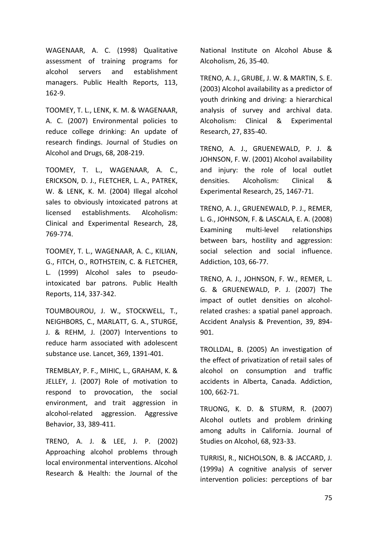WAGENAAR, A. C. (1998) Qualitative assessment of training programs for alcohol servers and establishment managers. Public Health Reports, 113, 162-9.

TOOMEY, T. L., LENK, K. M. & WAGENAAR, A. C. (2007) Environmental policies to reduce college drinking: An update of research findings. Journal of Studies on Alcohol and Drugs, 68, 208-219.

TOOMEY, T. L., WAGENAAR, A. C., ERICKSON, D. J., FLETCHER, L. A., PATREK, W. & LENK, K. M. (2004) Illegal alcohol sales to obviously intoxicated patrons at licensed establishments. Alcoholism: Clinical and Experimental Research, 28, 769-774.

TOOMEY, T. L., WAGENAAR, A. C., KILIAN, G., FITCH, O., ROTHSTEIN, C. & FLETCHER, L. (1999) Alcohol sales to pseudointoxicated bar patrons. Public Health Reports, 114, 337-342.

TOUMBOUROU, J. W., STOCKWELL, T., NEIGHBORS, C., MARLATT, G. A., STURGE, J. & REHM, J. (2007) Interventions to reduce harm associated with adolescent substance use. Lancet, 369, 1391-401.

TREMBLAY, P. F., MIHIC, L., GRAHAM, K. & JELLEY, J. (2007) Role of motivation to respond to provocation, the social environment, and trait aggression in alcohol-related aggression. Aggressive Behavior, 33, 389-411.

TRENO, A. J. & LEE, J. P. (2002) Approaching alcohol problems through local environmental interventions. Alcohol Research & Health: the Journal of the

National Institute on Alcohol Abuse & Alcoholism, 26, 35-40.

TRENO, A. J., GRUBE, J. W. & MARTIN, S. E. (2003) Alcohol availability as a predictor of youth drinking and driving: a hierarchical analysis of survey and archival data. Alcoholism: Clinical & Experimental Research, 27, 835-40.

TRENO, A. J., GRUENEWALD, P. J. & JOHNSON, F. W. (2001) Alcohol availability and injury: the role of local outlet densities. Alcoholism: Clinical & Experimental Research, 25, 1467-71.

TRENO, A. J., GRUENEWALD, P. J., REMER, L. G., JOHNSON, F. & LASCALA, E. A. (2008) Examining multi-level relationships between bars, hostility and aggression: social selection and social influence. Addiction, 103, 66-77.

TRENO, A. J., JOHNSON, F. W., REMER, L. G. & GRUENEWALD, P. J. (2007) The impact of outlet densities on alcoholrelated crashes: a spatial panel approach. Accident Analysis & Prevention, 39, 894- 901.

TROLLDAL, B. (2005) An investigation of the effect of privatization of retail sales of alcohol on consumption and traffic accidents in Alberta, Canada. Addiction, 100, 662-71.

TRUONG, K. D. & STURM, R. (2007) Alcohol outlets and problem drinking among adults in California. Journal of Studies on Alcohol, 68, 923-33.

TURRISI, R., NICHOLSON, B. & JACCARD, J. (1999a) A cognitive analysis of server intervention policies: perceptions of bar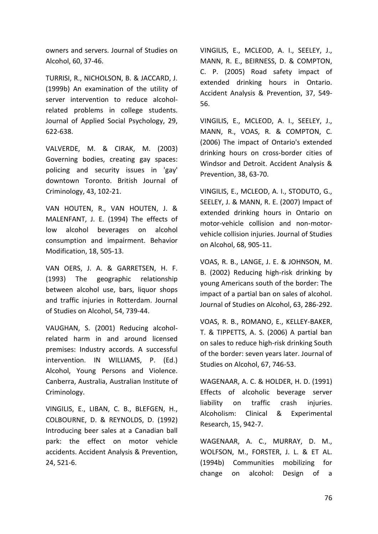owners and servers. Journal of Studies on Alcohol, 60, 37-46.

TURRISI, R., NICHOLSON, B. & JACCARD, J. (1999b) An examination of the utility of server intervention to reduce alcoholrelated problems in college students. Journal of Applied Social Psychology, 29, 622-638.

VALVERDE, M. & CIRAK, M. (2003) Governing bodies, creating gay spaces: policing and security issues in 'gay' downtown Toronto. British Journal of Criminology, 43, 102-21.

VAN HOUTEN, R., VAN HOUTEN, J. & MALENFANT, J. E. (1994) The effects of low alcohol beverages on alcohol consumption and impairment. Behavior Modification, 18, 505-13.

VAN OERS, J. A. & GARRETSEN, H. F. (1993) The geographic relationship between alcohol use, bars, liquor shops and traffic injuries in Rotterdam. Journal of Studies on Alcohol, 54, 739-44.

VAUGHAN, S. (2001) Reducing alcoholrelated harm in and around licensed premises: Industry accords. A successful intervention. IN WILLIAMS, P. (Ed.) Alcohol, Young Persons and Violence. Canberra, Australia, Australian Institute of Criminology.

VINGILIS, E., LIBAN, C. B., BLEFGEN, H., COLBOURNE, D. & REYNOLDS, D. (1992) Introducing beer sales at a Canadian ball park: the effect on motor vehicle accidents. Accident Analysis & Prevention, 24, 521-6.

VINGILIS, E., MCLEOD, A. I., SEELEY, J., MANN, R. E., BEIRNESS, D. & COMPTON, C. P. (2005) Road safety impact of extended drinking hours in Ontario. Accident Analysis & Prevention, 37, 549- 56.

VINGILIS, E., MCLEOD, A. I., SEELEY, J., MANN, R., VOAS, R. & COMPTON, C. (2006) The impact of Ontario's extended drinking hours on cross-border cities of Windsor and Detroit. Accident Analysis & Prevention, 38, 63-70.

VINGILIS, E., MCLEOD, A. I., STODUTO, G., SEELEY, J. & MANN, R. E. (2007) Impact of extended drinking hours in Ontario on motor-vehicle collision and non-motorvehicle collision injuries. Journal of Studies on Alcohol, 68, 905-11.

VOAS, R. B., LANGE, J. E. & JOHNSON, M. B. (2002) Reducing high-risk drinking by young Americans south of the border: The impact of a partial ban on sales of alcohol. Journal of Studies on Alcohol, 63, 286-292.

VOAS, R. B., ROMANO, E., KELLEY-BAKER, T. & TIPPETTS, A. S. (2006) A partial ban on sales to reduce high-risk drinking South of the border: seven years later. Journal of Studies on Alcohol, 67, 746-53.

WAGENAAR, A. C. & HOLDER, H. D. (1991) Effects of alcoholic beverage server liability on traffic crash injuries. Alcoholism: Clinical & Experimental Research, 15, 942-7.

WAGENAAR, A. C., MURRAY, D. M., WOLFSON, M., FORSTER, J. L. & ET AL. (1994b) Communities mobilizing for change on alcohol: Design of a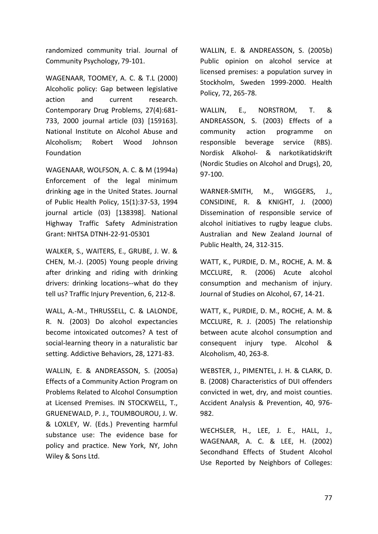randomized community trial. Journal of Community Psychology, 79-101.

WAGENAAR, TOOMEY, A. C. & T.L (2000) Alcoholic policy: Gap between legislative action and current research. Contemporary Drug Problems, 27(4):681- 733, 2000 journal article (03) [159163]. National Institute on Alcohol Abuse and Alcoholism; Robert Wood Johnson Foundation

WAGENAAR, WOLFSON, A. C. & M (1994a) Enforcement of the legal minimum drinking age in the United States. Journal of Public Health Policy, 15(1):37-53, 1994 journal article (03) [138398]. National Highway Traffic Safety Administration Grant: NHTSA DTNH-22-91-05301

WALKER, S., WAITERS, E., GRUBE, J. W. & CHEN, M.-J. (2005) Young people driving after drinking and riding with drinking drivers: drinking locations--what do they tell us? Traffic Injury Prevention, 6, 212-8.

WALL, A.-M., THRUSSELL, C. & LALONDE, R. N. (2003) Do alcohol expectancies become intoxicated outcomes? A test of social-learning theory in a naturalistic bar setting. Addictive Behaviors, 28, 1271-83.

WALLIN, E. & ANDREASSON, S. (2005a) Effects of a Community Action Program on Problems Related to Alcohol Consumption at Licensed Premises. IN STOCKWELL, T., GRUENEWALD, P. J., TOUMBOUROU, J. W. & LOXLEY, W. (Eds.) Preventing harmful substance use: The evidence base for policy and practice. New York, NY, John Wiley & Sons Ltd.

WALLIN, E. & ANDREASSON, S. (2005b) Public opinion on alcohol service at licensed premises: a population survey in Stockholm, Sweden 1999-2000. Health Policy, 72, 265-78.

WALLIN, E., NORSTROM, T. & ANDREASSON, S. (2003) Effects of a community action programme on responsible beverage service (RBS). Nordisk Alkohol- & narkotikatidskrift (Nordic Studies on Alcohol and Drugs), 20, 97-100.

WARNER-SMITH, M., WIGGERS, J., CONSIDINE, R. & KNIGHT, J. (2000) Dissemination of responsible service of alcohol initiatives to rugby league clubs. Australian and New Zealand Journal of Public Health, 24, 312-315.

WATT, K., PURDIE, D. M., ROCHE, A. M. & MCCLURE, R. (2006) Acute alcohol consumption and mechanism of injury. Journal of Studies on Alcohol, 67, 14-21.

WATT, K., PURDIE, D. M., ROCHE, A. M. & MCCLURE, R. J. (2005) The relationship between acute alcohol consumption and consequent injury type. Alcohol & Alcoholism, 40, 263-8.

WEBSTER, J., PIMENTEL, J. H. & CLARK, D. B. (2008) Characteristics of DUI offenders convicted in wet, dry, and moist counties. Accident Analysis & Prevention, 40, 976- 982.

WECHSLER, H., LEE, J. E., HALL, J., WAGENAAR, A. C. & LEE, H. (2002) Secondhand Effects of Student Alcohol Use Reported by Neighbors of Colleges: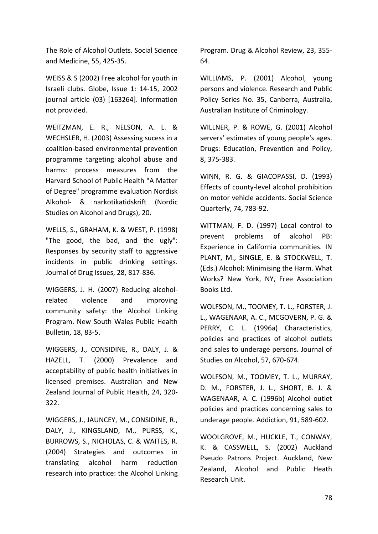The Role of Alcohol Outlets. Social Science and Medicine, 55, 425-35.

WEISS & S (2002) Free alcohol for youth in Israeli clubs. Globe, Issue 1: 14-15, 2002 journal article (03) [163264]. Information not provided.

WEITZMAN, E. R., NELSON, A. L. & WECHSLER, H. (2003) Assessing sucess in a coalition-based environmental prevention programme targeting alcohol abuse and harms: process measures from the Harvard School of Public Health "A Matter of Degree" programme evaluation Nordisk Alkohol- & narkotikatidskrift (Nordic Studies on Alcohol and Drugs), 20.

WELLS, S., GRAHAM, K. & WEST, P. (1998) "The good, the bad, and the ugly": Responses by security staff to aggressive incidents in public drinking settings. Journal of Drug Issues, 28, 817-836.

WIGGERS, J. H. (2007) Reducing alcoholrelated violence and improving community safety: the Alcohol Linking Program. New South Wales Public Health Bulletin, 18, 83-5.

WIGGERS, J., CONSIDINE, R., DALY, J. & HAZELL, T. (2000) Prevalence and acceptability of public health initiatives in licensed premises. Australian and New Zealand Journal of Public Health, 24, 320- 322.

WIGGERS, J., JAUNCEY, M., CONSIDINE, R., DALY, J., KINGSLAND, M., PURSS, K., BURROWS, S., NICHOLAS, C. & WAITES, R. (2004) Strategies and outcomes in translating alcohol harm reduction research into practice: the Alcohol Linking Program. Drug & Alcohol Review, 23, 355- 64.

WILLIAMS, P. (2001) Alcohol, young persons and violence. Research and Public Policy Series No. 35, Canberra, Australia, Australian Institute of Criminology.

WILLNER, P. & ROWE, G. (2001) Alcohol servers' estimates of young people's ages. Drugs: Education, Prevention and Policy, 8, 375-383.

WINN, R. G. & GIACOPASSI, D. (1993) Effects of county-level alcohol prohibition on motor vehicle accidents. Social Science Quarterly, 74, 783-92.

WITTMAN, F. D. (1997) Local control to prevent problems of alcohol PB: Experience in California communities. IN PLANT, M., SINGLE, E. & STOCKWELL, T. (Eds.) Alcohol: Minimising the Harm. What Works? New York, NY, Free Association Books Ltd.

WOLFSON, M., TOOMEY, T. L., FORSTER, J. L., WAGENAAR, A. C., MCGOVERN, P. G. & PERRY, C. L. (1996a) Characteristics, policies and practices of alcohol outlets and sales to underage persons. Journal of Studies on Alcohol, 57, 670-674.

WOLFSON, M., TOOMEY, T. L., MURRAY, D. M., FORSTER, J. L., SHORT, B. J. & WAGENAAR, A. C. (1996b) Alcohol outlet policies and practices concerning sales to underage people. Addiction, 91, 589-602.

WOOLGROVE, M., HUCKLE, T., CONWAY, K. & CASSWELL, S. (2002) Auckland Pseudo Patrons Project. Auckland, New Zealand, Alcohol and Public Heath Research Unit.